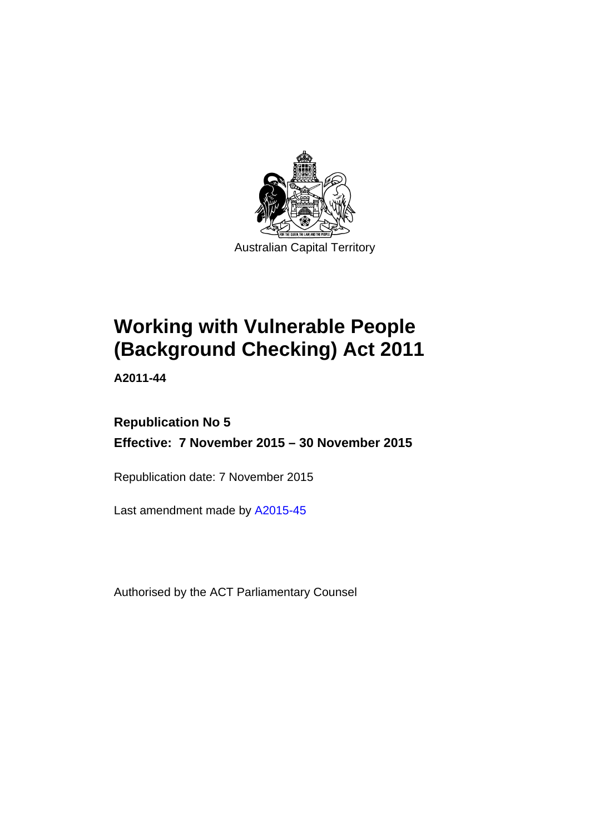

# **Working with Vulnerable People (Background Checking) Act 2011**

**A2011-44** 

## **Republication No 5 Effective: 7 November 2015 – 30 November 2015**

Republication date: 7 November 2015

Last amendment made by [A2015-45](http://www.legislation.act.gov.au/a/2015-45)

Authorised by the ACT Parliamentary Counsel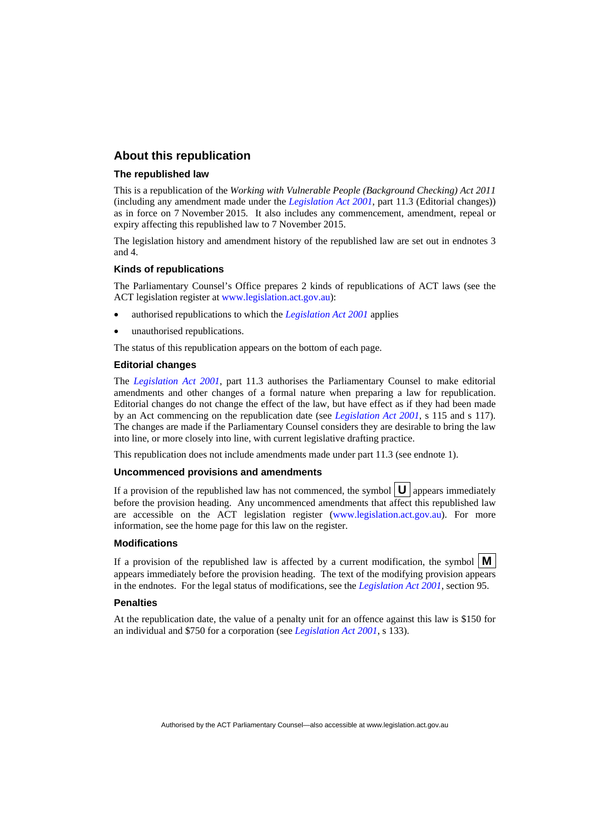## **About this republication**

#### **The republished law**

This is a republication of the *Working with Vulnerable People (Background Checking) Act 2011* (including any amendment made under the *[Legislation Act 2001](http://www.legislation.act.gov.au/a/2001-14)*, part 11.3 (Editorial changes)) as in force on 7 November 2015*.* It also includes any commencement, amendment, repeal or expiry affecting this republished law to 7 November 2015.

The legislation history and amendment history of the republished law are set out in endnotes 3 and 4.

#### **Kinds of republications**

The Parliamentary Counsel's Office prepares 2 kinds of republications of ACT laws (see the ACT legislation register at [www.legislation.act.gov.au](http://www.legislation.act.gov.au/)):

- authorised republications to which the *[Legislation Act 2001](http://www.legislation.act.gov.au/a/2001-14)* applies
- unauthorised republications.

The status of this republication appears on the bottom of each page.

#### **Editorial changes**

The *[Legislation Act 2001](http://www.legislation.act.gov.au/a/2001-14)*, part 11.3 authorises the Parliamentary Counsel to make editorial amendments and other changes of a formal nature when preparing a law for republication. Editorial changes do not change the effect of the law, but have effect as if they had been made by an Act commencing on the republication date (see *[Legislation Act 2001](http://www.legislation.act.gov.au/a/2001-14)*, s 115 and s 117). The changes are made if the Parliamentary Counsel considers they are desirable to bring the law into line, or more closely into line, with current legislative drafting practice.

This republication does not include amendments made under part 11.3 (see endnote 1).

#### **Uncommenced provisions and amendments**

If a provision of the republished law has not commenced, the symbol  $\mathbf{U}$  appears immediately before the provision heading. Any uncommenced amendments that affect this republished law are accessible on the ACT legislation register [\(www.legislation.act.gov.au\)](http://www.legislation.act.gov.au/). For more information, see the home page for this law on the register.

#### **Modifications**

If a provision of the republished law is affected by a current modification, the symbol  $\mathbf{M}$ appears immediately before the provision heading. The text of the modifying provision appears in the endnotes. For the legal status of modifications, see the *[Legislation Act 2001](http://www.legislation.act.gov.au/a/2001-14)*, section 95.

#### **Penalties**

At the republication date, the value of a penalty unit for an offence against this law is \$150 for an individual and \$750 for a corporation (see *[Legislation Act 2001](http://www.legislation.act.gov.au/a/2001-14)*, s 133).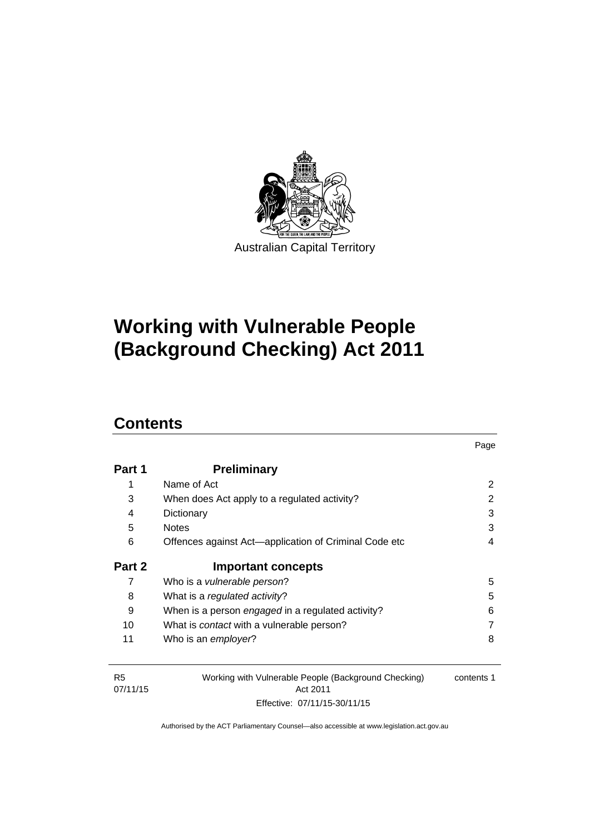

# **Working with Vulnerable People (Background Checking) Act 2011**

## **Contents**

| Part 1 | <b>Preliminary</b>                                    |   |
|--------|-------------------------------------------------------|---|
| 1      | Name of Act                                           | 2 |
| 3      | When does Act apply to a regulated activity?          | 2 |
| 4      | Dictionary                                            | 3 |
| 5      | <b>Notes</b>                                          | 3 |
| 6      | Offences against Act-application of Criminal Code etc | 4 |
|        |                                                       |   |
| Part 2 | <b>Important concepts</b>                             |   |
| 7      | Who is a <i>vulnerable person</i> ?                   | 5 |
| 8      | What is a regulated activity?                         | 5 |
| 9      | When is a person engaged in a regulated activity?     | 6 |
| 10     | What is <i>contact</i> with a vulnerable person?      |   |

Page

| <b>R5</b>            | Working with Vulnerable People (Background Checking) | contents 1 |
|----------------------|------------------------------------------------------|------------|
| 07/11/15<br>Act 2011 |                                                      |            |
|                      | Effective: 07/11/15-30/11/15                         |            |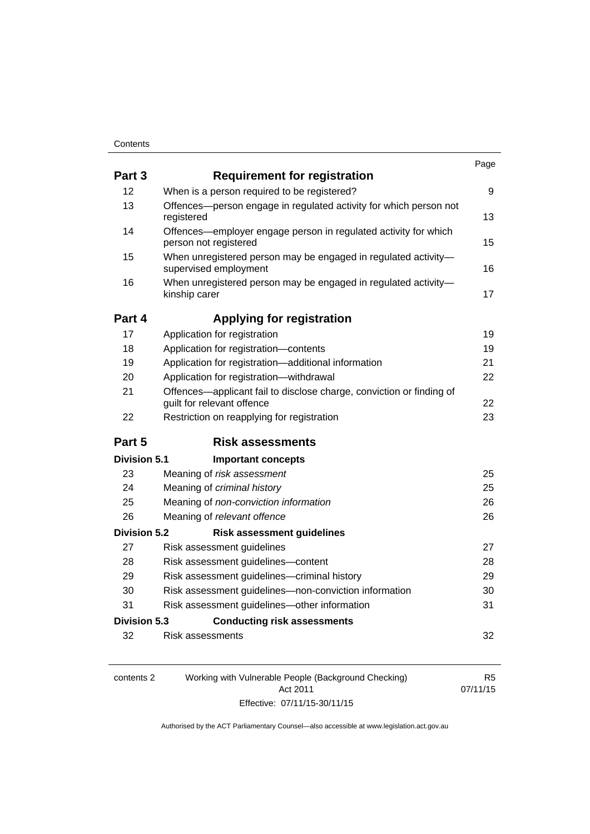| Part 3              | <b>Requirement for registration</b>                                                                |    |
|---------------------|----------------------------------------------------------------------------------------------------|----|
| 12                  | When is a person required to be registered?                                                        | 9  |
| 13                  | Offences-person engage in regulated activity for which person not<br>registered                    | 13 |
| 14                  | Offences-employer engage person in regulated activity for which<br>person not registered           | 15 |
| 15                  | When unregistered person may be engaged in regulated activity-<br>supervised employment            | 16 |
| 16                  | When unregistered person may be engaged in regulated activity-<br>kinship carer                    | 17 |
| Part 4              | <b>Applying for registration</b>                                                                   |    |
| 17                  | Application for registration                                                                       | 19 |
| 18                  | Application for registration-contents                                                              | 19 |
| 19                  | Application for registration—additional information                                                | 21 |
| 20                  | Application for registration-withdrawal                                                            | 22 |
| 21                  | Offences-applicant fail to disclose charge, conviction or finding of<br>guilt for relevant offence | 22 |
| 22                  | Restriction on reapplying for registration                                                         | 23 |
| Part 5              | <b>Risk assessments</b>                                                                            |    |
| Division 5.1        | <b>Important concepts</b>                                                                          |    |
| 23                  | Meaning of risk assessment                                                                         | 25 |
| 24                  | Meaning of criminal history                                                                        | 25 |
| 25                  | Meaning of non-conviction information                                                              | 26 |
| 26                  | Meaning of relevant offence                                                                        | 26 |
| <b>Division 5.2</b> | <b>Risk assessment guidelines</b>                                                                  |    |
| 27                  | Risk assessment guidelines                                                                         | 27 |
| 28                  | Risk assessment guidelines-content                                                                 | 28 |
| 29                  | Risk assessment guidelines-criminal history                                                        | 29 |
| 30                  | Risk assessment guidelines-non-conviction information                                              | 30 |
| 31                  | Risk assessment guidelines-other information                                                       | 31 |
| Division 5.3        | <b>Conducting risk assessments</b>                                                                 |    |
| 32                  | Risk assessments                                                                                   | 32 |

| contents 2 | Working with Vulnerable People (Background Checking) | R5       |
|------------|------------------------------------------------------|----------|
|            | Act 2011                                             | 07/11/15 |
|            | Effective: 07/11/15-30/11/15                         |          |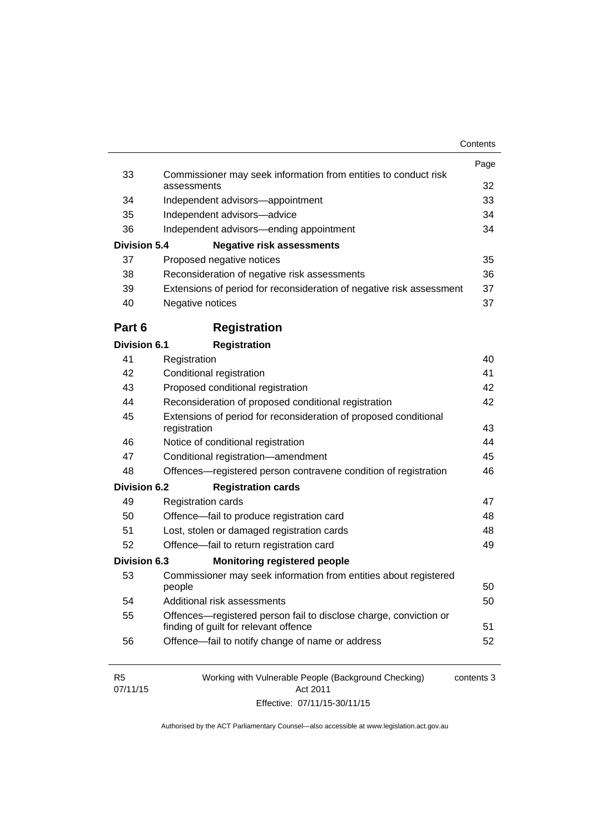|                            |                                                                                                            | Page       |
|----------------------------|------------------------------------------------------------------------------------------------------------|------------|
| 33                         | Commissioner may seek information from entities to conduct risk<br>assessments                             | 32         |
| 34                         | Independent advisors-appointment                                                                           | 33         |
| 35                         | Independent advisors-advice                                                                                | 34         |
| 36                         | Independent advisors—ending appointment                                                                    | 34         |
| <b>Division 5.4</b>        | <b>Negative risk assessments</b>                                                                           |            |
| 37                         | Proposed negative notices                                                                                  | 35         |
| 38                         | Reconsideration of negative risk assessments                                                               | 36         |
| 39                         | Extensions of period for reconsideration of negative risk assessment                                       | 37         |
| 40                         | Negative notices                                                                                           | 37         |
| Part 6                     | <b>Registration</b>                                                                                        |            |
| <b>Division 6.1</b>        | <b>Registration</b>                                                                                        |            |
| 41                         | Registration                                                                                               | 40         |
| 42                         | Conditional registration                                                                                   | 41         |
| 43                         | Proposed conditional registration                                                                          | 42         |
| 44                         | Reconsideration of proposed conditional registration                                                       | 42         |
| 45                         | Extensions of period for reconsideration of proposed conditional<br>registration                           | 43         |
| 46                         | Notice of conditional registration                                                                         | 44         |
| 47                         | Conditional registration-amendment                                                                         | 45         |
| 48                         | Offences—registered person contravene condition of registration                                            | 46         |
| Division 6.2               | <b>Registration cards</b>                                                                                  |            |
| 49                         | <b>Registration cards</b>                                                                                  | 47         |
| 50                         | Offence-fail to produce registration card                                                                  | 48         |
| 51                         | Lost, stolen or damaged registration cards                                                                 | 48         |
| 52                         | Offence-fail to return registration card                                                                   | 49         |
| Division 6.3               | <b>Monitoring registered people</b>                                                                        |            |
| 53                         | Commissioner may seek information from entities about registered                                           |            |
|                            | people                                                                                                     | 50         |
| 54                         | Additional risk assessments                                                                                | 50         |
| 55                         | Offences—registered person fail to disclose charge, conviction or<br>finding of guilt for relevant offence | 51         |
| 56                         | Offence-fail to notify change of name or address                                                           | 52         |
| R <sub>5</sub><br>07/11/15 | Working with Vulnerable People (Background Checking)<br>Act 2011                                           | contents 3 |

Effective: 07/11/15-30/11/15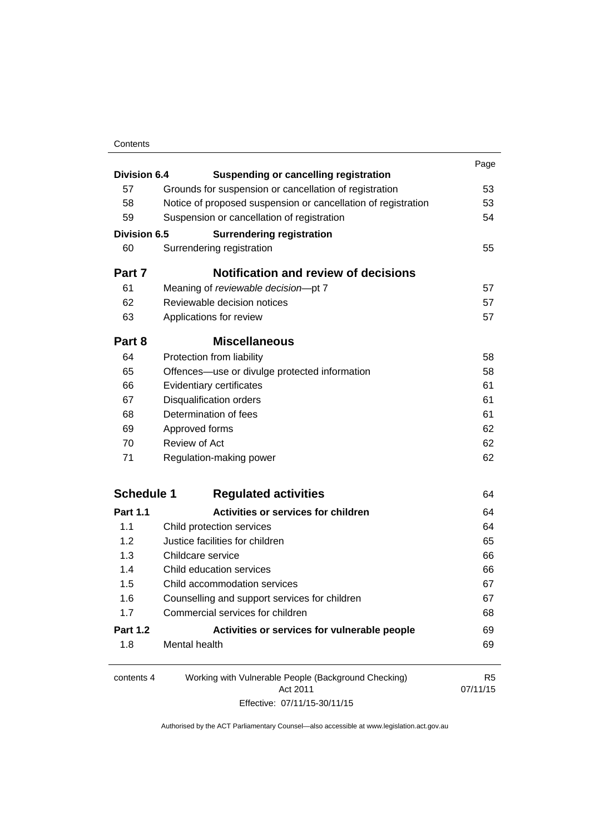## **Contents**

| Division 6.4        |                                                               | Page           |
|---------------------|---------------------------------------------------------------|----------------|
|                     | <b>Suspending or cancelling registration</b>                  |                |
| 57                  | Grounds for suspension or cancellation of registration        | 53             |
| 58                  | Notice of proposed suspension or cancellation of registration | 53             |
| 59                  | Suspension or cancellation of registration                    | 54             |
| <b>Division 6.5</b> | <b>Surrendering registration</b>                              |                |
| 60                  | Surrendering registration                                     | 55             |
| Part 7              | <b>Notification and review of decisions</b>                   |                |
| 61                  | Meaning of reviewable decision-pt 7                           | 57             |
| 62                  | Reviewable decision notices                                   | 57             |
| 63                  | Applications for review                                       | 57             |
| Part 8              | <b>Miscellaneous</b>                                          |                |
| 64                  | Protection from liability                                     | 58             |
| 65                  | Offences—use or divulge protected information                 | 58             |
| 66                  | Evidentiary certificates                                      | 61             |
| 67                  | <b>Disqualification orders</b>                                | 61             |
| 68                  | Determination of fees                                         | 61             |
| 69                  | Approved forms                                                | 62             |
| 70                  | <b>Review of Act</b>                                          | 62             |
| 71                  | Regulation-making power                                       | 62             |
| <b>Schedule 1</b>   | <b>Regulated activities</b>                                   | 64             |
| <b>Part 1.1</b>     | <b>Activities or services for children</b>                    | 64             |
| 1.1                 | Child protection services                                     | 64             |
| 1.2                 | Justice facilities for children                               | 65             |
| 1.3                 | Childcare service                                             | 66             |
| 1.4                 | Child education services                                      | 66             |
| 1.5                 | Child accommodation services                                  | 67             |
| 1.6                 | Counselling and support services for children                 | 67             |
| 1.7                 | Commercial services for children                              | 68             |
| <b>Part 1.2</b>     | Activities or services for vulnerable people                  | 69             |
| 1.8                 | Mental health                                                 | 69             |
| contents 4          | Working with Vulnerable People (Background Checking)          | R <sub>5</sub> |
|                     | Act 2011                                                      | 07/11/15       |

Effective: 07/11/15-30/11/15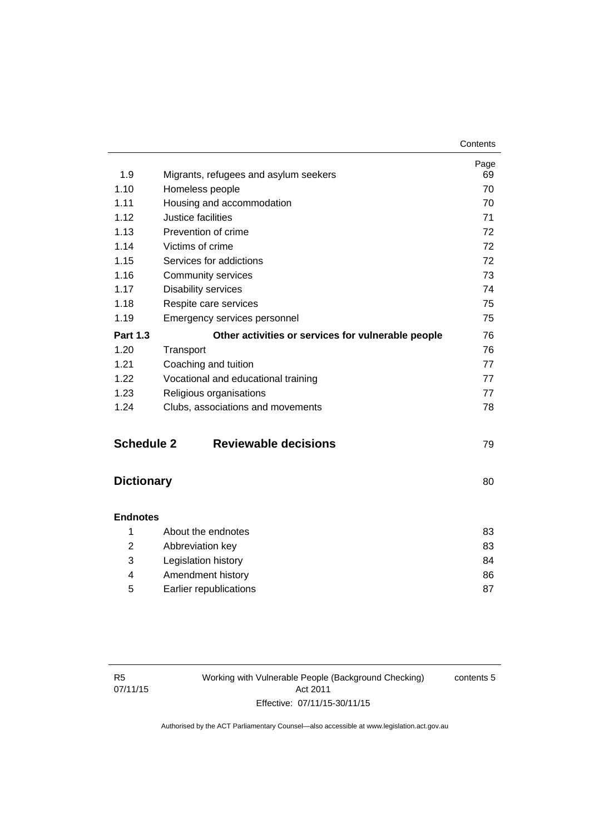| 1.9               | Migrants, refugees and asylum seekers              | Page<br>69 |
|-------------------|----------------------------------------------------|------------|
| 1.10              | Homeless people                                    | 70         |
| 1.11              | Housing and accommodation                          | 70         |
| 1.12              | Justice facilities                                 | 71         |
| 1.13              | Prevention of crime                                | 72         |
| 1.14              | Victims of crime                                   | 72         |
| 1.15              | Services for addictions                            | 72         |
| 1.16              | Community services                                 | 73         |
| 1.17              | <b>Disability services</b>                         | 74         |
| 1.18              | Respite care services                              | 75         |
| 1.19              | Emergency services personnel                       | 75         |
| <b>Part 1.3</b>   | Other activities or services for vulnerable people | 76         |
| 1.20              | Transport                                          | 76         |
| 1.21              | Coaching and tuition                               | 77         |
| 1.22              | Vocational and educational training                | 77         |
| 1.23              | Religious organisations                            | 77         |
| 1.24              | Clubs, associations and movements                  | 78         |
| <b>Schedule 2</b> | <b>Reviewable decisions</b>                        | 79         |
| <b>Dictionary</b> |                                                    | 80         |
| <b>Endnotes</b>   |                                                    |            |
| 1                 | About the endnotes                                 | 83         |
| 2                 | Abbreviation key                                   | 83         |
| 3                 | Legislation history                                | 84         |

|   | Legislation history    | 84 |
|---|------------------------|----|
|   | Amendment history      | 86 |
| 5 | Earlier republications |    |

contents 5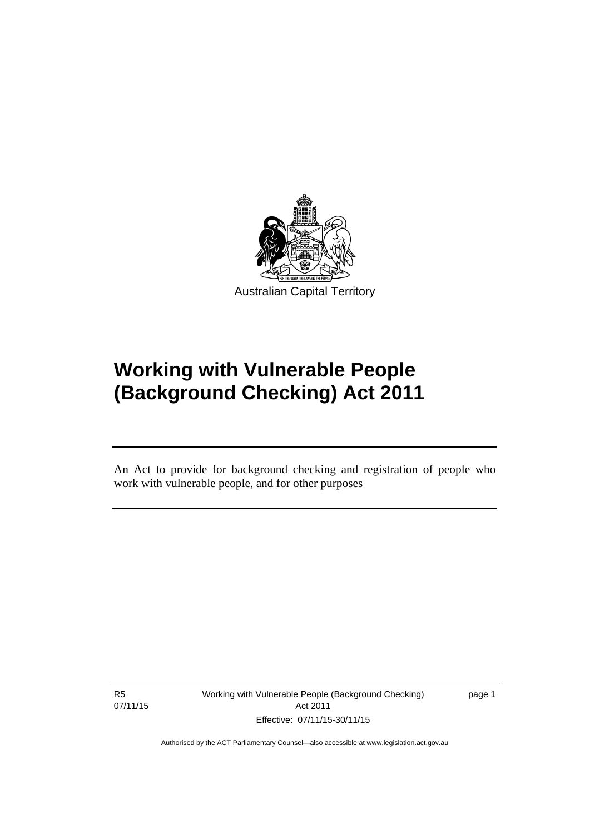

# **Working with Vulnerable People (Background Checking) Act 2011**

An Act to provide for background checking and registration of people who work with vulnerable people, and for other purposes

R5 07/11/15

l

Working with Vulnerable People (Background Checking) Act 2011 Effective: 07/11/15-30/11/15

page 1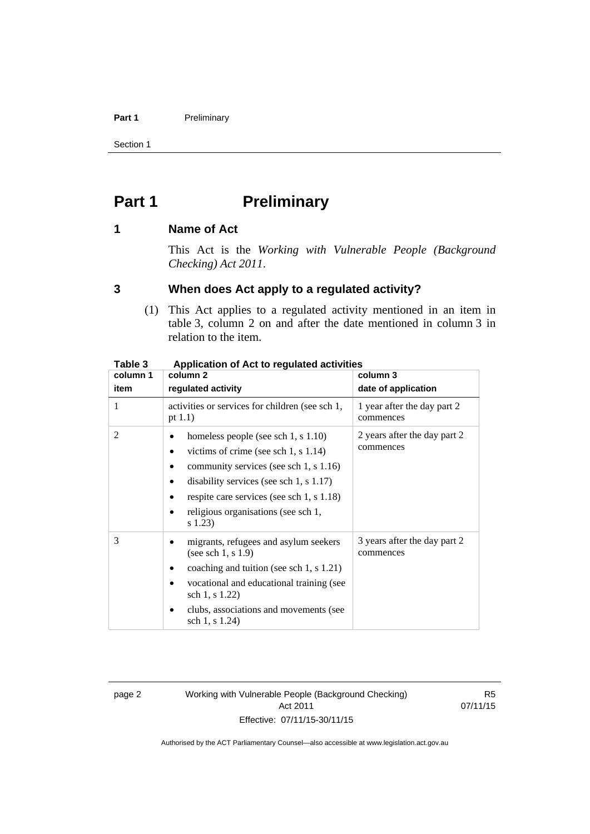### Part 1 **Preliminary**

Section 1

## <span id="page-9-0"></span>**Part 1** Preliminary

## <span id="page-9-1"></span>**1 Name of Act**

This Act is the *Working with Vulnerable People (Background Checking) Act 2011*.

## <span id="page-9-2"></span>**3 When does Act apply to a regulated activity?**

(1) This Act applies to a regulated activity mentioned in an item in table 3, column 2 on and after the date mentioned in column 3 in relation to the item.

| rapie s  | Application of Act to regulated activities                                                                                                                                                                                                                           |                                           |  |  |
|----------|----------------------------------------------------------------------------------------------------------------------------------------------------------------------------------------------------------------------------------------------------------------------|-------------------------------------------|--|--|
| column 1 | column 2                                                                                                                                                                                                                                                             | column 3                                  |  |  |
| item     | regulated activity                                                                                                                                                                                                                                                   | date of application                       |  |  |
| 1        | activities or services for children (see sch 1,<br>pt $1.1$ )                                                                                                                                                                                                        | 1 year after the day part 2<br>commences  |  |  |
| 2        | homeless people (see sch 1, s 1.10)<br>victims of crime (see sch 1, s $1.14$ )<br>community services (see sch 1, s 1.16)<br>disability services (see sch 1, $s$ 1.17)<br>respite care services (see sch 1, s 1.18)<br>religious organisations (see sch 1,<br>s 1.23) | 2 years after the day part 2<br>commences |  |  |
| 3        | migrants, refugees and asylum seekers<br>(see sch 1, $s$ 1.9)<br>coaching and tuition (see sch 1, s 1.21)<br>vocational and educational training (see<br>sch 1, s 1.22)<br>clubs, associations and movements (see<br>sch 1, s 1.24)                                  | 3 years after the day part 2<br>commences |  |  |

## **Table 3 Application of Act to regulated activities**

page 2 Working with Vulnerable People (Background Checking) Act 2011 Effective: 07/11/15-30/11/15

R5 07/11/15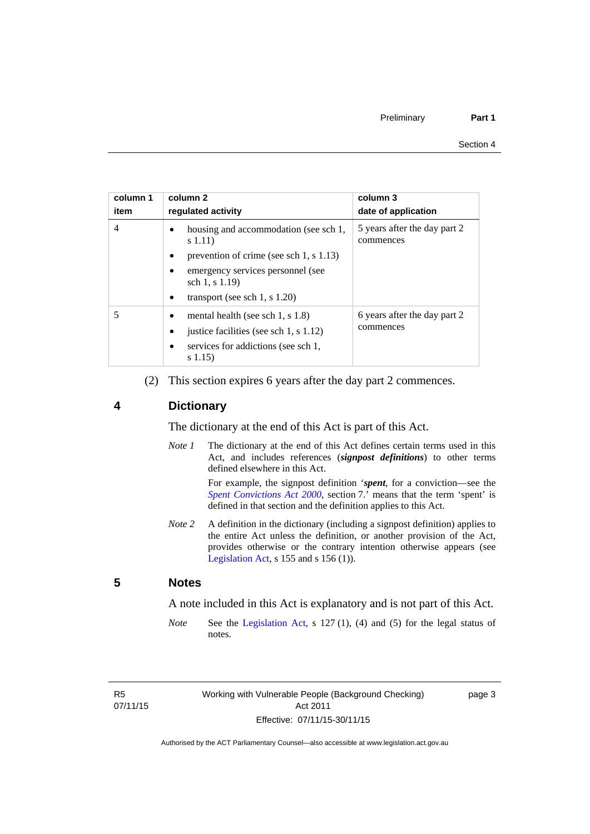| column 1<br>item | column 2<br>requlated activity                              | column 3<br>date of application           |
|------------------|-------------------------------------------------------------|-------------------------------------------|
| 4                | housing and accommodation (see sch 1,<br>s(1.11)            | 5 years after the day part 2<br>commences |
|                  | prevention of crime (see sch 1, $\vert$ 1.13)<br>$\bullet$  |                                           |
|                  | emergency services personnel (see<br>sch 1, s 1.19)         |                                           |
|                  | transport (see sch 1, s $1.20$ )<br>٠                       |                                           |
|                  | mental health (see sch 1, s $1.8$ )                         | 6 years after the day part 2<br>commences |
|                  | justice facilities (see sch 1, s 1.12)<br>$\bullet$         |                                           |
|                  | services for addictions (see sch 1,<br>$\bullet$<br>s(1.15) |                                           |

(2) This section expires 6 years after the day part 2 commences.

## <span id="page-10-0"></span>**4 Dictionary**

The dictionary at the end of this Act is part of this Act.

*Note 1* The dictionary at the end of this Act defines certain terms used in this Act, and includes references (*signpost definitions*) to other terms defined elsewhere in this Act.

> For example, the signpost definition '*spent*, for a conviction—see the *[Spent Convictions Act 2000](http://www.legislation.act.gov.au/a/2000-48)*, section 7.<sup>7</sup> means that the term 'spent' is defined in that section and the definition applies to this Act.

*Note 2* A definition in the dictionary (including a signpost definition) applies to the entire Act unless the definition, or another provision of the Act, provides otherwise or the contrary intention otherwise appears (see [Legislation Act,](http://www.legislation.act.gov.au/a/2001-14)  $s$  155 and  $s$  156 (1)).

## <span id="page-10-1"></span>**5 Notes**

A note included in this Act is explanatory and is not part of this Act.

*Note* See the [Legislation Act,](http://www.legislation.act.gov.au/a/2001-14) s 127 (1), (4) and (5) for the legal status of notes.

R5 07/11/15 page 3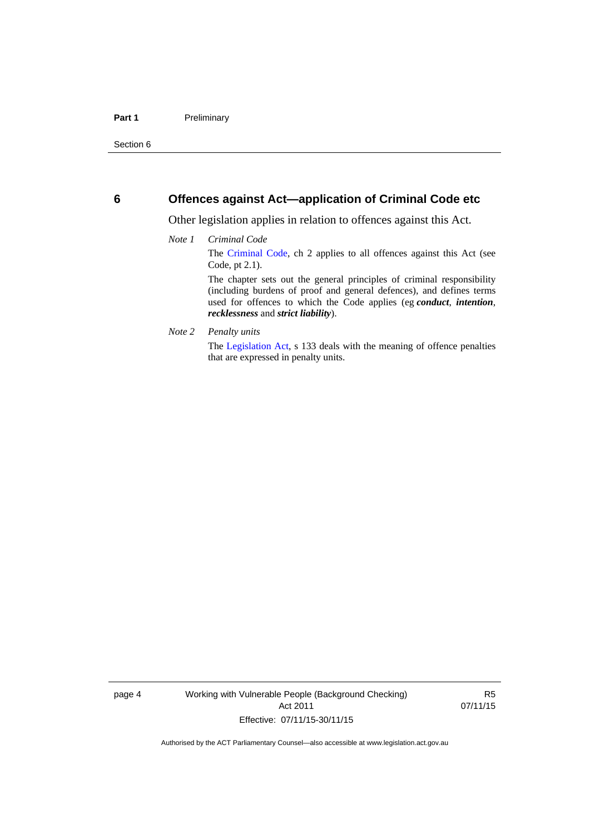## <span id="page-11-0"></span>**6 Offences against Act—application of Criminal Code etc**

Other legislation applies in relation to offences against this Act.

#### *Note 1 Criminal Code*

The [Criminal Code](http://www.legislation.act.gov.au/a/2002-51/default.asp), ch 2 applies to all offences against this Act (see Code, pt 2.1).

The chapter sets out the general principles of criminal responsibility (including burdens of proof and general defences), and defines terms used for offences to which the Code applies (eg *conduct*, *intention*, *recklessness* and *strict liability*).

#### *Note 2 Penalty units*

The [Legislation Act](http://www.legislation.act.gov.au/a/2001-14), s 133 deals with the meaning of offence penalties that are expressed in penalty units.

page 4 Working with Vulnerable People (Background Checking) Act 2011 Effective: 07/11/15-30/11/15

R5 07/11/15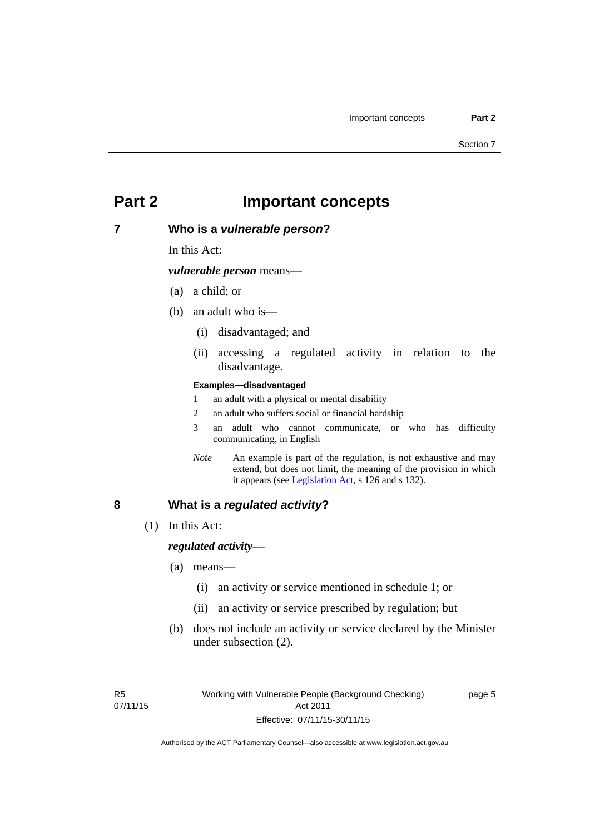## <span id="page-12-0"></span>**Part 2 Important concepts**

## <span id="page-12-1"></span>**7 Who is a** *vulnerable person***?**

In this Act:

*vulnerable person* means—

- (a) a child; or
- (b) an adult who is—
	- (i) disadvantaged; and
	- (ii) accessing a regulated activity in relation to the disadvantage.

#### **Examples—disadvantaged**

- 1 an adult with a physical or mental disability
- 2 an adult who suffers social or financial hardship
- 3 an adult who cannot communicate, or who has difficulty communicating, in English
- *Note* An example is part of the regulation, is not exhaustive and may extend, but does not limit, the meaning of the provision in which it appears (see [Legislation Act,](http://www.legislation.act.gov.au/a/2001-14) s 126 and s 132).

## <span id="page-12-2"></span>**8 What is a** *regulated activity***?**

(1) In this Act:

### *regulated activity*—

- (a) means—
	- (i) an activity or service mentioned in schedule 1; or
	- (ii) an activity or service prescribed by regulation; but
- (b) does not include an activity or service declared by the Minister under subsection (2).

page 5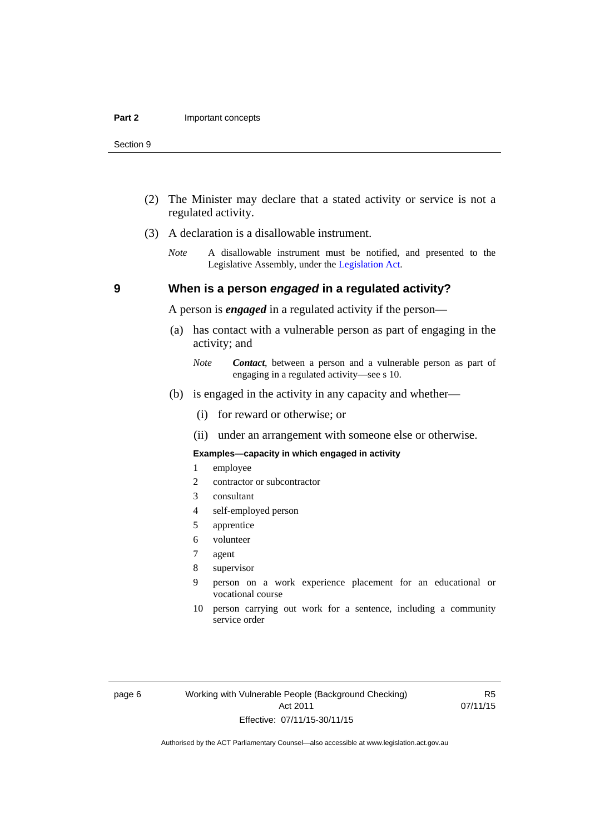- (2) The Minister may declare that a stated activity or service is not a regulated activity.
- (3) A declaration is a disallowable instrument.
	- *Note* A disallowable instrument must be notified, and presented to the Legislative Assembly, under the [Legislation Act.](http://www.legislation.act.gov.au/a/2001-14)

## **9 When is a person** *engaged* **in a regulated activity?**

A person is *engaged* in a regulated activity if the person—

- (a) has contact with a vulnerable person as part of engaging in the activity; and
	- *Note Contact*, between a person and a vulnerable person as part of engaging in a regulated activity—see s 10.
- (b) is engaged in the activity in any capacity and whether—
	- (i) for reward or otherwise; or
	- (ii) under an arrangement with someone else or otherwise.

#### **Examples—capacity in which engaged in activity**

- 1 employee
- 2 contractor or subcontractor
- 3 consultant
- 4 self-employed person
- 5 apprentice
- 6 volunteer
- 7 agent
- 8 supervisor
- 9 person on a work experience placement for an educational or vocational course
- 10 person carrying out work for a sentence, including a community service order

R5 07/11/15

<span id="page-13-0"></span>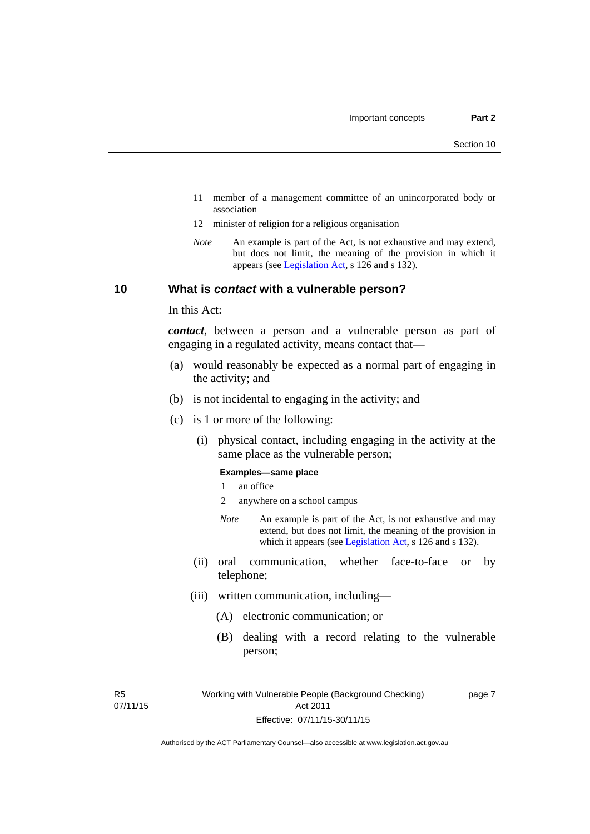- 11 member of a management committee of an unincorporated body or association
- 12 minister of religion for a religious organisation
- *Note* An example is part of the Act, is not exhaustive and may extend, but does not limit, the meaning of the provision in which it appears (see [Legislation Act,](http://www.legislation.act.gov.au/a/2001-14) s 126 and s 132).

## <span id="page-14-0"></span>**10 What is** *contact* **with a vulnerable person?**

In this Act:

*contact*, between a person and a vulnerable person as part of engaging in a regulated activity, means contact that—

- (a) would reasonably be expected as a normal part of engaging in the activity; and
- (b) is not incidental to engaging in the activity; and
- (c) is 1 or more of the following:
	- (i) physical contact, including engaging in the activity at the same place as the vulnerable person;

#### **Examples—same place**

- 1 an office
- 2 anywhere on a school campus
- *Note* An example is part of the Act, is not exhaustive and may extend, but does not limit, the meaning of the provision in which it appears (see [Legislation Act,](http://www.legislation.act.gov.au/a/2001-14) s 126 and s 132).
- (ii) oral communication, whether face-to-face or by telephone;
- (iii) written communication, including—
	- (A) electronic communication; or
	- (B) dealing with a record relating to the vulnerable person;

R5 07/11/15 page 7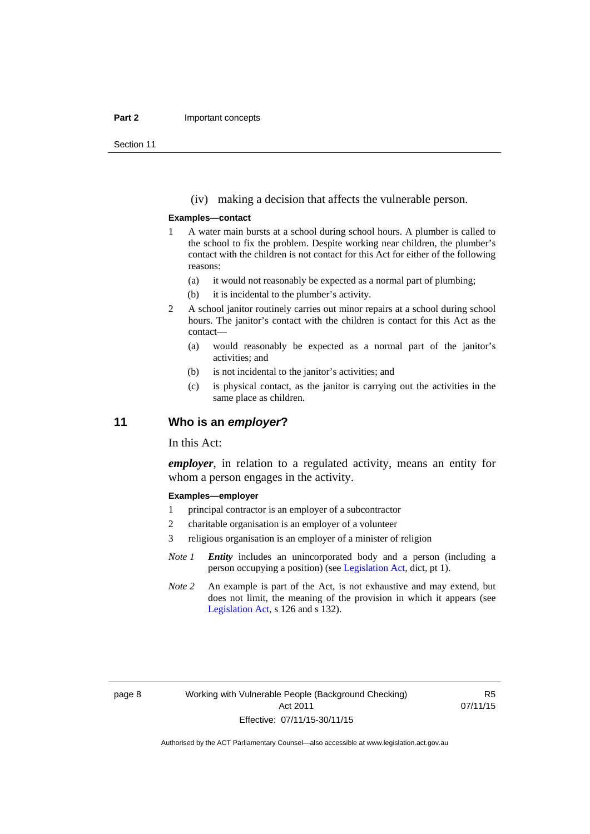#### **Part 2 Important concepts**

Section 11

(iv) making a decision that affects the vulnerable person.

#### **Examples—contact**

- 1 A water main bursts at a school during school hours. A plumber is called to the school to fix the problem. Despite working near children, the plumber's contact with the children is not contact for this Act for either of the following reasons:
	- (a) it would not reasonably be expected as a normal part of plumbing;
	- (b) it is incidental to the plumber's activity.
- 2 A school janitor routinely carries out minor repairs at a school during school hours. The janitor's contact with the children is contact for this Act as the contact—
	- (a) would reasonably be expected as a normal part of the janitor's activities; and
	- (b) is not incidental to the janitor's activities; and
	- (c) is physical contact, as the janitor is carrying out the activities in the same place as children.

## <span id="page-15-0"></span>**11 Who is an** *employer***?**

In this Act:

*employer*, in relation to a regulated activity, means an entity for whom a person engages in the activity.

#### **Examples—employer**

- 1 principal contractor is an employer of a subcontractor
- 2 charitable organisation is an employer of a volunteer
- 3 religious organisation is an employer of a minister of religion
- *Note 1 Entity* includes an unincorporated body and a person (including a person occupying a position) (see [Legislation Act,](http://www.legislation.act.gov.au/a/2001-14) dict, pt 1).
- *Note* 2 An example is part of the Act, is not exhaustive and may extend, but does not limit, the meaning of the provision in which it appears (see [Legislation Act,](http://www.legislation.act.gov.au/a/2001-14) s 126 and s 132).

R5 07/11/15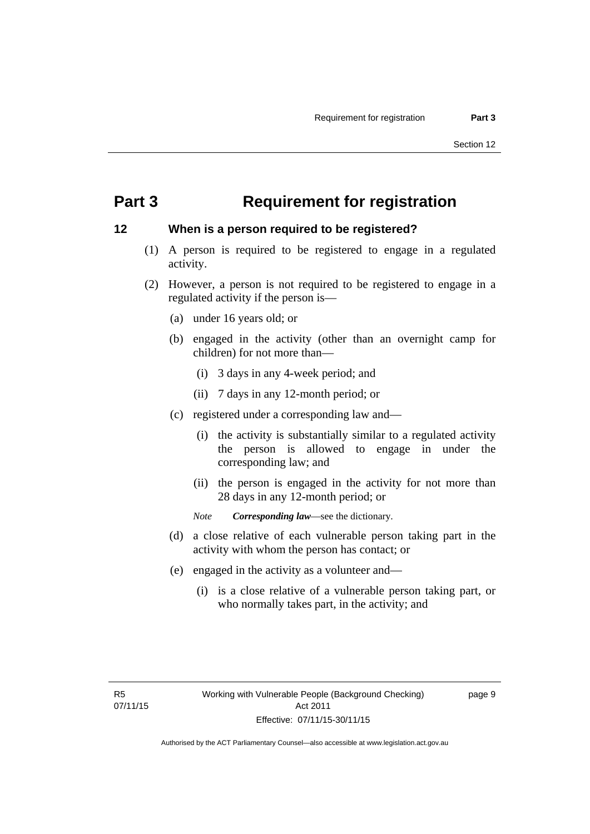## <span id="page-16-0"></span>**Part 3 Requirement for registration**

## <span id="page-16-1"></span>**12 When is a person required to be registered?**

- (1) A person is required to be registered to engage in a regulated activity.
- (2) However, a person is not required to be registered to engage in a regulated activity if the person is—
	- (a) under 16 years old; or
	- (b) engaged in the activity (other than an overnight camp for children) for not more than—
		- (i) 3 days in any 4-week period; and
		- (ii) 7 days in any 12-month period; or
	- (c) registered under a corresponding law and—
		- (i) the activity is substantially similar to a regulated activity the person is allowed to engage in under the corresponding law; and
		- (ii) the person is engaged in the activity for not more than 28 days in any 12-month period; or
		- *Note Corresponding law*—see the dictionary.
	- (d) a close relative of each vulnerable person taking part in the activity with whom the person has contact; or
	- (e) engaged in the activity as a volunteer and—
		- (i) is a close relative of a vulnerable person taking part, or who normally takes part, in the activity; and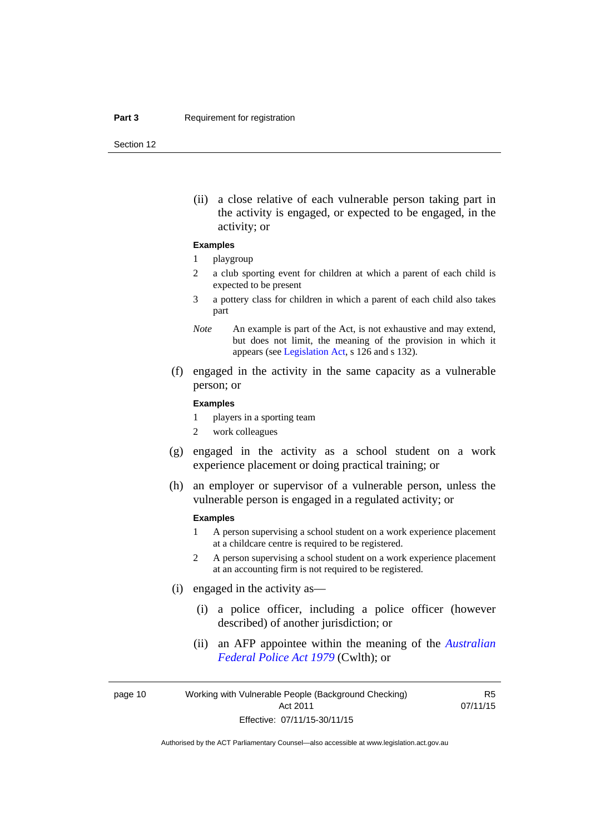Section 12

(ii) a close relative of each vulnerable person taking part in the activity is engaged, or expected to be engaged, in the activity; or

#### **Examples**

#### 1 playgroup

- 2 a club sporting event for children at which a parent of each child is expected to be present
- 3 a pottery class for children in which a parent of each child also takes part
- *Note* An example is part of the Act, is not exhaustive and may extend, but does not limit, the meaning of the provision in which it appears (see [Legislation Act,](http://www.legislation.act.gov.au/a/2001-14) s 126 and s 132).
- (f) engaged in the activity in the same capacity as a vulnerable person; or

#### **Examples**

- 1 players in a sporting team
- 2 work colleagues
- (g) engaged in the activity as a school student on a work experience placement or doing practical training; or
- (h) an employer or supervisor of a vulnerable person, unless the vulnerable person is engaged in a regulated activity; or

#### **Examples**

- 1 A person supervising a school student on a work experience placement at a childcare centre is required to be registered.
- 2 A person supervising a school student on a work experience placement at an accounting firm is not required to be registered.
- (i) engaged in the activity as—
	- (i) a police officer, including a police officer (however described) of another jurisdiction; or
	- (ii) an AFP appointee within the meaning of the *[Australian](http://www.comlaw.gov.au/Series/C2004A02068)  [Federal Police Act 1979](http://www.comlaw.gov.au/Series/C2004A02068)* (Cwlth); or

page 10 Working with Vulnerable People (Background Checking) Act 2011 Effective: 07/11/15-30/11/15

R5 07/11/15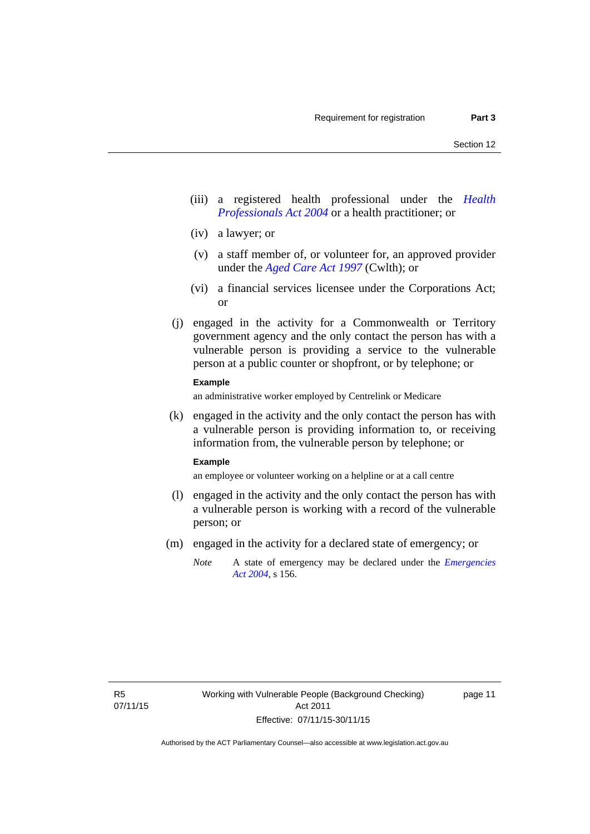- (iii) a registered health professional under the *[Health](http://www.legislation.act.gov.au/a/2004-38)  [Professionals Act 2004](http://www.legislation.act.gov.au/a/2004-38)* or a health practitioner; or
- (iv) a lawyer; or
- (v) a staff member of, or volunteer for, an approved provider under the *[Aged Care Act 1997](http://www.comlaw.gov.au/Series/C2004A05206)* (Cwlth); or
- (vi) a financial services licensee under the Corporations Act; or
- (j) engaged in the activity for a Commonwealth or Territory government agency and the only contact the person has with a vulnerable person is providing a service to the vulnerable person at a public counter or shopfront, or by telephone; or

### **Example**

an administrative worker employed by Centrelink or Medicare

 (k) engaged in the activity and the only contact the person has with a vulnerable person is providing information to, or receiving information from, the vulnerable person by telephone; or

#### **Example**

an employee or volunteer working on a helpline or at a call centre

- (l) engaged in the activity and the only contact the person has with a vulnerable person is working with a record of the vulnerable person; or
- (m) engaged in the activity for a declared state of emergency; or
	- *Note* A state of emergency may be declared under the *[Emergencies](http://www.legislation.act.gov.au/a/2004-28)  [Act 2004](http://www.legislation.act.gov.au/a/2004-28)*, s 156.

page 11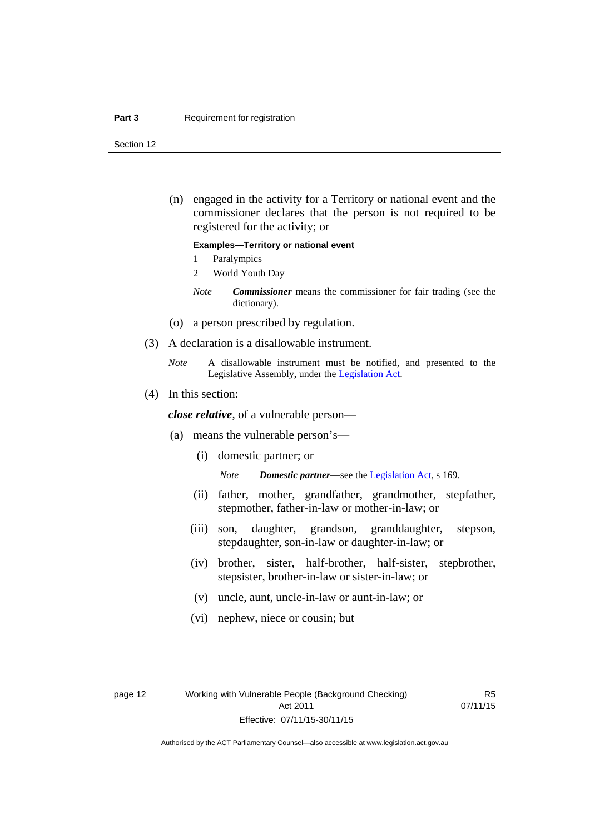#### **Part 3 Requirement for registration**

Section 12

 (n) engaged in the activity for a Territory or national event and the commissioner declares that the person is not required to be registered for the activity; or

#### **Examples—Territory or national event**

- 1 Paralympics
- 2 World Youth Day
- *Note Commissioner* means the commissioner for fair trading (see the dictionary).
- (o) a person prescribed by regulation.
- (3) A declaration is a disallowable instrument.
	- *Note* A disallowable instrument must be notified, and presented to the Legislative Assembly, under the [Legislation Act.](http://www.legislation.act.gov.au/a/2001-14)
- (4) In this section:

*close relative*, of a vulnerable person—

- (a) means the vulnerable person's—
	- (i) domestic partner; or

*Note Domestic partner—*see the [Legislation Act](http://www.legislation.act.gov.au/a/2001-14), s 169.

- (ii) father, mother, grandfather, grandmother, stepfather, stepmother, father-in-law or mother-in-law; or
- (iii) son, daughter, grandson, granddaughter, stepson, stepdaughter, son-in-law or daughter-in-law; or
- (iv) brother, sister, half-brother, half-sister, stepbrother, stepsister, brother-in-law or sister-in-law; or
- (v) uncle, aunt, uncle-in-law or aunt-in-law; or
- (vi) nephew, niece or cousin; but

R5 07/11/15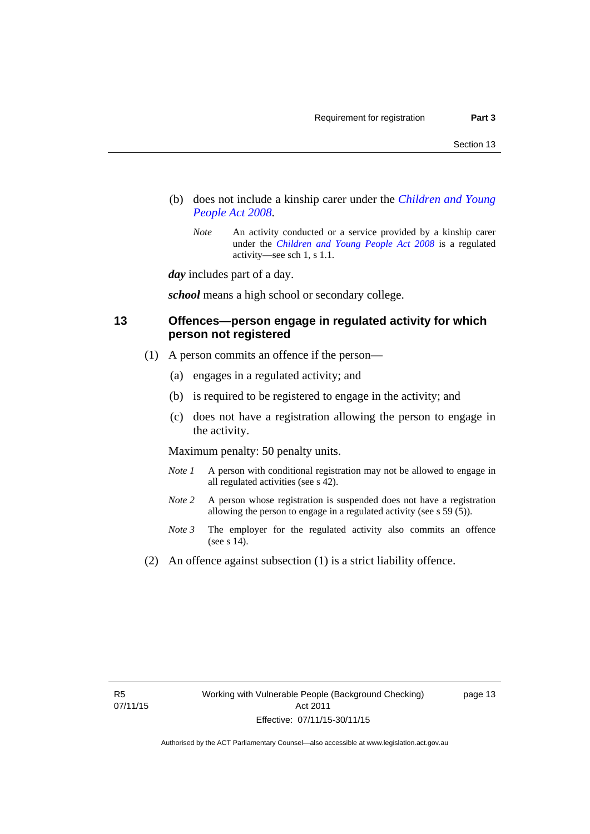- (b) does not include a kinship carer under the *[Children and Young](http://www.legislation.act.gov.au/a/2008-19)  [People Act 2008](http://www.legislation.act.gov.au/a/2008-19)*.
	- *Note* An activity conducted or a service provided by a kinship carer under the *[Children and Young People Act 2008](http://www.legislation.act.gov.au/a/2008-19)* is a regulated activity—see sch 1, s 1.1.

*day* includes part of a day.

*school* means a high school or secondary college.

## <span id="page-20-0"></span>**13 Offences—person engage in regulated activity for which person not registered**

- (1) A person commits an offence if the person—
	- (a) engages in a regulated activity; and
	- (b) is required to be registered to engage in the activity; and
	- (c) does not have a registration allowing the person to engage in the activity.

Maximum penalty: 50 penalty units.

- *Note 1* A person with conditional registration may not be allowed to engage in all regulated activities (see s 42).
- *Note* 2 A person whose registration is suspended does not have a registration allowing the person to engage in a regulated activity (see s 59 (5)).
- *Note 3* The employer for the regulated activity also commits an offence (see s 14).
- (2) An offence against subsection (1) is a strict liability offence.

page 13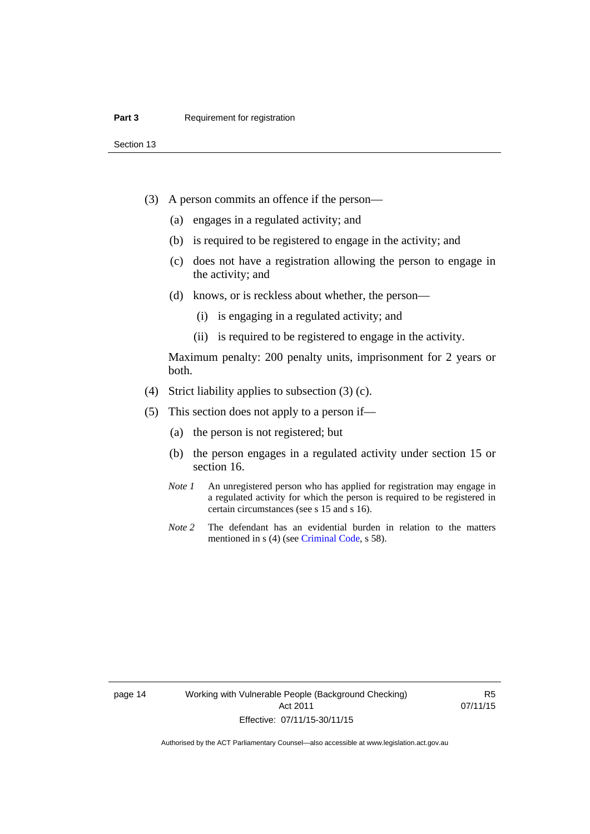Section 13

- (3) A person commits an offence if the person—
	- (a) engages in a regulated activity; and
	- (b) is required to be registered to engage in the activity; and
	- (c) does not have a registration allowing the person to engage in the activity; and
	- (d) knows, or is reckless about whether, the person—
		- (i) is engaging in a regulated activity; and
		- (ii) is required to be registered to engage in the activity.

Maximum penalty: 200 penalty units, imprisonment for 2 years or both.

- (4) Strict liability applies to subsection (3) (c).
- (5) This section does not apply to a person if—
	- (a) the person is not registered; but
	- (b) the person engages in a regulated activity under section 15 or section 16.
	- *Note 1* An unregistered person who has applied for registration may engage in a regulated activity for which the person is required to be registered in certain circumstances (see s 15 and s 16).
	- *Note* 2 The defendant has an evidential burden in relation to the matters mentioned in s (4) (see [Criminal Code](http://www.legislation.act.gov.au/a/2002-51/default.asp), s 58).

page 14 Working with Vulnerable People (Background Checking) Act 2011 Effective: 07/11/15-30/11/15

R5 07/11/15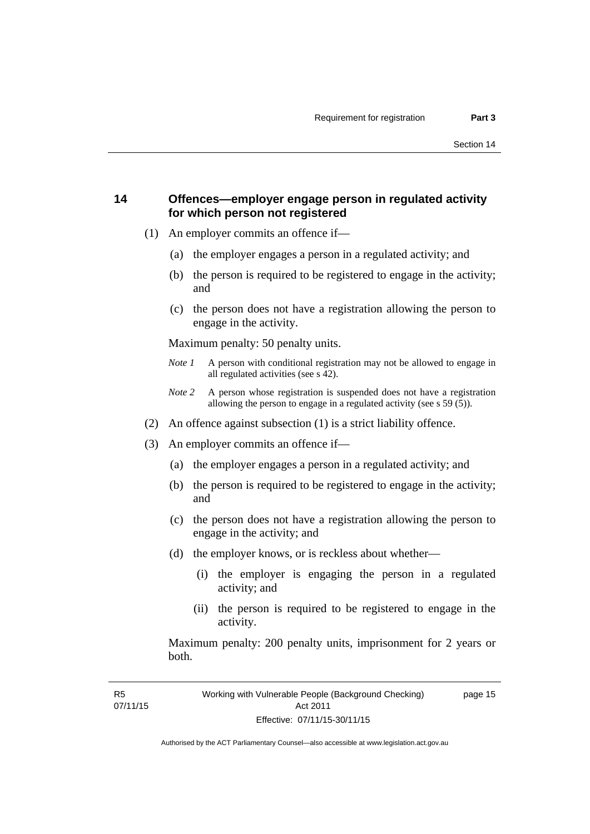page 15

## <span id="page-22-0"></span>**14 Offences—employer engage person in regulated activity for which person not registered**

- (1) An employer commits an offence if—
	- (a) the employer engages a person in a regulated activity; and
	- (b) the person is required to be registered to engage in the activity; and
	- (c) the person does not have a registration allowing the person to engage in the activity.

Maximum penalty: 50 penalty units.

- *Note 1* A person with conditional registration may not be allowed to engage in all regulated activities (see s 42).
- *Note 2* A person whose registration is suspended does not have a registration allowing the person to engage in a regulated activity (see s 59 (5)).
- (2) An offence against subsection (1) is a strict liability offence.
- (3) An employer commits an offence if—
	- (a) the employer engages a person in a regulated activity; and
	- (b) the person is required to be registered to engage in the activity; and
	- (c) the person does not have a registration allowing the person to engage in the activity; and
	- (d) the employer knows, or is reckless about whether—
		- (i) the employer is engaging the person in a regulated activity; and
		- (ii) the person is required to be registered to engage in the activity.

Maximum penalty: 200 penalty units, imprisonment for 2 years or both.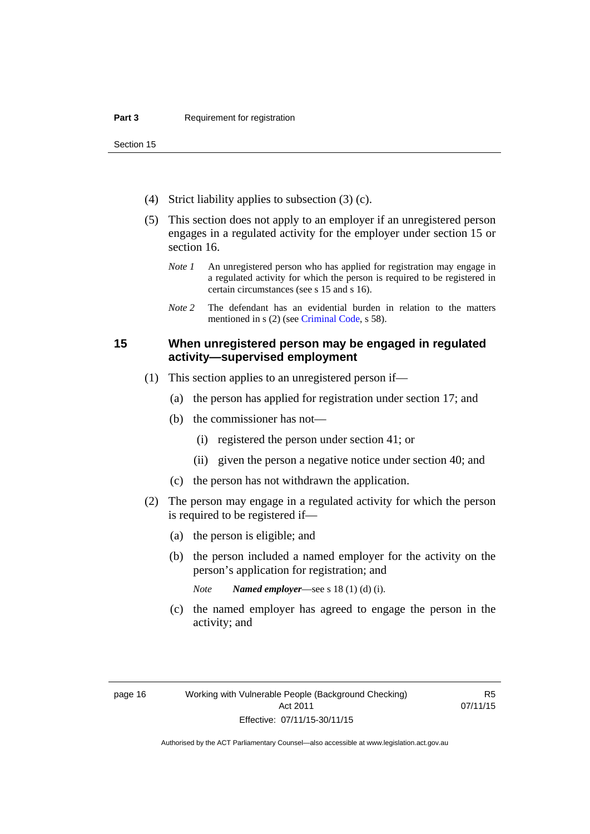Section 15

- (4) Strict liability applies to subsection (3) (c).
- (5) This section does not apply to an employer if an unregistered person engages in a regulated activity for the employer under section 15 or section 16.
	- *Note 1* An unregistered person who has applied for registration may engage in a regulated activity for which the person is required to be registered in certain circumstances (see s 15 and s 16).
	- *Note* 2 The defendant has an evidential burden in relation to the matters mentioned in s (2) (see [Criminal Code](http://www.legislation.act.gov.au/a/2002-51/default.asp), s 58).

## <span id="page-23-0"></span>**15 When unregistered person may be engaged in regulated activity—supervised employment**

- (1) This section applies to an unregistered person if—
	- (a) the person has applied for registration under section 17; and
	- (b) the commissioner has not—
		- (i) registered the person under section 41; or
		- (ii) given the person a negative notice under section 40; and
	- (c) the person has not withdrawn the application.
- (2) The person may engage in a regulated activity for which the person is required to be registered if—
	- (a) the person is eligible; and
	- (b) the person included a named employer for the activity on the person's application for registration; and
		- *Note Named employer*—see s 18 (1) (d) (i).
	- (c) the named employer has agreed to engage the person in the activity; and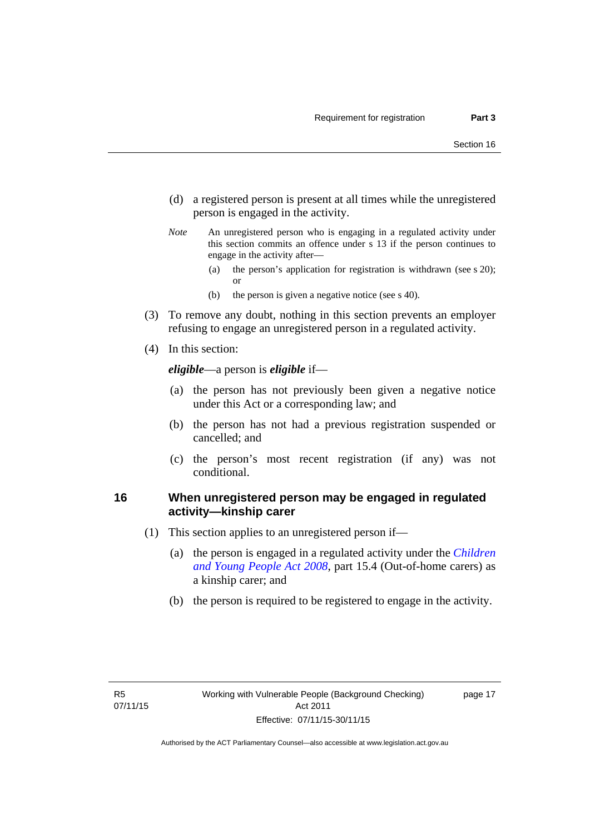- (d) a registered person is present at all times while the unregistered person is engaged in the activity.
- *Note* An unregistered person who is engaging in a regulated activity under this section commits an offence under s 13 if the person continues to engage in the activity after—
	- (a) the person's application for registration is withdrawn (see s 20); or
	- (b) the person is given a negative notice (see s 40).
- (3) To remove any doubt, nothing in this section prevents an employer refusing to engage an unregistered person in a regulated activity.
- (4) In this section:

*eligible*—a person is *eligible* if—

- (a) the person has not previously been given a negative notice under this Act or a corresponding law; and
- (b) the person has not had a previous registration suspended or cancelled; and
- (c) the person's most recent registration (if any) was not conditional.

## <span id="page-24-0"></span>**16 When unregistered person may be engaged in regulated activity—kinship carer**

- (1) This section applies to an unregistered person if—
	- (a) the person is engaged in a regulated activity under the *[Children](http://www.legislation.act.gov.au/a/2008-19)  [and Young People Act 2008](http://www.legislation.act.gov.au/a/2008-19)*, part 15.4 (Out-of-home carers) as a kinship carer; and
	- (b) the person is required to be registered to engage in the activity.

page 17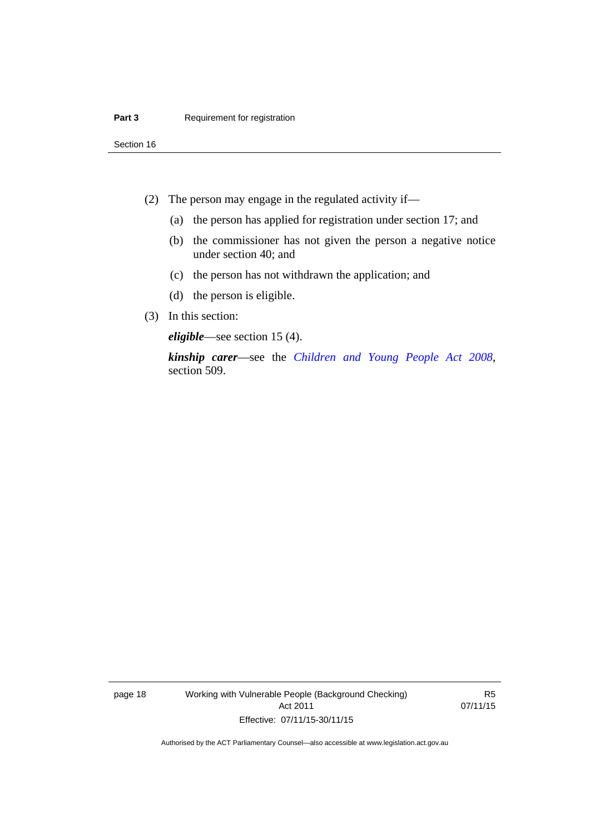Section 16

- (2) The person may engage in the regulated activity if—
	- (a) the person has applied for registration under section 17; and
	- (b) the commissioner has not given the person a negative notice under section 40; and
	- (c) the person has not withdrawn the application; and
	- (d) the person is eligible.
- (3) In this section:

*eligible*—see section 15 (4).

*kinship carer*—see the *[Children and Young People Act 2008](http://www.legislation.act.gov.au/a/2008-19)*, section 509.

page 18 Working with Vulnerable People (Background Checking) Act 2011 Effective: 07/11/15-30/11/15

R5 07/11/15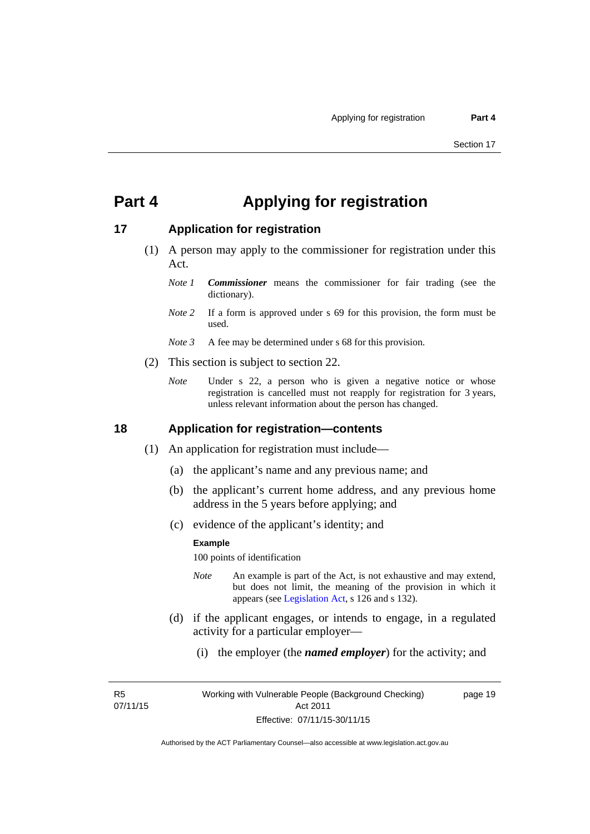## <span id="page-26-0"></span>**Part 4 Applying for registration**

## <span id="page-26-1"></span>**17 Application for registration**

- (1) A person may apply to the commissioner for registration under this Act.
	- *Note 1 Commissioner* means the commissioner for fair trading (see the dictionary).
	- *Note* 2 If a form is approved under s 69 for this provision, the form must be used.
	- *Note 3* A fee may be determined under s 68 for this provision.
- (2) This section is subject to section 22.
	- *Note* Under s 22, a person who is given a negative notice or whose registration is cancelled must not reapply for registration for 3 years, unless relevant information about the person has changed.

### <span id="page-26-2"></span>**18 Application for registration—contents**

- (1) An application for registration must include—
	- (a) the applicant's name and any previous name; and
	- (b) the applicant's current home address, and any previous home address in the 5 years before applying; and
	- (c) evidence of the applicant's identity; and

#### **Example**

100 points of identification

- *Note* An example is part of the Act, is not exhaustive and may extend, but does not limit, the meaning of the provision in which it appears (see [Legislation Act,](http://www.legislation.act.gov.au/a/2001-14) s 126 and s 132).
- (d) if the applicant engages, or intends to engage, in a regulated activity for a particular employer—
	- (i) the employer (the *named employer*) for the activity; and

R5 07/11/15 page 19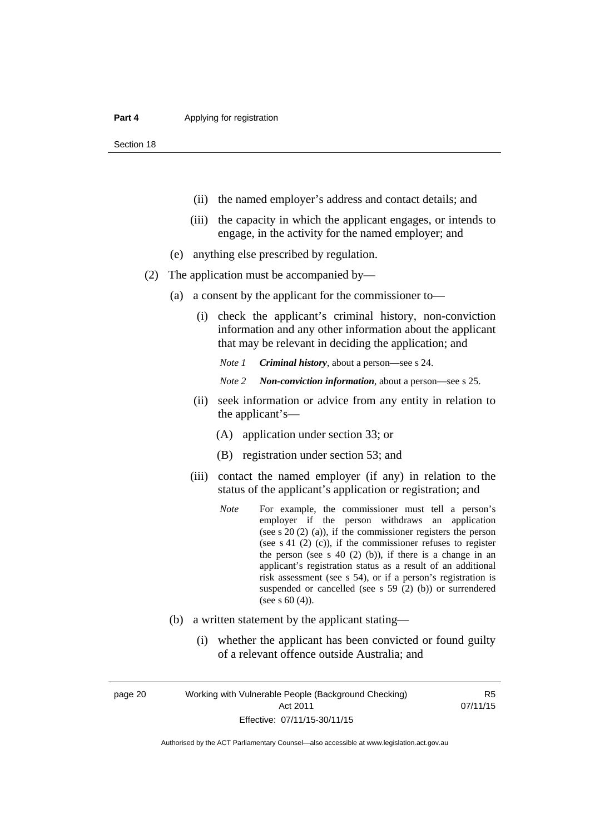Section 18

- (ii) the named employer's address and contact details; and
- (iii) the capacity in which the applicant engages, or intends to engage, in the activity for the named employer; and
- (e) anything else prescribed by regulation.
- (2) The application must be accompanied by—
	- (a) a consent by the applicant for the commissioner to—
		- (i) check the applicant's criminal history, non-conviction information and any other information about the applicant that may be relevant in deciding the application; and

*Note 1 Criminal history*, about a person*—*see s 24.

- *Note 2 Non-conviction information*, about a person—see s 25.
- (ii) seek information or advice from any entity in relation to the applicant's—
	- (A) application under section 33; or
	- (B) registration under section 53; and
- (iii) contact the named employer (if any) in relation to the status of the applicant's application or registration; and
	- *Note* For example, the commissioner must tell a person's employer if the person withdraws an application (see s 20 (2) (a)), if the commissioner registers the person (see s 41 (2) (c)), if the commissioner refuses to register the person (see s  $40$  (2) (b)), if there is a change in an applicant's registration status as a result of an additional risk assessment (see s 54), or if a person's registration is suspended or cancelled (see s 59 (2) (b)) or surrendered (see s 60 (4)).
- (b) a written statement by the applicant stating—
	- (i) whether the applicant has been convicted or found guilty of a relevant offence outside Australia; and

page 20 Working with Vulnerable People (Background Checking) Act 2011 Effective: 07/11/15-30/11/15

R5 07/11/15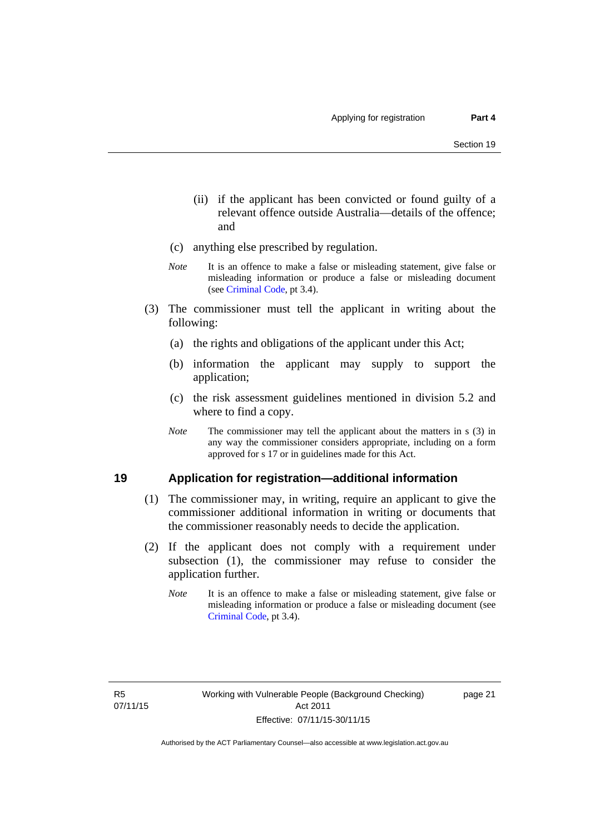- (ii) if the applicant has been convicted or found guilty of a relevant offence outside Australia—details of the offence; and
- (c) anything else prescribed by regulation.
- *Note* It is an offence to make a false or misleading statement, give false or misleading information or produce a false or misleading document (see [Criminal Code,](http://www.legislation.act.gov.au/a/2002-51/default.asp) pt 3.4).
- (3) The commissioner must tell the applicant in writing about the following:
	- (a) the rights and obligations of the applicant under this Act;
	- (b) information the applicant may supply to support the application;
	- (c) the risk assessment guidelines mentioned in division 5.2 and where to find a copy.
	- *Note* The commissioner may tell the applicant about the matters in s (3) in any way the commissioner considers appropriate, including on a form approved for s 17 or in guidelines made for this Act.

## <span id="page-28-0"></span>**19 Application for registration—additional information**

- (1) The commissioner may, in writing, require an applicant to give the commissioner additional information in writing or documents that the commissioner reasonably needs to decide the application.
- (2) If the applicant does not comply with a requirement under subsection (1), the commissioner may refuse to consider the application further.
	- *Note* It is an offence to make a false or misleading statement, give false or misleading information or produce a false or misleading document (see [Criminal Code](http://www.legislation.act.gov.au/a/2002-51/default.asp), pt 3.4).

page 21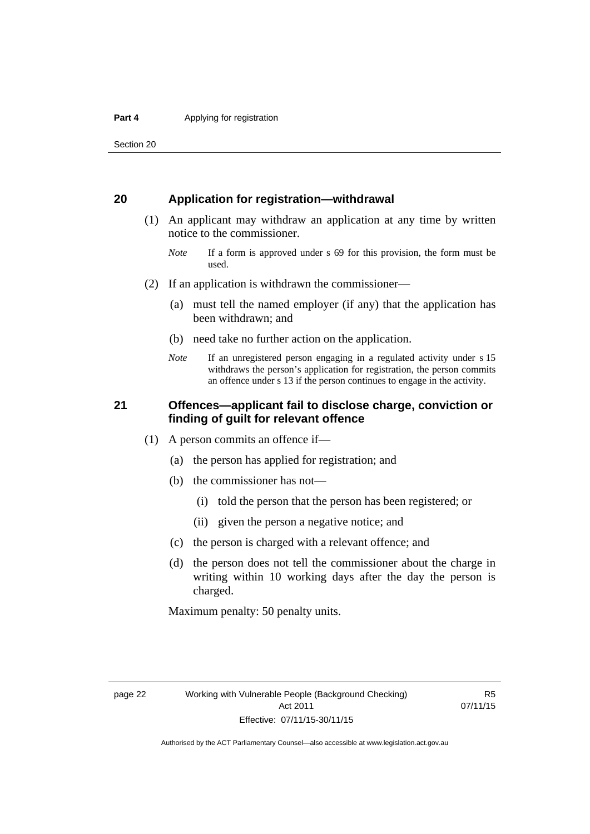Section 20

## <span id="page-29-0"></span>**20 Application for registration—withdrawal**

- (1) An applicant may withdraw an application at any time by written notice to the commissioner.
	- *Note* If a form is approved under s 69 for this provision, the form must be used.
- (2) If an application is withdrawn the commissioner—
	- (a) must tell the named employer (if any) that the application has been withdrawn; and
	- (b) need take no further action on the application.
	- *Note* If an unregistered person engaging in a regulated activity under s 15 withdraws the person's application for registration, the person commits an offence under s 13 if the person continues to engage in the activity.

## <span id="page-29-1"></span>**21 Offences—applicant fail to disclose charge, conviction or finding of guilt for relevant offence**

- (1) A person commits an offence if—
	- (a) the person has applied for registration; and
	- (b) the commissioner has not—
		- (i) told the person that the person has been registered; or
		- (ii) given the person a negative notice; and
	- (c) the person is charged with a relevant offence; and
	- (d) the person does not tell the commissioner about the charge in writing within 10 working days after the day the person is charged.

Maximum penalty: 50 penalty units.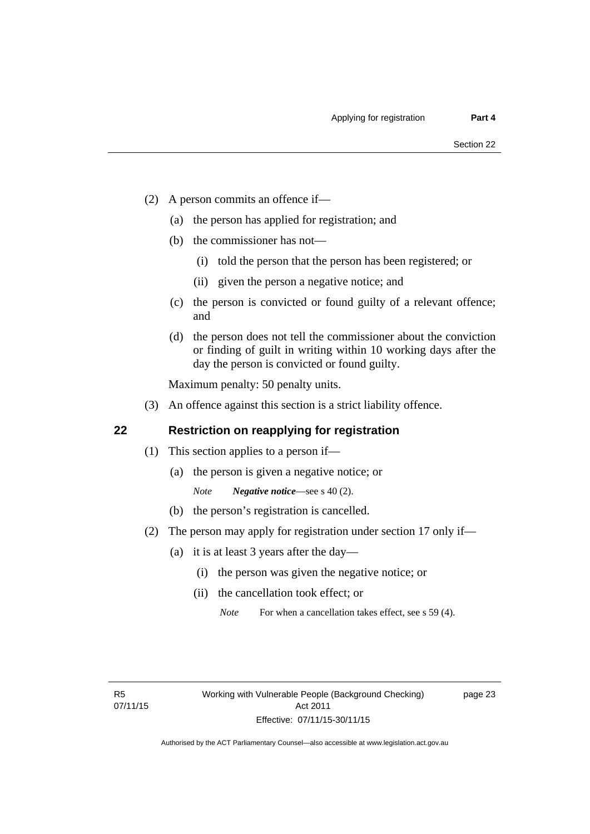- (2) A person commits an offence if—
	- (a) the person has applied for registration; and
	- (b) the commissioner has not—
		- (i) told the person that the person has been registered; or
		- (ii) given the person a negative notice; and
	- (c) the person is convicted or found guilty of a relevant offence; and
	- (d) the person does not tell the commissioner about the conviction or finding of guilt in writing within 10 working days after the day the person is convicted or found guilty.

Maximum penalty: 50 penalty units.

(3) An offence against this section is a strict liability offence.

## <span id="page-30-0"></span>**22 Restriction on reapplying for registration**

- (1) This section applies to a person if—
	- (a) the person is given a negative notice; or
		- *Note Negative notice*—see s 40 (2).
	- (b) the person's registration is cancelled.
- (2) The person may apply for registration under section 17 only if—
	- (a) it is at least 3 years after the day—
		- (i) the person was given the negative notice; or
		- (ii) the cancellation took effect; or

page 23

*Note* For when a cancellation takes effect, see s 59 (4).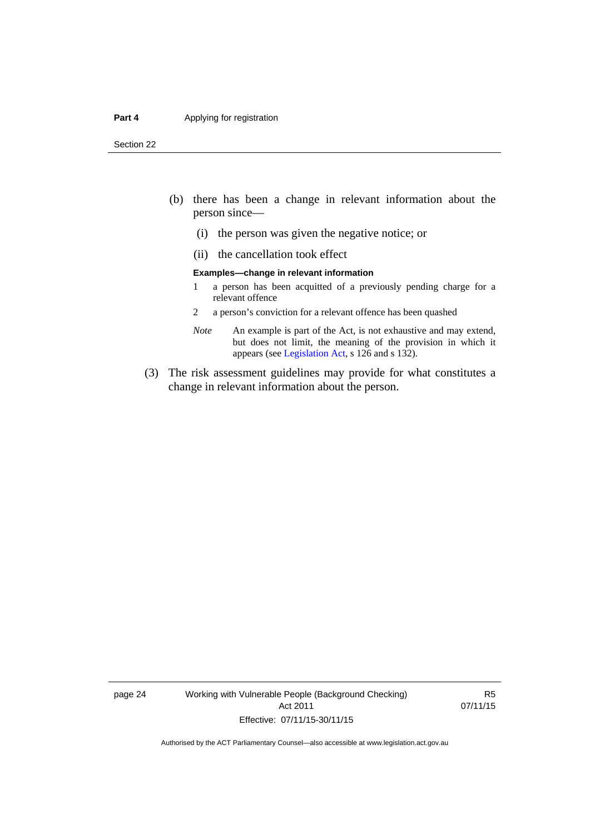#### **Part 4 Applying for registration**

Section 22

- (b) there has been a change in relevant information about the person since—
	- (i) the person was given the negative notice; or
	- (ii) the cancellation took effect

#### **Examples—change in relevant information**

- 1 a person has been acquitted of a previously pending charge for a relevant offence
- 2 a person's conviction for a relevant offence has been quashed
- *Note* An example is part of the Act, is not exhaustive and may extend, but does not limit, the meaning of the provision in which it appears (see [Legislation Act,](http://www.legislation.act.gov.au/a/2001-14) s 126 and s 132).
- (3) The risk assessment guidelines may provide for what constitutes a change in relevant information about the person.

page 24 Working with Vulnerable People (Background Checking) Act 2011 Effective: 07/11/15-30/11/15

R5 07/11/15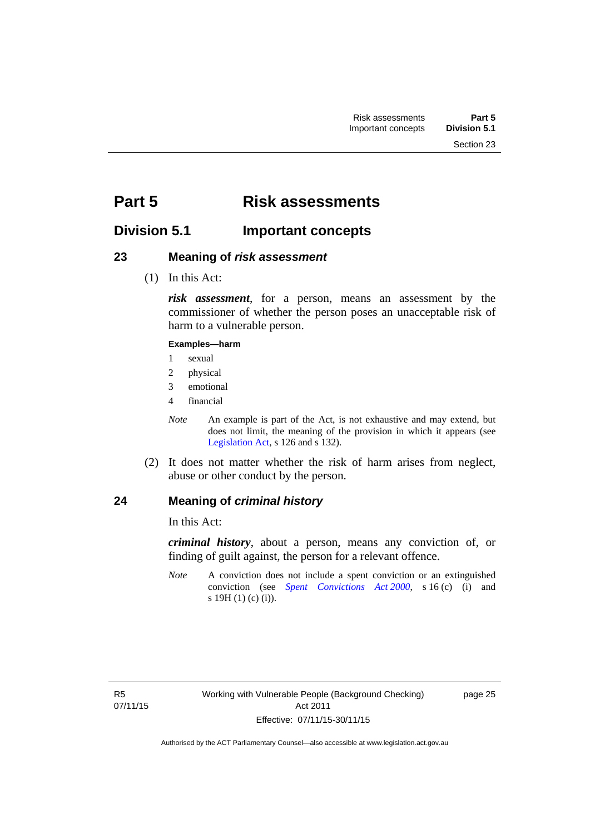## <span id="page-32-0"></span>**Part 5 Risk assessments**

## <span id="page-32-1"></span>**Division 5.1 Important concepts**

## <span id="page-32-2"></span>**23 Meaning of** *risk assessment*

(1) In this Act:

*risk assessment*, for a person, means an assessment by the commissioner of whether the person poses an unacceptable risk of harm to a vulnerable person.

### **Examples—harm**

- 1 sexual
- 2 physical
- 3 emotional
- 4 financial
- *Note* An example is part of the Act, is not exhaustive and may extend, but does not limit, the meaning of the provision in which it appears (see [Legislation Act,](http://www.legislation.act.gov.au/a/2001-14) s 126 and s 132).
- (2) It does not matter whether the risk of harm arises from neglect, abuse or other conduct by the person.

## <span id="page-32-3"></span>**24 Meaning of** *criminal history*

In this Act:

*criminal history*, about a person, means any conviction of, or finding of guilt against, the person for a relevant offence.

*Note* A conviction does not include a spent conviction or an extinguished conviction (see *[Spent Convictions Act 2000](http://www.legislation.act.gov.au/a/2000-48)*, s 16 (c) (i) and s 19H (1) (c) (i)).

page 25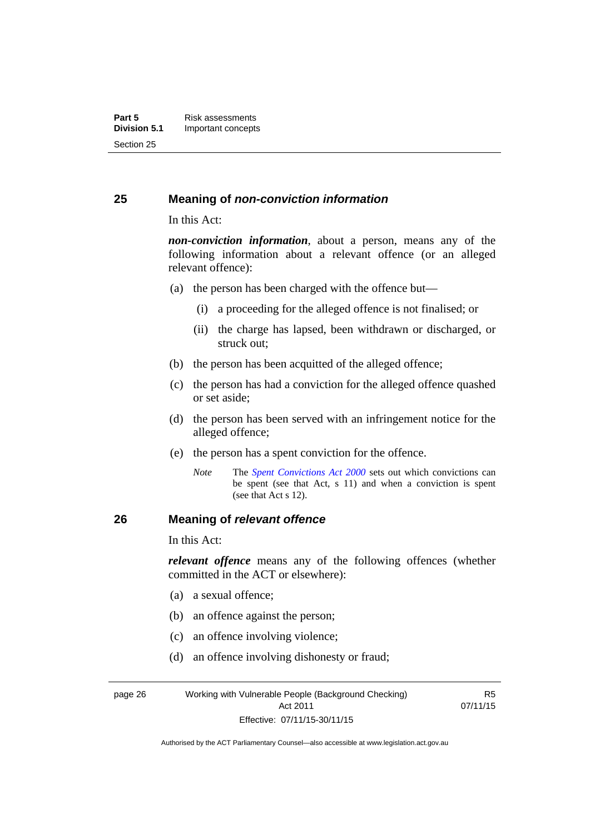## <span id="page-33-0"></span>**25 Meaning of** *non-conviction information*

In this Act:

*non-conviction information*, about a person, means any of the following information about a relevant offence (or an alleged relevant offence):

- (a) the person has been charged with the offence but—
	- (i) a proceeding for the alleged offence is not finalised; or
	- (ii) the charge has lapsed, been withdrawn or discharged, or struck out;
- (b) the person has been acquitted of the alleged offence;
- (c) the person has had a conviction for the alleged offence quashed or set aside;
- (d) the person has been served with an infringement notice for the alleged offence;
- (e) the person has a spent conviction for the offence.
	- *Note* The *[Spent Convictions Act 2000](http://www.legislation.act.gov.au/a/2000-48)* sets out which convictions can be spent (see that Act, s 11) and when a conviction is spent (see that Act s 12).

## <span id="page-33-1"></span>**26 Meaning of** *relevant offence*

In this Act:

*relevant offence* means any of the following offences (whether committed in the ACT or elsewhere):

- (a) a sexual offence;
- (b) an offence against the person;
- (c) an offence involving violence;
- (d) an offence involving dishonesty or fraud;

page 26 Working with Vulnerable People (Background Checking) Act 2011 Effective: 07/11/15-30/11/15

R5 07/11/15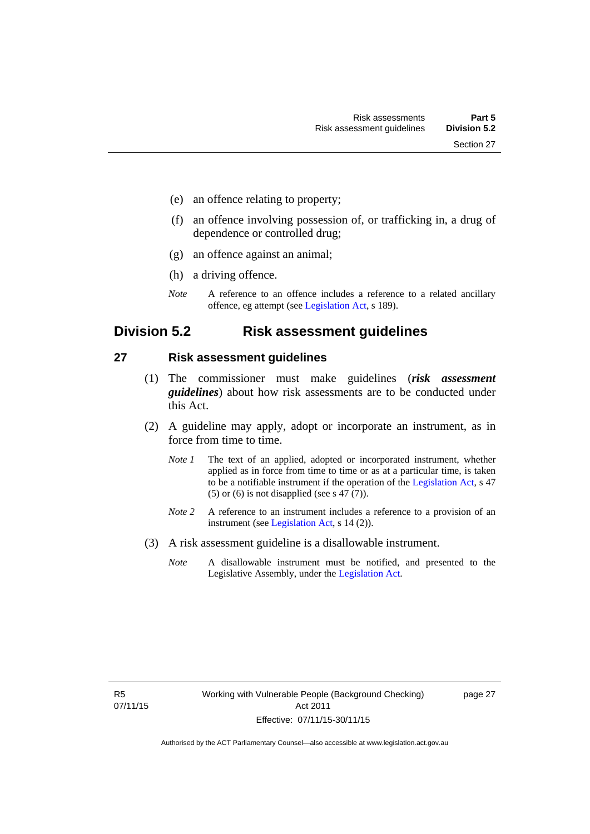- (e) an offence relating to property;
- (f) an offence involving possession of, or trafficking in, a drug of dependence or controlled drug;
- (g) an offence against an animal;
- (h) a driving offence.
- *Note* A reference to an offence includes a reference to a related ancillary offence, eg attempt (see [Legislation Act,](http://www.legislation.act.gov.au/a/2001-14) s 189).

## <span id="page-34-0"></span>**Division 5.2 Risk assessment guidelines**

### <span id="page-34-1"></span>**27 Risk assessment guidelines**

- (1) The commissioner must make guidelines (*risk assessment guidelines*) about how risk assessments are to be conducted under this Act.
- (2) A guideline may apply, adopt or incorporate an instrument, as in force from time to time.
	- *Note 1* The text of an applied, adopted or incorporated instrument, whether applied as in force from time to time or as at a particular time, is taken to be a notifiable instrument if the operation of the [Legislation Act,](http://www.legislation.act.gov.au/a/2001-14) s 47 (5) or (6) is not disapplied (see s 47 (7)).
	- *Note 2* A reference to an instrument includes a reference to a provision of an instrument (see [Legislation Act,](http://www.legislation.act.gov.au/a/2001-14) s 14 (2)).
- (3) A risk assessment guideline is a disallowable instrument.
	- *Note* A disallowable instrument must be notified, and presented to the Legislative Assembly, under the [Legislation Act.](http://www.legislation.act.gov.au/a/2001-14)

page 27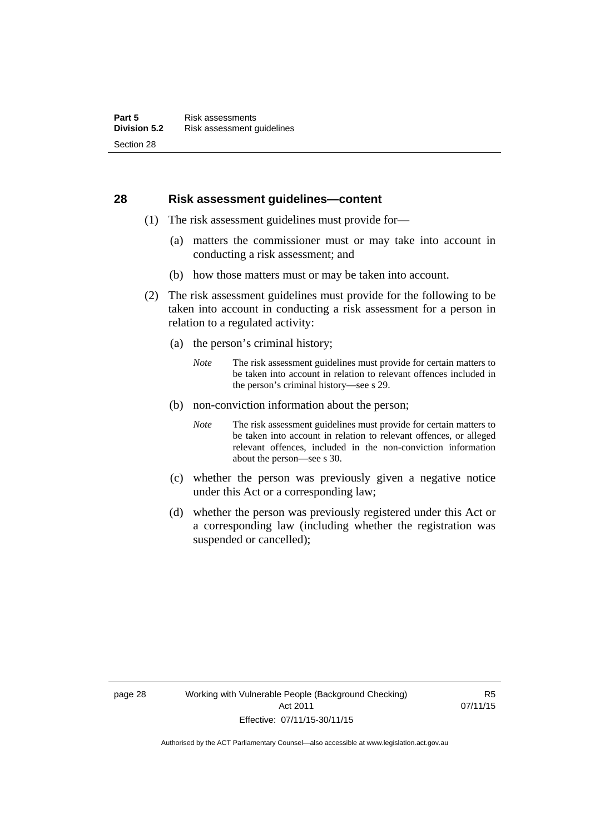### <span id="page-35-0"></span>**28 Risk assessment guidelines—content**

- (1) The risk assessment guidelines must provide for—
	- (a) matters the commissioner must or may take into account in conducting a risk assessment; and
	- (b) how those matters must or may be taken into account.
- (2) The risk assessment guidelines must provide for the following to be taken into account in conducting a risk assessment for a person in relation to a regulated activity:
	- (a) the person's criminal history;
		- *Note* The risk assessment guidelines must provide for certain matters to be taken into account in relation to relevant offences included in the person's criminal history—see s 29.
	- (b) non-conviction information about the person;
		- *Note* The risk assessment guidelines must provide for certain matters to be taken into account in relation to relevant offences, or alleged relevant offences, included in the non-conviction information about the person—see s 30.
	- (c) whether the person was previously given a negative notice under this Act or a corresponding law;
	- (d) whether the person was previously registered under this Act or a corresponding law (including whether the registration was suspended or cancelled);

R5 07/11/15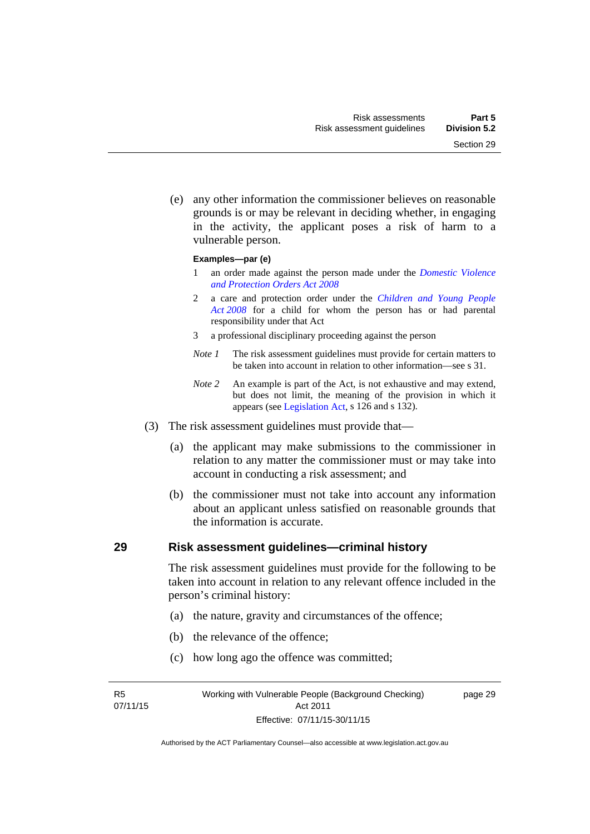Section 29

 (e) any other information the commissioner believes on reasonable grounds is or may be relevant in deciding whether, in engaging in the activity, the applicant poses a risk of harm to a

#### **Examples—par (e)**

vulnerable person.

- 1 an order made against the person made under the *[Domestic Violence](http://www.legislation.act.gov.au/a/2008-46)  [and Protection Orders Act 2008](http://www.legislation.act.gov.au/a/2008-46)*
- 2 a care and protection order under the *[Children and Young People](http://www.legislation.act.gov.au/a/2008-19)  [Act 2008](http://www.legislation.act.gov.au/a/2008-19)* for a child for whom the person has or had parental responsibility under that Act
- 3 a professional disciplinary proceeding against the person
- *Note 1* The risk assessment guidelines must provide for certain matters to be taken into account in relation to other information—see s 31.
- *Note 2* An example is part of the Act, is not exhaustive and may extend, but does not limit, the meaning of the provision in which it appears (see [Legislation Act,](http://www.legislation.act.gov.au/a/2001-14) s 126 and s 132).
- (3) The risk assessment guidelines must provide that—
	- (a) the applicant may make submissions to the commissioner in relation to any matter the commissioner must or may take into account in conducting a risk assessment; and
	- (b) the commissioner must not take into account any information about an applicant unless satisfied on reasonable grounds that the information is accurate.

#### **29 Risk assessment guidelines—criminal history**

The risk assessment guidelines must provide for the following to be taken into account in relation to any relevant offence included in the person's criminal history:

- (a) the nature, gravity and circumstances of the offence;
- (b) the relevance of the offence;
- (c) how long ago the offence was committed;

R5 07/11/15 page 29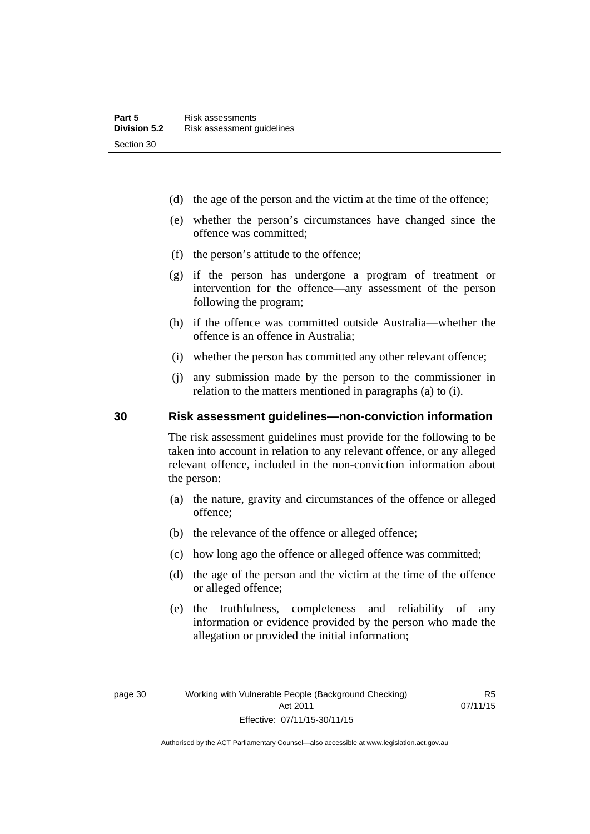- (d) the age of the person and the victim at the time of the offence;
- (e) whether the person's circumstances have changed since the offence was committed;
- (f) the person's attitude to the offence;
- (g) if the person has undergone a program of treatment or intervention for the offence—any assessment of the person following the program;
- (h) if the offence was committed outside Australia—whether the offence is an offence in Australia;
- (i) whether the person has committed any other relevant offence;
- (j) any submission made by the person to the commissioner in relation to the matters mentioned in paragraphs (a) to (i).

## **30 Risk assessment guidelines—non-conviction information**

The risk assessment guidelines must provide for the following to be taken into account in relation to any relevant offence, or any alleged relevant offence, included in the non-conviction information about the person:

- (a) the nature, gravity and circumstances of the offence or alleged offence;
- (b) the relevance of the offence or alleged offence;
- (c) how long ago the offence or alleged offence was committed;
- (d) the age of the person and the victim at the time of the offence or alleged offence;
- (e) the truthfulness, completeness and reliability of any information or evidence provided by the person who made the allegation or provided the initial information;

R5 07/11/15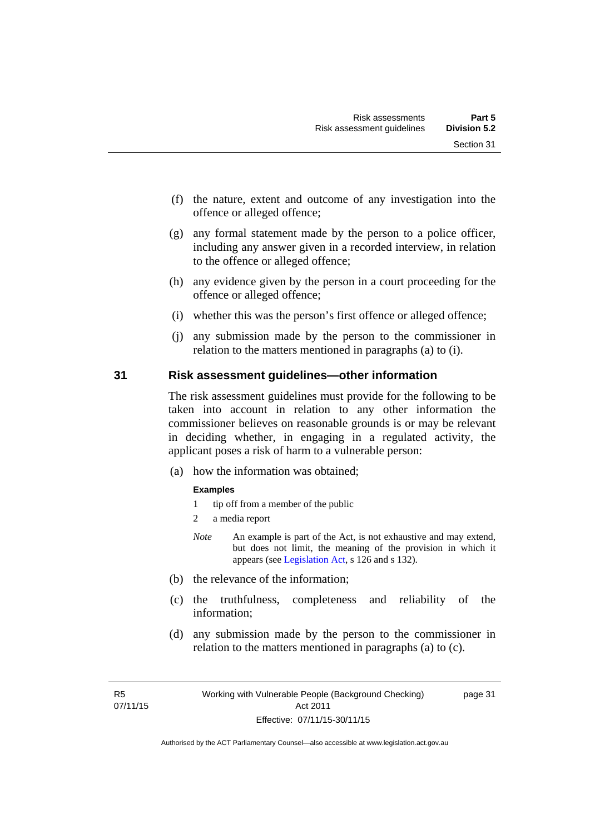- (f) the nature, extent and outcome of any investigation into the offence or alleged offence;
- (g) any formal statement made by the person to a police officer, including any answer given in a recorded interview, in relation to the offence or alleged offence;
- (h) any evidence given by the person in a court proceeding for the offence or alleged offence;
- (i) whether this was the person's first offence or alleged offence;
- (j) any submission made by the person to the commissioner in relation to the matters mentioned in paragraphs (a) to (i).

#### **31 Risk assessment guidelines—other information**

The risk assessment guidelines must provide for the following to be taken into account in relation to any other information the commissioner believes on reasonable grounds is or may be relevant in deciding whether, in engaging in a regulated activity, the applicant poses a risk of harm to a vulnerable person:

(a) how the information was obtained;

#### **Examples**

- 1 tip off from a member of the public
- 2 a media report
- *Note* An example is part of the Act, is not exhaustive and may extend, but does not limit, the meaning of the provision in which it appears (see [Legislation Act,](http://www.legislation.act.gov.au/a/2001-14) s 126 and s 132).
- (b) the relevance of the information;
- (c) the truthfulness, completeness and reliability of the information;
- (d) any submission made by the person to the commissioner in relation to the matters mentioned in paragraphs (a) to (c).

page 31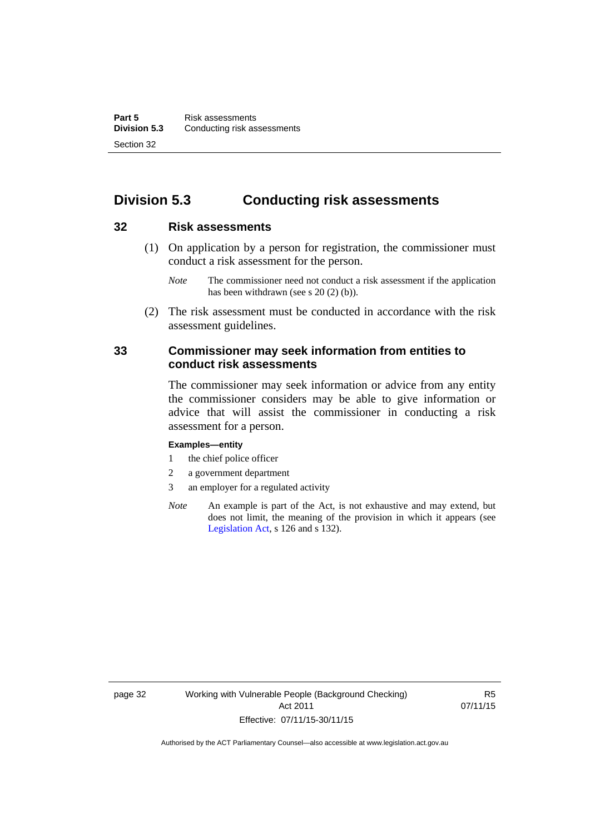# **Division 5.3 Conducting risk assessments**

## **32 Risk assessments**

 (1) On application by a person for registration, the commissioner must conduct a risk assessment for the person.

 (2) The risk assessment must be conducted in accordance with the risk assessment guidelines.

## **33 Commissioner may seek information from entities to conduct risk assessments**

The commissioner may seek information or advice from any entity the commissioner considers may be able to give information or advice that will assist the commissioner in conducting a risk assessment for a person.

#### **Examples—entity**

- 1 the chief police officer
- 2 a government department
- 3 an employer for a regulated activity
- *Note* An example is part of the Act, is not exhaustive and may extend, but does not limit, the meaning of the provision in which it appears (see [Legislation Act,](http://www.legislation.act.gov.au/a/2001-14) s 126 and s 132).

*Note* The commissioner need not conduct a risk assessment if the application has been withdrawn (see s 20 (2) (b)).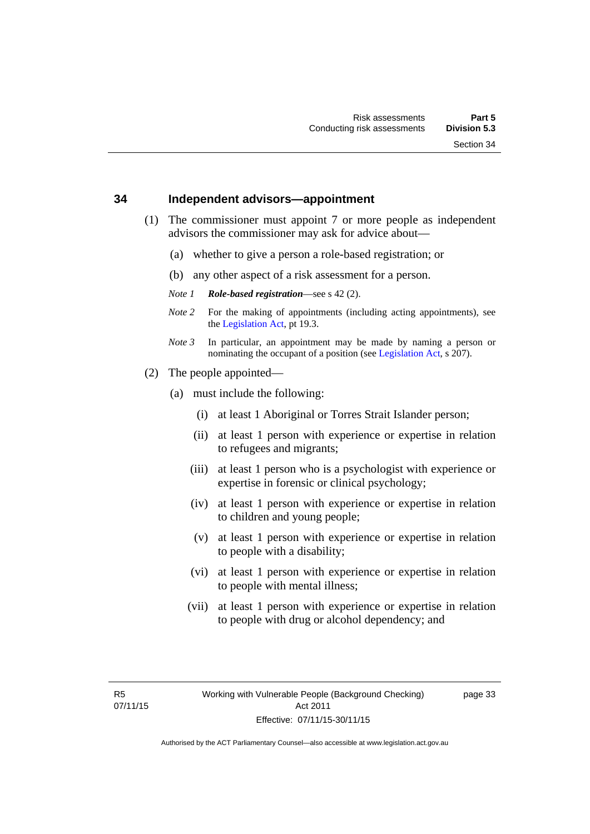#### **34 Independent advisors—appointment**

- (1) The commissioner must appoint 7 or more people as independent advisors the commissioner may ask for advice about—
	- (a) whether to give a person a role-based registration; or
	- (b) any other aspect of a risk assessment for a person.
	- *Note 1 Role-based registration*—see s 42 (2).
	- *Note 2* For the making of appointments (including acting appointments), see the [Legislation Act,](http://www.legislation.act.gov.au/a/2001-14) pt 19.3.
	- *Note 3* In particular, an appointment may be made by naming a person or nominating the occupant of a position (see [Legislation Act](http://www.legislation.act.gov.au/a/2001-14), s 207).
- (2) The people appointed—
	- (a) must include the following:
		- (i) at least 1 Aboriginal or Torres Strait Islander person;
		- (ii) at least 1 person with experience or expertise in relation to refugees and migrants;
		- (iii) at least 1 person who is a psychologist with experience or expertise in forensic or clinical psychology;
		- (iv) at least 1 person with experience or expertise in relation to children and young people;
		- (v) at least 1 person with experience or expertise in relation to people with a disability;
		- (vi) at least 1 person with experience or expertise in relation to people with mental illness;
		- (vii) at least 1 person with experience or expertise in relation to people with drug or alcohol dependency; and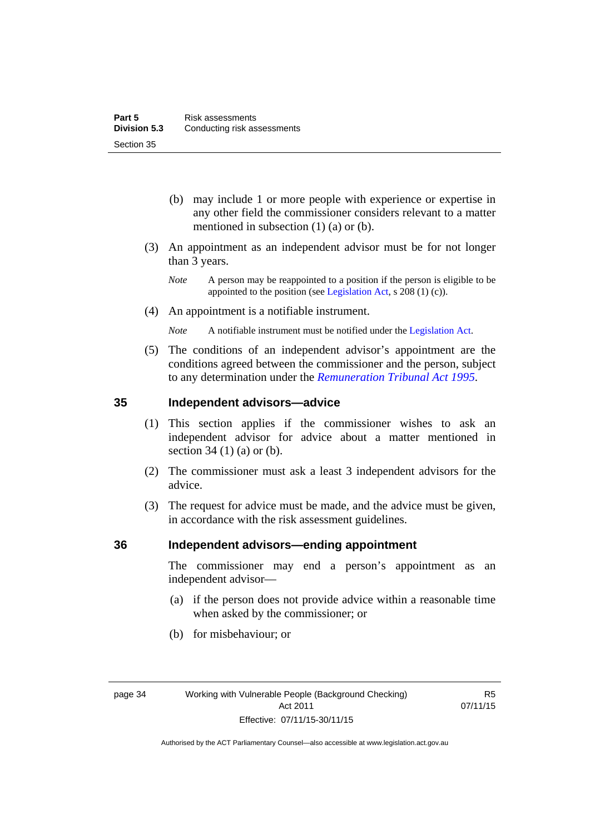- (b) may include 1 or more people with experience or expertise in any other field the commissioner considers relevant to a matter mentioned in subsection (1) (a) or (b).
- (3) An appointment as an independent advisor must be for not longer than 3 years.
	- *Note* A person may be reappointed to a position if the person is eligible to be appointed to the position (see [Legislation Act](http://www.legislation.act.gov.au/a/2001-14), s 208 (1) (c)).
- (4) An appointment is a notifiable instrument.
	- *Note* A notifiable instrument must be notified under the [Legislation Act](http://www.legislation.act.gov.au/a/2001-14).
- (5) The conditions of an independent advisor's appointment are the conditions agreed between the commissioner and the person, subject to any determination under the *[Remuneration Tribunal Act 1995](http://www.legislation.act.gov.au/a/1995-55)*.

#### **35 Independent advisors—advice**

- (1) This section applies if the commissioner wishes to ask an independent advisor for advice about a matter mentioned in section 34 (1) (a) or (b).
- (2) The commissioner must ask a least 3 independent advisors for the advice.
- (3) The request for advice must be made, and the advice must be given, in accordance with the risk assessment guidelines.

#### **36 Independent advisors—ending appointment**

The commissioner may end a person's appointment as an independent advisor—

- (a) if the person does not provide advice within a reasonable time when asked by the commissioner; or
- (b) for misbehaviour; or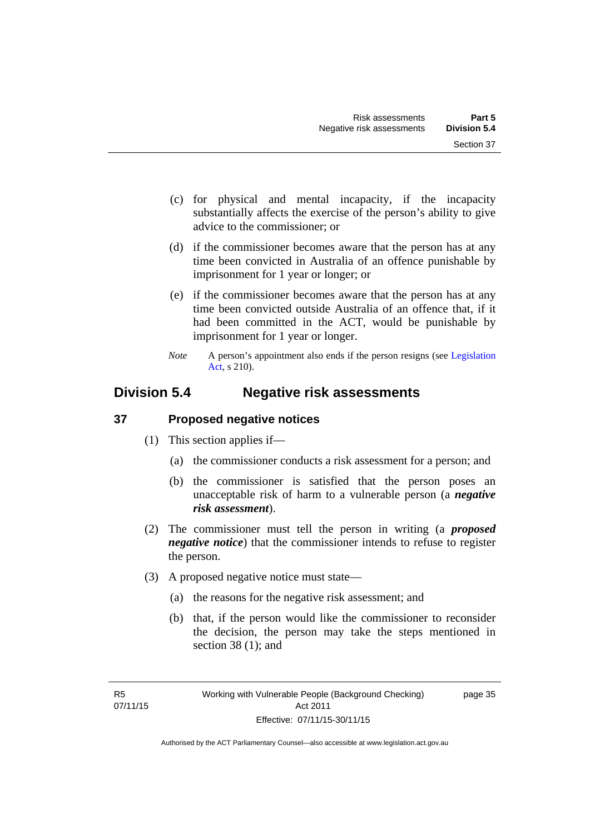- (c) for physical and mental incapacity, if the incapacity substantially affects the exercise of the person's ability to give advice to the commissioner; or
- (d) if the commissioner becomes aware that the person has at any time been convicted in Australia of an offence punishable by imprisonment for 1 year or longer; or
- (e) if the commissioner becomes aware that the person has at any time been convicted outside Australia of an offence that, if it had been committed in the ACT, would be punishable by imprisonment for 1 year or longer.
- *Note* A person's appointment also ends if the person resigns (see Legislation [Act](http://www.legislation.act.gov.au/a/2001-14), s 210).

# **Division 5.4 Negative risk assessments**

## **37 Proposed negative notices**

- (1) This section applies if—
	- (a) the commissioner conducts a risk assessment for a person; and
	- (b) the commissioner is satisfied that the person poses an unacceptable risk of harm to a vulnerable person (a *negative risk assessment*).
- (2) The commissioner must tell the person in writing (a *proposed negative notice*) that the commissioner intends to refuse to register the person.
- (3) A proposed negative notice must state—
	- (a) the reasons for the negative risk assessment; and
	- (b) that, if the person would like the commissioner to reconsider the decision, the person may take the steps mentioned in section 38 (1); and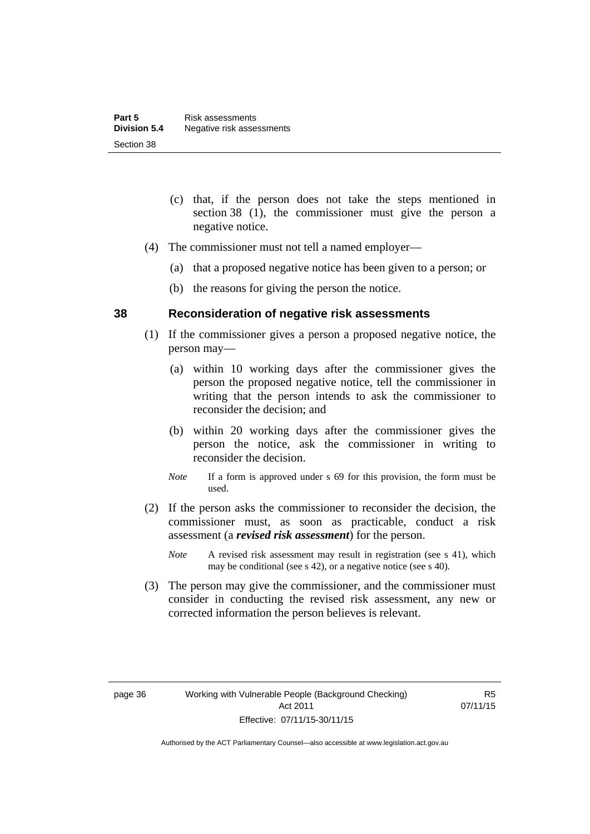- (c) that, if the person does not take the steps mentioned in section 38 (1), the commissioner must give the person a negative notice.
- (4) The commissioner must not tell a named employer—
	- (a) that a proposed negative notice has been given to a person; or
	- (b) the reasons for giving the person the notice.

#### **38 Reconsideration of negative risk assessments**

- (1) If the commissioner gives a person a proposed negative notice, the person may—
	- (a) within 10 working days after the commissioner gives the person the proposed negative notice, tell the commissioner in writing that the person intends to ask the commissioner to reconsider the decision; and
	- (b) within 20 working days after the commissioner gives the person the notice, ask the commissioner in writing to reconsider the decision.
	- *Note* If a form is approved under s 69 for this provision, the form must be used.
- (2) If the person asks the commissioner to reconsider the decision, the commissioner must, as soon as practicable, conduct a risk assessment (a *revised risk assessment*) for the person.
	- *Note* A revised risk assessment may result in registration (see s 41), which may be conditional (see s 42), or a negative notice (see s 40).
- (3) The person may give the commissioner, and the commissioner must consider in conducting the revised risk assessment, any new or corrected information the person believes is relevant.

R5 07/11/15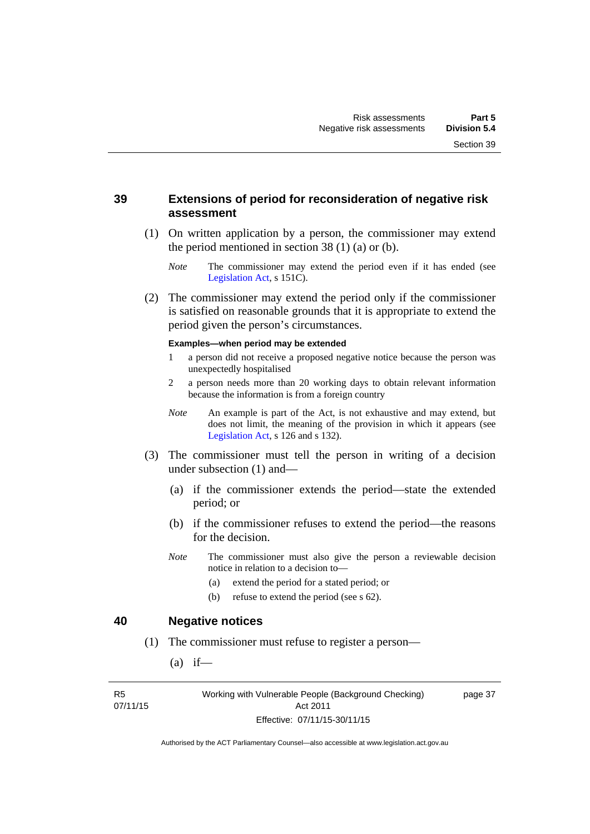## **39 Extensions of period for reconsideration of negative risk assessment**

- (1) On written application by a person, the commissioner may extend the period mentioned in section  $38(1)(a)$  or (b).
	- *Note* The commissioner may extend the period even if it has ended (see [Legislation Act,](http://www.legislation.act.gov.au/a/2001-14) s 151C).
- (2) The commissioner may extend the period only if the commissioner is satisfied on reasonable grounds that it is appropriate to extend the period given the person's circumstances.

#### **Examples—when period may be extended**

- 1 a person did not receive a proposed negative notice because the person was unexpectedly hospitalised
- 2 a person needs more than 20 working days to obtain relevant information because the information is from a foreign country
- *Note* An example is part of the Act, is not exhaustive and may extend, but does not limit, the meaning of the provision in which it appears (see [Legislation Act,](http://www.legislation.act.gov.au/a/2001-14) s 126 and s 132).
- (3) The commissioner must tell the person in writing of a decision under subsection (1) and—
	- (a) if the commissioner extends the period—state the extended period; or
	- (b) if the commissioner refuses to extend the period—the reasons for the decision.
	- *Note* The commissioner must also give the person a reviewable decision notice in relation to a decision to—
		- (a) extend the period for a stated period; or
		- (b) refuse to extend the period (see s 62).

#### **40 Negative notices**

- (1) The commissioner must refuse to register a person—
	- $(a)$  if—

R5 07/11/15 Working with Vulnerable People (Background Checking) Act 2011 Effective: 07/11/15-30/11/15

page 37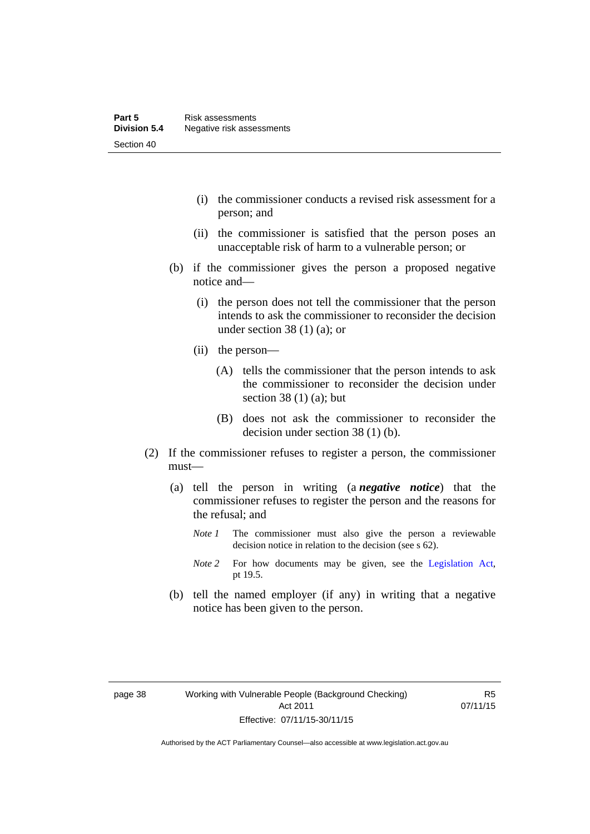- (i) the commissioner conducts a revised risk assessment for a person; and
- (ii) the commissioner is satisfied that the person poses an unacceptable risk of harm to a vulnerable person; or
- (b) if the commissioner gives the person a proposed negative notice and—
	- (i) the person does not tell the commissioner that the person intends to ask the commissioner to reconsider the decision under section 38 $(1)$  $(a)$ ; or
	- (ii) the person—
		- (A) tells the commissioner that the person intends to ask the commissioner to reconsider the decision under section 38 $(1)$  $(a)$ ; but
		- (B) does not ask the commissioner to reconsider the decision under section 38 (1) (b).
- (2) If the commissioner refuses to register a person, the commissioner must—
	- (a) tell the person in writing (a *negative notice*) that the commissioner refuses to register the person and the reasons for the refusal; and
		- *Note 1* The commissioner must also give the person a reviewable decision notice in relation to the decision (see s 62).
		- *Note* 2 For how documents may be given, see the [Legislation Act,](http://www.legislation.act.gov.au/a/2001-14) pt 19.5.
	- (b) tell the named employer (if any) in writing that a negative notice has been given to the person.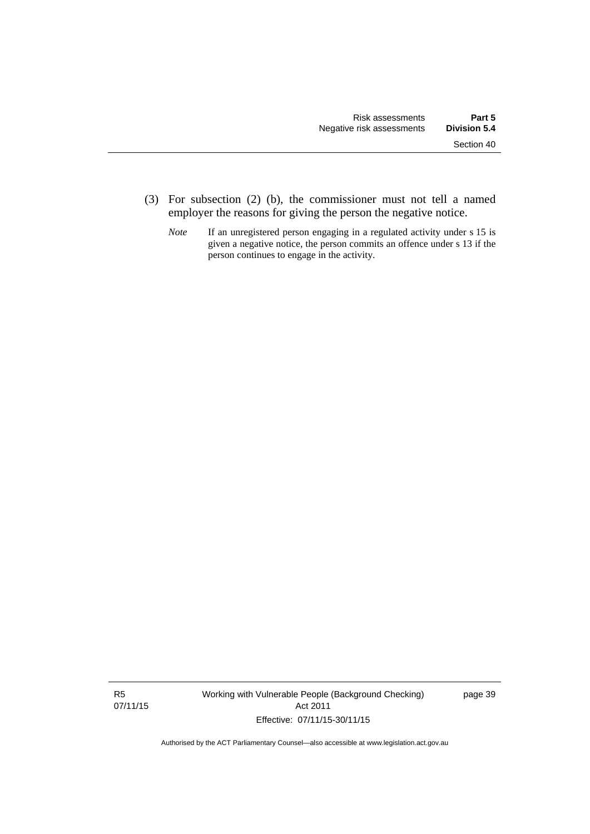- (3) For subsection (2) (b), the commissioner must not tell a named employer the reasons for giving the person the negative notice.
	- *Note* If an unregistered person engaging in a regulated activity under s 15 is given a negative notice, the person commits an offence under s 13 if the person continues to engage in the activity.

R5 07/11/15 Working with Vulnerable People (Background Checking) Act 2011 Effective: 07/11/15-30/11/15

page 39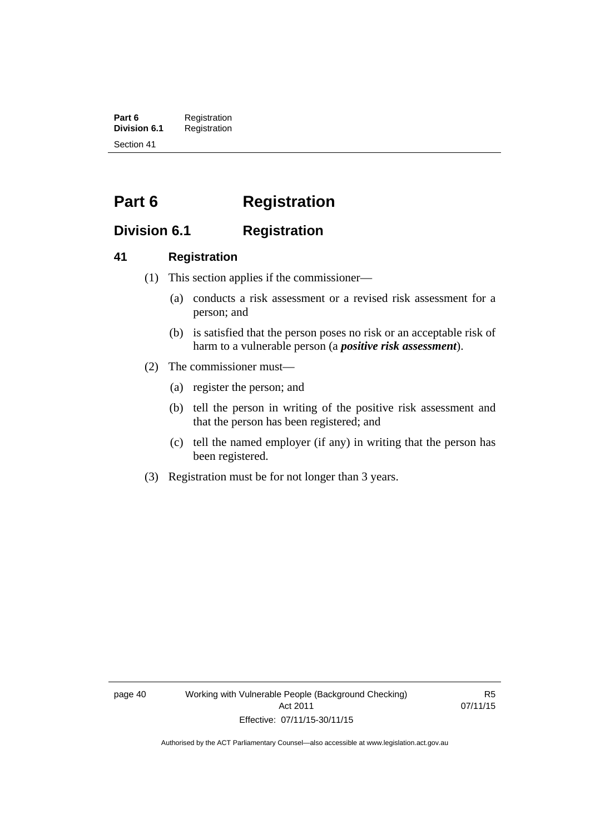**Part 6** Registration<br>**Division 6.1** Registration **Division 6.1** Registration Section 41

# **Part 6 Registration**

# **Division 6.1 Registration**

## **41 Registration**

- (1) This section applies if the commissioner—
	- (a) conducts a risk assessment or a revised risk assessment for a person; and
	- (b) is satisfied that the person poses no risk or an acceptable risk of harm to a vulnerable person (a *positive risk assessment*).
- (2) The commissioner must—
	- (a) register the person; and
	- (b) tell the person in writing of the positive risk assessment and that the person has been registered; and
	- (c) tell the named employer (if any) in writing that the person has been registered.
- (3) Registration must be for not longer than 3 years.

page 40 Working with Vulnerable People (Background Checking) Act 2011 Effective: 07/11/15-30/11/15

R5 07/11/15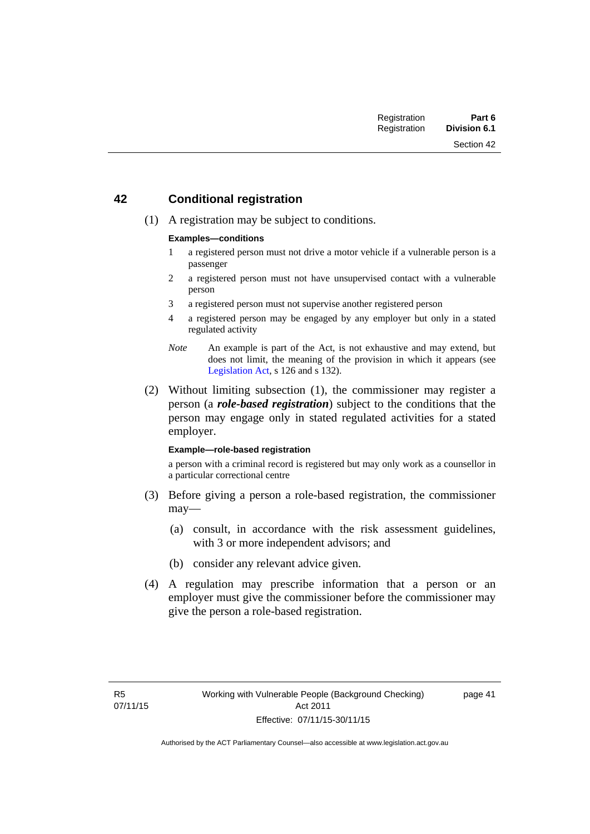## **42 Conditional registration**

(1) A registration may be subject to conditions.

#### **Examples—conditions**

- 1 a registered person must not drive a motor vehicle if a vulnerable person is a passenger
- 2 a registered person must not have unsupervised contact with a vulnerable person
- 3 a registered person must not supervise another registered person
- 4 a registered person may be engaged by any employer but only in a stated regulated activity
- *Note* An example is part of the Act, is not exhaustive and may extend, but does not limit, the meaning of the provision in which it appears (see [Legislation Act,](http://www.legislation.act.gov.au/a/2001-14) s 126 and s 132).
- (2) Without limiting subsection (1), the commissioner may register a person (a *role-based registration*) subject to the conditions that the person may engage only in stated regulated activities for a stated employer.

#### **Example—role-based registration**

a person with a criminal record is registered but may only work as a counsellor in a particular correctional centre

- (3) Before giving a person a role-based registration, the commissioner may—
	- (a) consult, in accordance with the risk assessment guidelines, with 3 or more independent advisors; and
	- (b) consider any relevant advice given.
- (4) A regulation may prescribe information that a person or an employer must give the commissioner before the commissioner may give the person a role-based registration.

page 41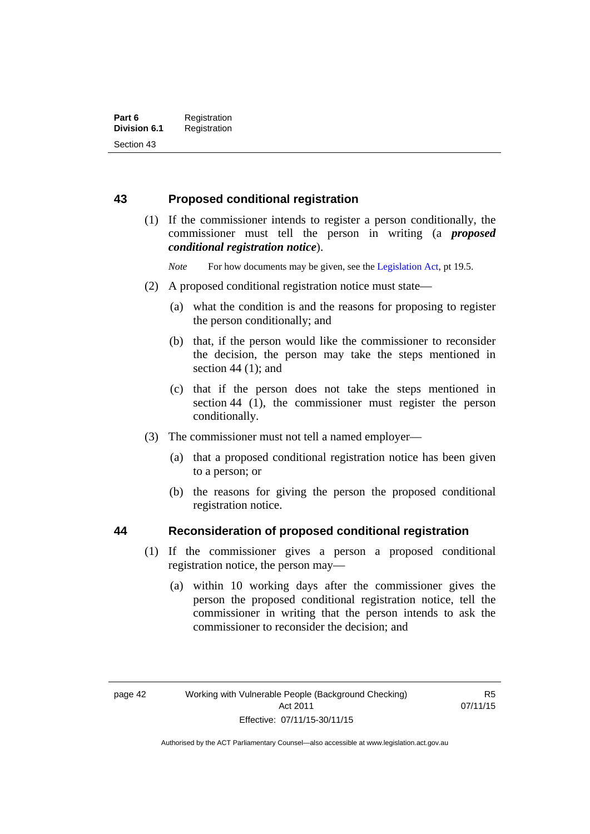## **43 Proposed conditional registration**

 (1) If the commissioner intends to register a person conditionally, the commissioner must tell the person in writing (a *proposed conditional registration notice*).

*Note* For how documents may be given, see the [Legislation Act,](http://www.legislation.act.gov.au/a/2001-14) pt 19.5.

- (2) A proposed conditional registration notice must state—
	- (a) what the condition is and the reasons for proposing to register the person conditionally; and
	- (b) that, if the person would like the commissioner to reconsider the decision, the person may take the steps mentioned in section  $44$  (1); and
	- (c) that if the person does not take the steps mentioned in section 44 (1), the commissioner must register the person conditionally.
- (3) The commissioner must not tell a named employer—
	- (a) that a proposed conditional registration notice has been given to a person; or
	- (b) the reasons for giving the person the proposed conditional registration notice.

## **44 Reconsideration of proposed conditional registration**

- (1) If the commissioner gives a person a proposed conditional registration notice, the person may—
	- (a) within 10 working days after the commissioner gives the person the proposed conditional registration notice, tell the commissioner in writing that the person intends to ask the commissioner to reconsider the decision; and

Authorised by the ACT Parliamentary Counsel—also accessible at www.legislation.act.gov.au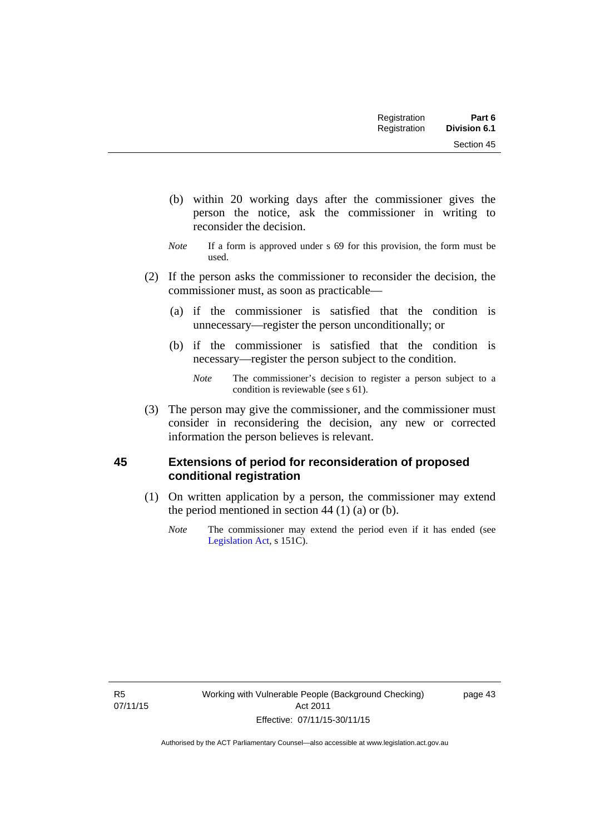| Registration | Part 6              |
|--------------|---------------------|
| Registration | <b>Division 6.1</b> |

Section 45

- (b) within 20 working days after the commissioner gives the person the notice, ask the commissioner in writing to reconsider the decision.
- *Note* If a form is approved under s 69 for this provision, the form must be used.
- (2) If the person asks the commissioner to reconsider the decision, the commissioner must, as soon as practicable—
	- (a) if the commissioner is satisfied that the condition is unnecessary—register the person unconditionally; or
	- (b) if the commissioner is satisfied that the condition is necessary—register the person subject to the condition.

 (3) The person may give the commissioner, and the commissioner must consider in reconsidering the decision, any new or corrected information the person believes is relevant.

## **45 Extensions of period for reconsideration of proposed conditional registration**

- (1) On written application by a person, the commissioner may extend the period mentioned in section  $44$  (1) (a) or (b).
	- *Note* The commissioner may extend the period even if it has ended (see [Legislation Act,](http://www.legislation.act.gov.au/a/2001-14) s 151C).

page 43

*Note* The commissioner's decision to register a person subject to a condition is reviewable (see s 61).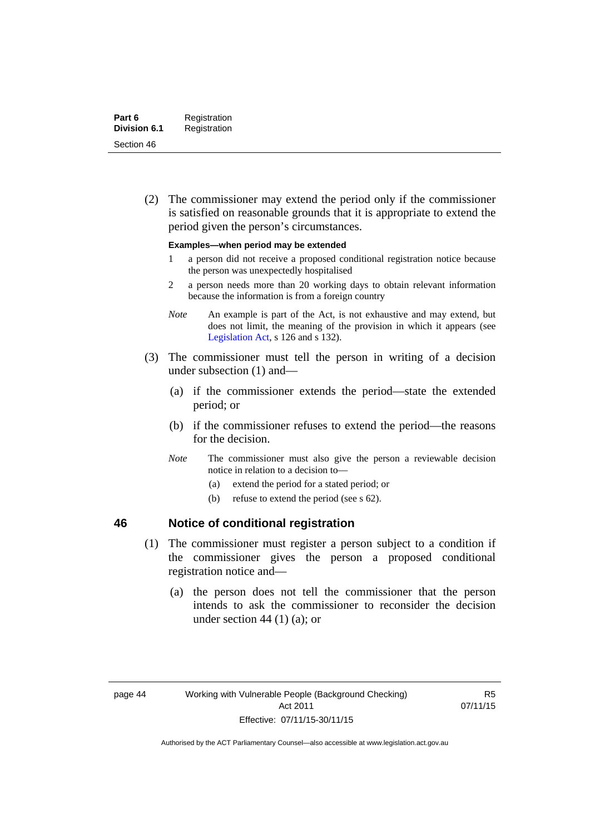(2) The commissioner may extend the period only if the commissioner is satisfied on reasonable grounds that it is appropriate to extend the period given the person's circumstances.

#### **Examples—when period may be extended**

- 1 a person did not receive a proposed conditional registration notice because the person was unexpectedly hospitalised
- 2 a person needs more than 20 working days to obtain relevant information because the information is from a foreign country
- *Note* An example is part of the Act, is not exhaustive and may extend, but does not limit, the meaning of the provision in which it appears (see [Legislation Act,](http://www.legislation.act.gov.au/a/2001-14) s 126 and s 132).
- (3) The commissioner must tell the person in writing of a decision under subsection (1) and—
	- (a) if the commissioner extends the period—state the extended period; or
	- (b) if the commissioner refuses to extend the period—the reasons for the decision.
	- *Note* The commissioner must also give the person a reviewable decision notice in relation to a decision to—
		- (a) extend the period for a stated period; or
		- (b) refuse to extend the period (see s 62).

## **46 Notice of conditional registration**

- (1) The commissioner must register a person subject to a condition if the commissioner gives the person a proposed conditional registration notice and—
	- (a) the person does not tell the commissioner that the person intends to ask the commissioner to reconsider the decision under section 44  $(1)$   $(a)$ ; or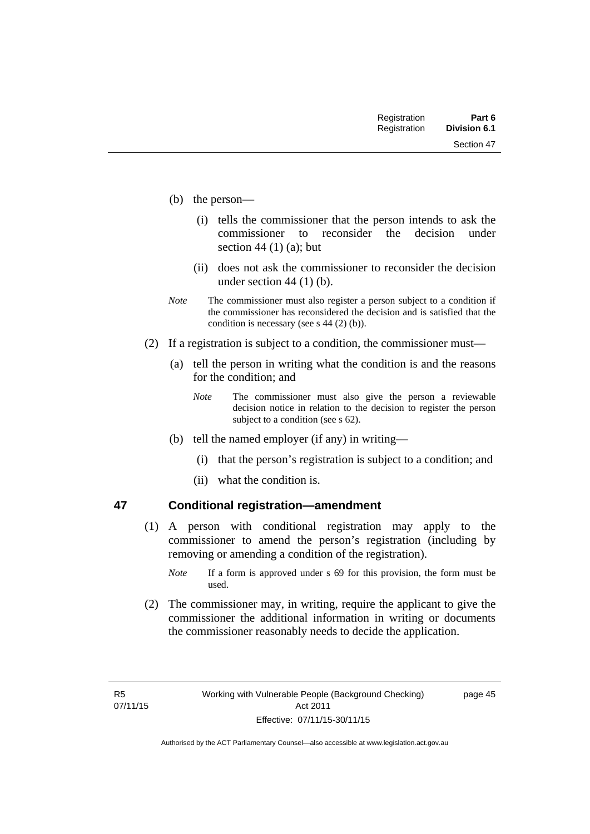Section 47

- (b) the person—
	- (i) tells the commissioner that the person intends to ask the commissioner to reconsider the decision under section 44 $(1)$  $(a)$ ; but
	- (ii) does not ask the commissioner to reconsider the decision under section 44 (1) (b).
- *Note* The commissioner must also register a person subject to a condition if the commissioner has reconsidered the decision and is satisfied that the condition is necessary (see s 44 (2) (b)).
- (2) If a registration is subject to a condition, the commissioner must—
	- (a) tell the person in writing what the condition is and the reasons for the condition; and
		- *Note* The commissioner must also give the person a reviewable decision notice in relation to the decision to register the person subject to a condition (see s 62).
	- (b) tell the named employer (if any) in writing—
		- (i) that the person's registration is subject to a condition; and
		- (ii) what the condition is.

## **47 Conditional registration—amendment**

- (1) A person with conditional registration may apply to the commissioner to amend the person's registration (including by removing or amending a condition of the registration).
	- *Note* If a form is approved under s 69 for this provision, the form must be used.
- (2) The commissioner may, in writing, require the applicant to give the commissioner the additional information in writing or documents the commissioner reasonably needs to decide the application.

page 45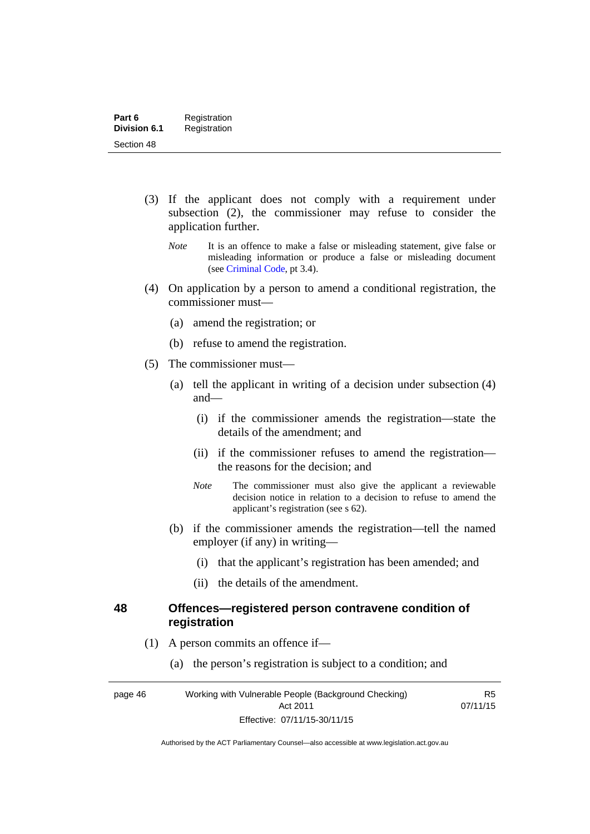- (3) If the applicant does not comply with a requirement under subsection (2), the commissioner may refuse to consider the application further.
	- *Note* It is an offence to make a false or misleading statement, give false or misleading information or produce a false or misleading document (see [Criminal Code,](http://www.legislation.act.gov.au/a/2002-51/default.asp) pt 3.4).
- (4) On application by a person to amend a conditional registration, the commissioner must—
	- (a) amend the registration; or
	- (b) refuse to amend the registration.
- (5) The commissioner must—
	- (a) tell the applicant in writing of a decision under subsection (4) and—
		- (i) if the commissioner amends the registration—state the details of the amendment; and
		- (ii) if the commissioner refuses to amend the registration the reasons for the decision; and
		- *Note* The commissioner must also give the applicant a reviewable decision notice in relation to a decision to refuse to amend the applicant's registration (see s 62).
	- (b) if the commissioner amends the registration—tell the named employer (if any) in writing—
		- (i) that the applicant's registration has been amended; and
		- (ii) the details of the amendment.

#### **48 Offences—registered person contravene condition of registration**

- (1) A person commits an offence if—
	- (a) the person's registration is subject to a condition; and

page 46 Working with Vulnerable People (Background Checking) Act 2011 Effective: 07/11/15-30/11/15

R5 07/11/15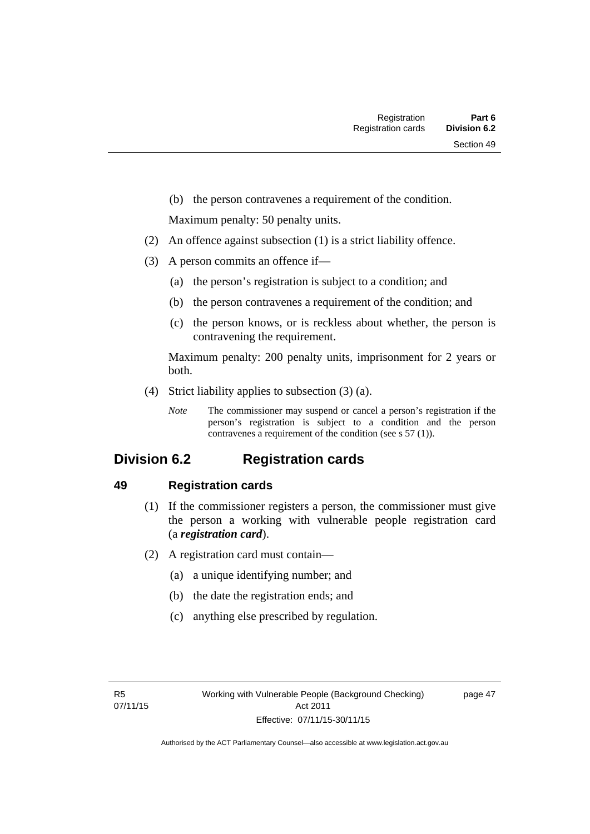(b) the person contravenes a requirement of the condition.

Maximum penalty: 50 penalty units.

- (2) An offence against subsection (1) is a strict liability offence.
- (3) A person commits an offence if—
	- (a) the person's registration is subject to a condition; and
	- (b) the person contravenes a requirement of the condition; and
	- (c) the person knows, or is reckless about whether, the person is contravening the requirement.

Maximum penalty: 200 penalty units, imprisonment for 2 years or both.

- (4) Strict liability applies to subsection (3) (a).
	- *Note* The commissioner may suspend or cancel a person's registration if the person's registration is subject to a condition and the person contravenes a requirement of the condition (see s 57 (1)).

# **Division 6.2 Registration cards**

## **49 Registration cards**

- (1) If the commissioner registers a person, the commissioner must give the person a working with vulnerable people registration card (a *registration card*).
- (2) A registration card must contain—
	- (a) a unique identifying number; and
	- (b) the date the registration ends; and
	- (c) anything else prescribed by regulation.

page 47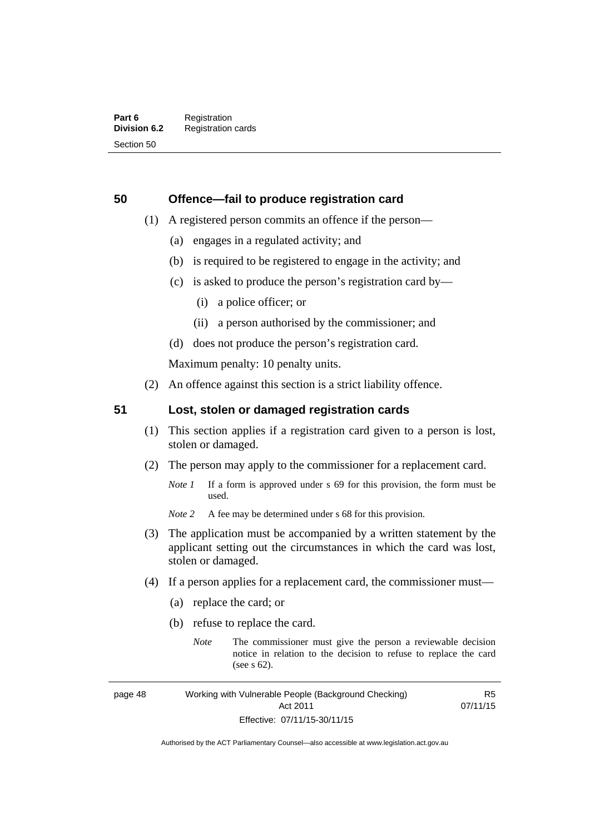## **50 Offence—fail to produce registration card**

- (1) A registered person commits an offence if the person—
	- (a) engages in a regulated activity; and
	- (b) is required to be registered to engage in the activity; and
	- (c) is asked to produce the person's registration card by—
		- (i) a police officer; or
		- (ii) a person authorised by the commissioner; and
	- (d) does not produce the person's registration card.

Maximum penalty: 10 penalty units.

(2) An offence against this section is a strict liability offence.

## **51 Lost, stolen or damaged registration cards**

- (1) This section applies if a registration card given to a person is lost, stolen or damaged.
- (2) The person may apply to the commissioner for a replacement card.
	- *Note 1* If a form is approved under s 69 for this provision, the form must be used.
	- *Note* 2 A fee may be determined under s 68 for this provision.
- (3) The application must be accompanied by a written statement by the applicant setting out the circumstances in which the card was lost, stolen or damaged.
- (4) If a person applies for a replacement card, the commissioner must—
	- (a) replace the card; or
	- (b) refuse to replace the card.
		- *Note* The commissioner must give the person a reviewable decision notice in relation to the decision to refuse to replace the card (see s 62).

page 48 Working with Vulnerable People (Background Checking) Act 2011 Effective: 07/11/15-30/11/15

R5 07/11/15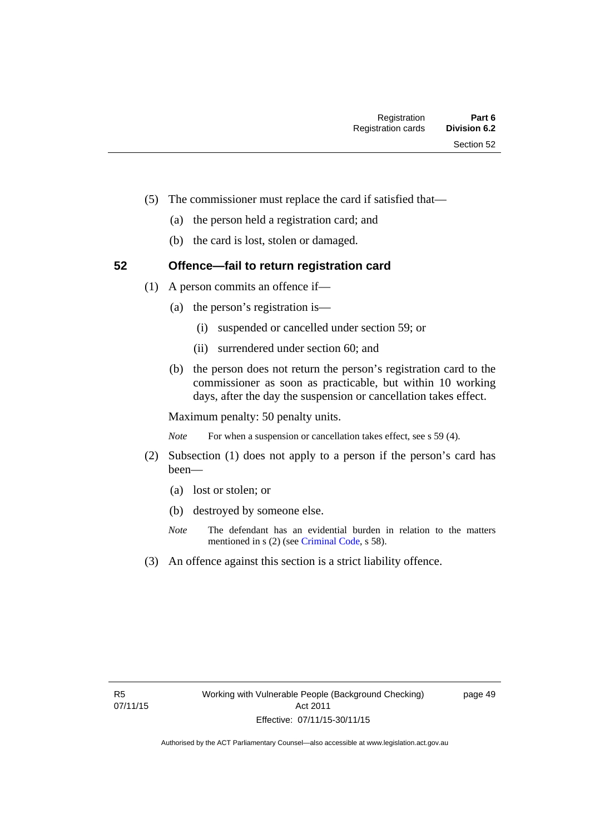- (5) The commissioner must replace the card if satisfied that—
	- (a) the person held a registration card; and
	- (b) the card is lost, stolen or damaged.

## **52 Offence—fail to return registration card**

- (1) A person commits an offence if—
	- (a) the person's registration is—
		- (i) suspended or cancelled under section 59; or
		- (ii) surrendered under section 60; and
	- (b) the person does not return the person's registration card to the commissioner as soon as practicable, but within 10 working days, after the day the suspension or cancellation takes effect.

Maximum penalty: 50 penalty units.

*Note* For when a suspension or cancellation takes effect, see s 59 (4).

- (2) Subsection (1) does not apply to a person if the person's card has been—
	- (a) lost or stolen; or
	- (b) destroyed by someone else.
	- *Note* The defendant has an evidential burden in relation to the matters mentioned in s (2) (see [Criminal Code](http://www.legislation.act.gov.au/a/2002-51/default.asp), s 58).
- (3) An offence against this section is a strict liability offence.

page 49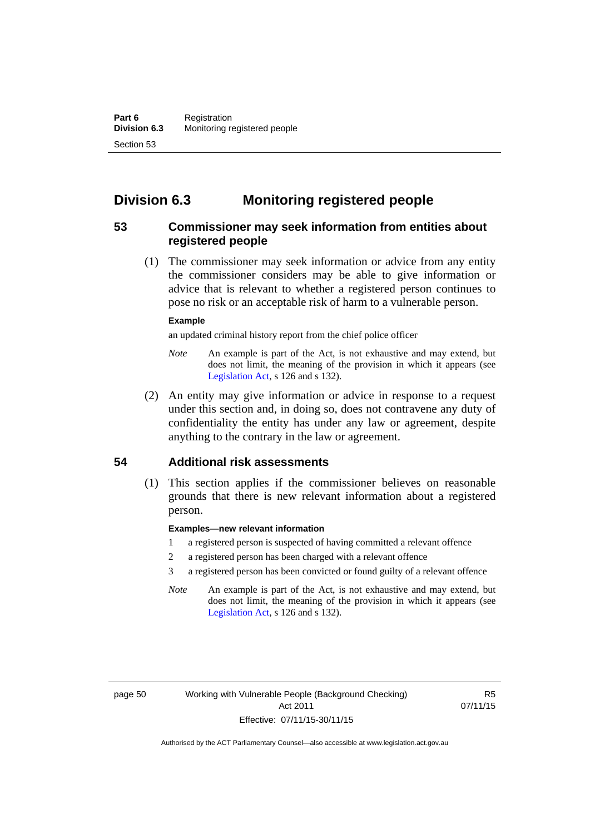# **Division 6.3 Monitoring registered people**

## **53 Commissioner may seek information from entities about registered people**

 (1) The commissioner may seek information or advice from any entity the commissioner considers may be able to give information or advice that is relevant to whether a registered person continues to pose no risk or an acceptable risk of harm to a vulnerable person.

#### **Example**

an updated criminal history report from the chief police officer

- *Note* An example is part of the Act, is not exhaustive and may extend, but does not limit, the meaning of the provision in which it appears (see [Legislation Act,](http://www.legislation.act.gov.au/a/2001-14) s 126 and s 132).
- (2) An entity may give information or advice in response to a request under this section and, in doing so, does not contravene any duty of confidentiality the entity has under any law or agreement, despite anything to the contrary in the law or agreement.

## **54 Additional risk assessments**

(1) This section applies if the commissioner believes on reasonable grounds that there is new relevant information about a registered person.

#### **Examples—new relevant information**

- 1 a registered person is suspected of having committed a relevant offence
- 2 a registered person has been charged with a relevant offence
- 3 a registered person has been convicted or found guilty of a relevant offence
- *Note* An example is part of the Act, is not exhaustive and may extend, but does not limit, the meaning of the provision in which it appears (see [Legislation Act,](http://www.legislation.act.gov.au/a/2001-14) s 126 and s 132).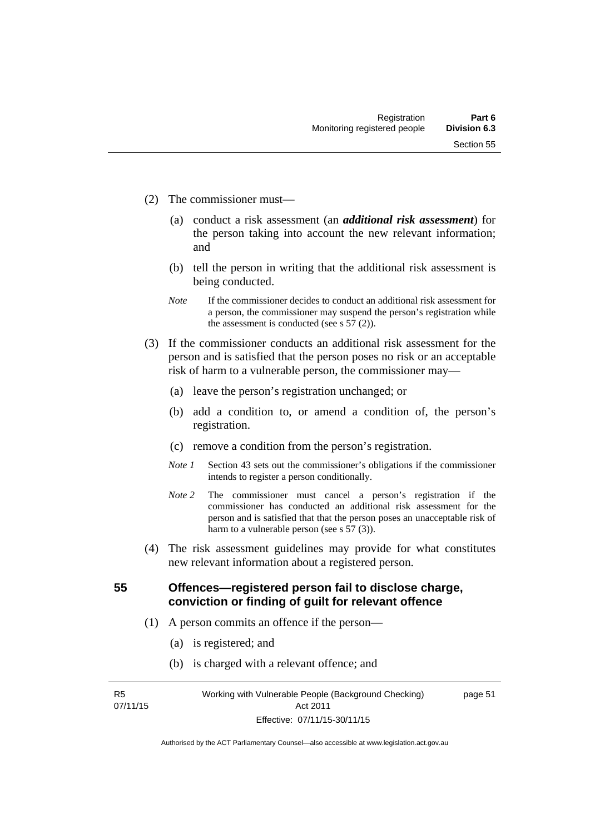- (2) The commissioner must—
	- (a) conduct a risk assessment (an *additional risk assessment*) for the person taking into account the new relevant information; and
	- (b) tell the person in writing that the additional risk assessment is being conducted.
	- *Note* If the commissioner decides to conduct an additional risk assessment for a person, the commissioner may suspend the person's registration while the assessment is conducted (see s  $57(2)$ ).
- (3) If the commissioner conducts an additional risk assessment for the person and is satisfied that the person poses no risk or an acceptable risk of harm to a vulnerable person, the commissioner may—
	- (a) leave the person's registration unchanged; or
	- (b) add a condition to, or amend a condition of, the person's registration.
	- (c) remove a condition from the person's registration.
	- *Note 1* Section 43 sets out the commissioner's obligations if the commissioner intends to register a person conditionally.
	- *Note 2* The commissioner must cancel a person's registration if the commissioner has conducted an additional risk assessment for the person and is satisfied that that the person poses an unacceptable risk of harm to a vulnerable person (see s 57 (3)).
- (4) The risk assessment guidelines may provide for what constitutes new relevant information about a registered person.

**55 Offences—registered person fail to disclose charge, conviction or finding of guilt for relevant offence** 

- (1) A person commits an offence if the person—
	- (a) is registered; and
	- (b) is charged with a relevant offence; and

R5 07/11/15 page 51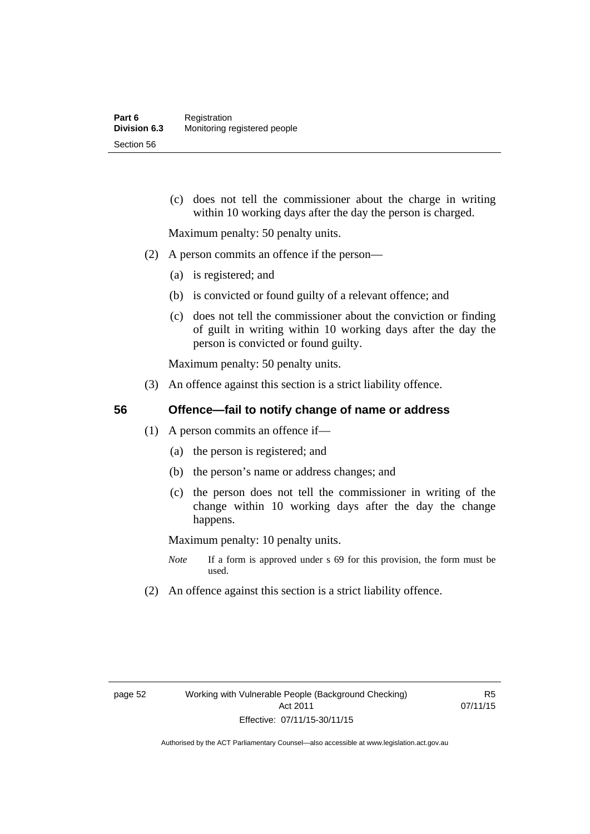(c) does not tell the commissioner about the charge in writing within 10 working days after the day the person is charged.

Maximum penalty: 50 penalty units.

- (2) A person commits an offence if the person—
	- (a) is registered; and
	- (b) is convicted or found guilty of a relevant offence; and
	- (c) does not tell the commissioner about the conviction or finding of guilt in writing within 10 working days after the day the person is convicted or found guilty.

Maximum penalty: 50 penalty units.

(3) An offence against this section is a strict liability offence.

## **56 Offence—fail to notify change of name or address**

- (1) A person commits an offence if—
	- (a) the person is registered; and
	- (b) the person's name or address changes; and
	- (c) the person does not tell the commissioner in writing of the change within 10 working days after the day the change happens.

Maximum penalty: 10 penalty units.

- *Note* If a form is approved under s 69 for this provision, the form must be used.
- (2) An offence against this section is a strict liability offence.

R5 07/11/15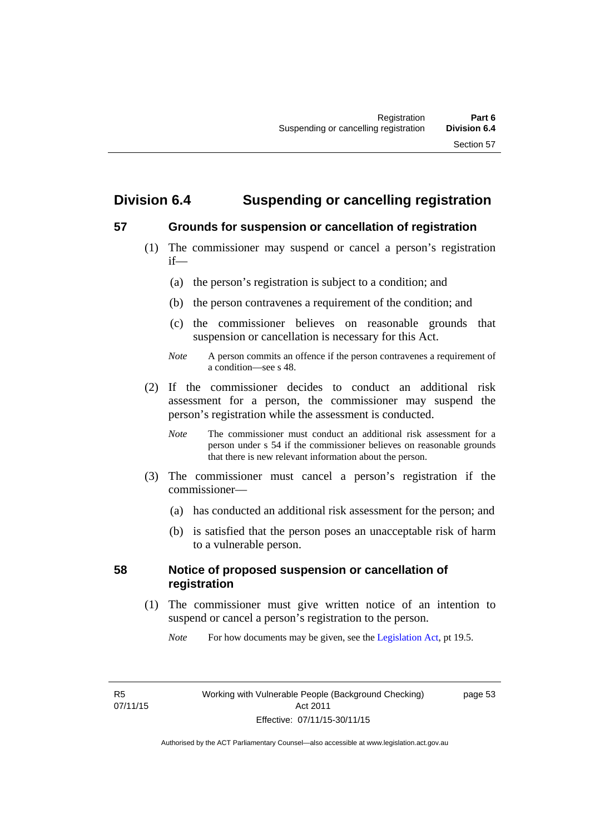# **Division 6.4 Suspending or cancelling registration**

## **57 Grounds for suspension or cancellation of registration**

- (1) The commissioner may suspend or cancel a person's registration if—
	- (a) the person's registration is subject to a condition; and
	- (b) the person contravenes a requirement of the condition; and
	- (c) the commissioner believes on reasonable grounds that suspension or cancellation is necessary for this Act.
	- *Note* A person commits an offence if the person contravenes a requirement of a condition—see s 48.
- (2) If the commissioner decides to conduct an additional risk assessment for a person, the commissioner may suspend the person's registration while the assessment is conducted.
	- *Note* The commissioner must conduct an additional risk assessment for a person under s 54 if the commissioner believes on reasonable grounds that there is new relevant information about the person.
- (3) The commissioner must cancel a person's registration if the commissioner—
	- (a) has conducted an additional risk assessment for the person; and
	- (b) is satisfied that the person poses an unacceptable risk of harm to a vulnerable person.

## **58 Notice of proposed suspension or cancellation of registration**

 (1) The commissioner must give written notice of an intention to suspend or cancel a person's registration to the person.

*Note* For how documents may be given, see the [Legislation Act,](http://www.legislation.act.gov.au/a/2001-14) pt 19.5.

page 53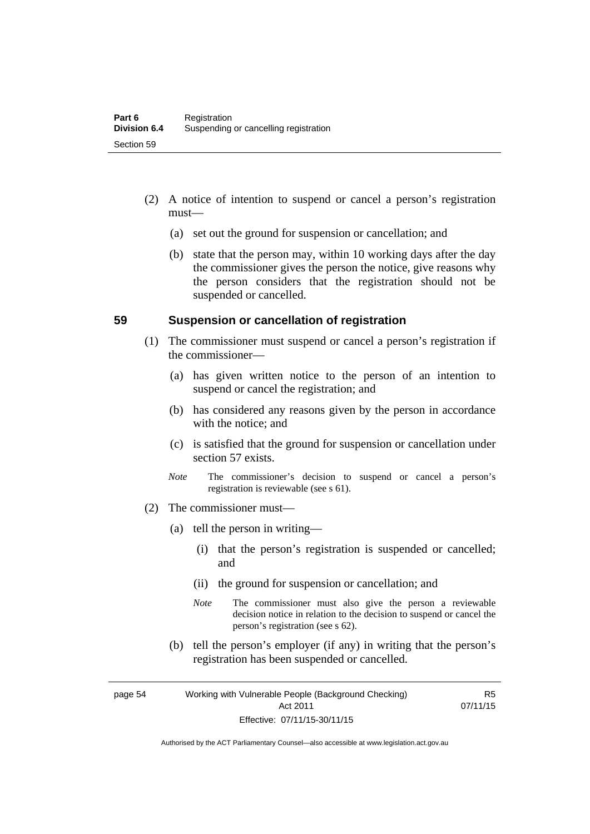- (2) A notice of intention to suspend or cancel a person's registration must—
	- (a) set out the ground for suspension or cancellation; and
	- (b) state that the person may, within 10 working days after the day the commissioner gives the person the notice, give reasons why the person considers that the registration should not be suspended or cancelled.

#### **59 Suspension or cancellation of registration**

- (1) The commissioner must suspend or cancel a person's registration if the commissioner—
	- (a) has given written notice to the person of an intention to suspend or cancel the registration; and
	- (b) has considered any reasons given by the person in accordance with the notice; and
	- (c) is satisfied that the ground for suspension or cancellation under section 57 exists.
	- *Note* The commissioner's decision to suspend or cancel a person's registration is reviewable (see s 61).
- (2) The commissioner must—
	- (a) tell the person in writing—
		- (i) that the person's registration is suspended or cancelled; and
		- (ii) the ground for suspension or cancellation; and
		- *Note* The commissioner must also give the person a reviewable decision notice in relation to the decision to suspend or cancel the person's registration (see s 62).
	- (b) tell the person's employer (if any) in writing that the person's registration has been suspended or cancelled.

page 54 Working with Vulnerable People (Background Checking) Act 2011 Effective: 07/11/15-30/11/15

R5 07/11/15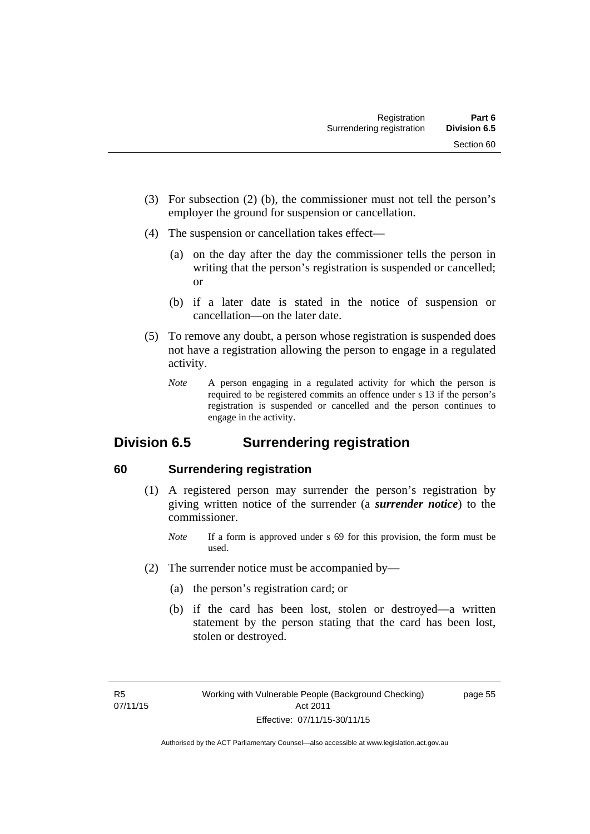- (3) For subsection (2) (b), the commissioner must not tell the person's employer the ground for suspension or cancellation.
- (4) The suspension or cancellation takes effect—
	- (a) on the day after the day the commissioner tells the person in writing that the person's registration is suspended or cancelled; or
	- (b) if a later date is stated in the notice of suspension or cancellation—on the later date.
- (5) To remove any doubt, a person whose registration is suspended does not have a registration allowing the person to engage in a regulated activity.
	- *Note* A person engaging in a regulated activity for which the person is required to be registered commits an offence under s 13 if the person's registration is suspended or cancelled and the person continues to engage in the activity.

# **Division 6.5 Surrendering registration**

## **60 Surrendering registration**

- (1) A registered person may surrender the person's registration by giving written notice of the surrender (a *surrender notice*) to the commissioner.
	- *Note* If a form is approved under s 69 for this provision, the form must be used.
- (2) The surrender notice must be accompanied by—
	- (a) the person's registration card; or
	- (b) if the card has been lost, stolen or destroyed—a written statement by the person stating that the card has been lost, stolen or destroyed.

page 55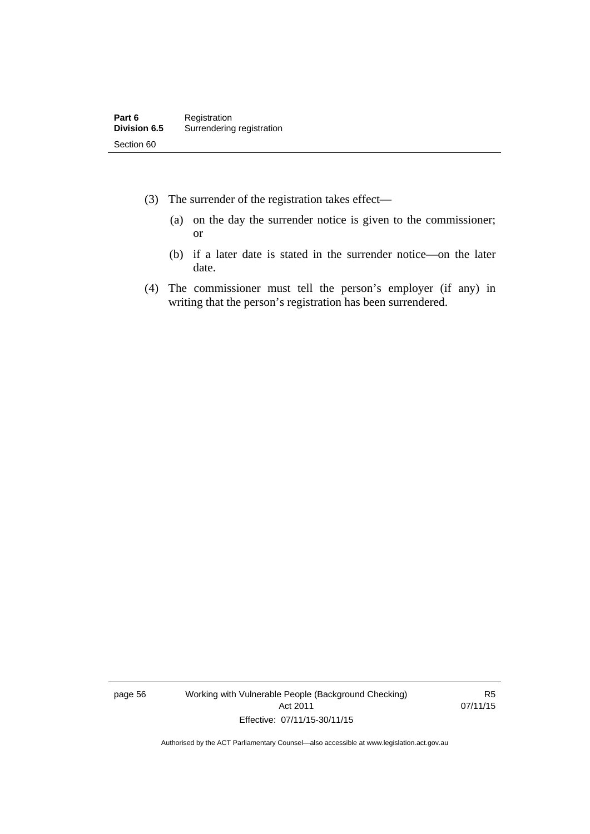- (3) The surrender of the registration takes effect—
	- (a) on the day the surrender notice is given to the commissioner; or
	- (b) if a later date is stated in the surrender notice—on the later date.
- (4) The commissioner must tell the person's employer (if any) in writing that the person's registration has been surrendered.

page 56 Working with Vulnerable People (Background Checking) Act 2011 Effective: 07/11/15-30/11/15

R5 07/11/15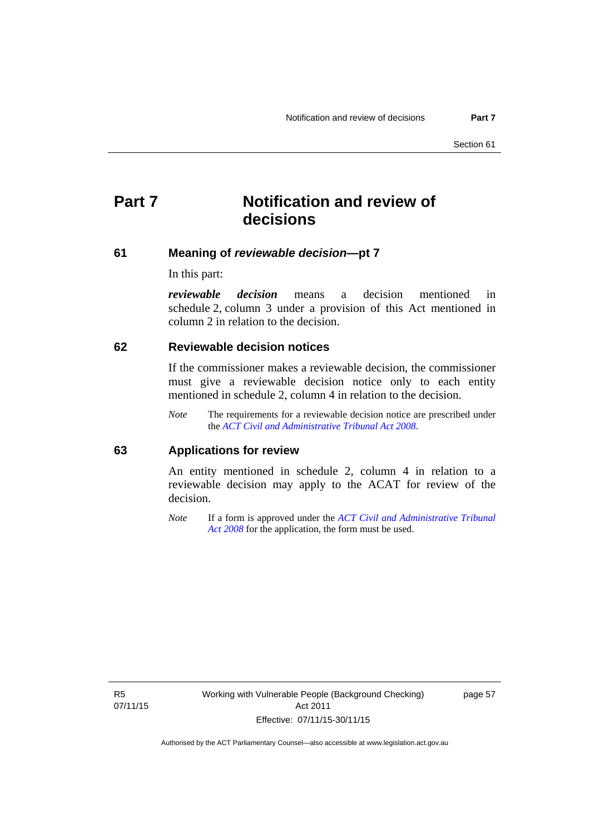# **Part 7 Notification and review of decisions**

#### **61 Meaning of** *reviewable decision***—pt 7**

In this part:

*reviewable decision* means a decision mentioned in schedule 2, column 3 under a provision of this Act mentioned in column 2 in relation to the decision.

#### **62 Reviewable decision notices**

If the commissioner makes a reviewable decision, the commissioner must give a reviewable decision notice only to each entity mentioned in schedule 2, column 4 in relation to the decision.

*Note* The requirements for a reviewable decision notice are prescribed under the *[ACT Civil and Administrative Tribunal Act 2008](http://www.legislation.act.gov.au/a/2008-35)*.

#### **63 Applications for review**

An entity mentioned in schedule 2, column 4 in relation to a reviewable decision may apply to the ACAT for review of the decision.

*Note* If a form is approved under the *[ACT Civil and Administrative Tribunal](http://www.legislation.act.gov.au/a/2008-35)  [Act 2008](http://www.legislation.act.gov.au/a/2008-35)* for the application, the form must be used.

R5 07/11/15 page 57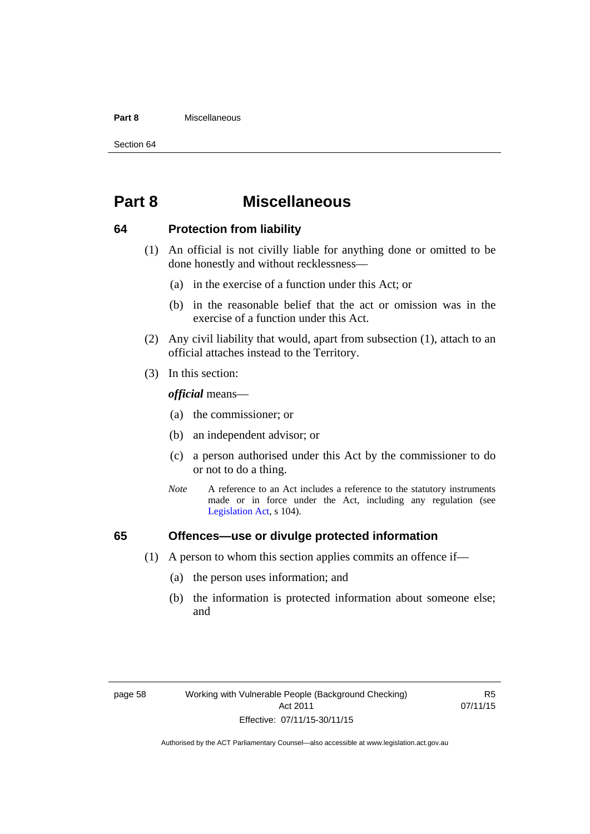#### **Part 8** Miscellaneous

Section 64

# **Part 8 Miscellaneous**

#### **64 Protection from liability**

- (1) An official is not civilly liable for anything done or omitted to be done honestly and without recklessness—
	- (a) in the exercise of a function under this Act; or
	- (b) in the reasonable belief that the act or omission was in the exercise of a function under this Act.
- (2) Any civil liability that would, apart from subsection (1), attach to an official attaches instead to the Territory.
- (3) In this section:

*official* means—

- (a) the commissioner; or
- (b) an independent advisor; or
- (c) a person authorised under this Act by the commissioner to do or not to do a thing.
- *Note* A reference to an Act includes a reference to the statutory instruments made or in force under the Act, including any regulation (see [Legislation Act,](http://www.legislation.act.gov.au/a/2001-14) s 104).

## **65 Offences—use or divulge protected information**

- (1) A person to whom this section applies commits an offence if—
	- (a) the person uses information; and
	- (b) the information is protected information about someone else; and

R5 07/11/15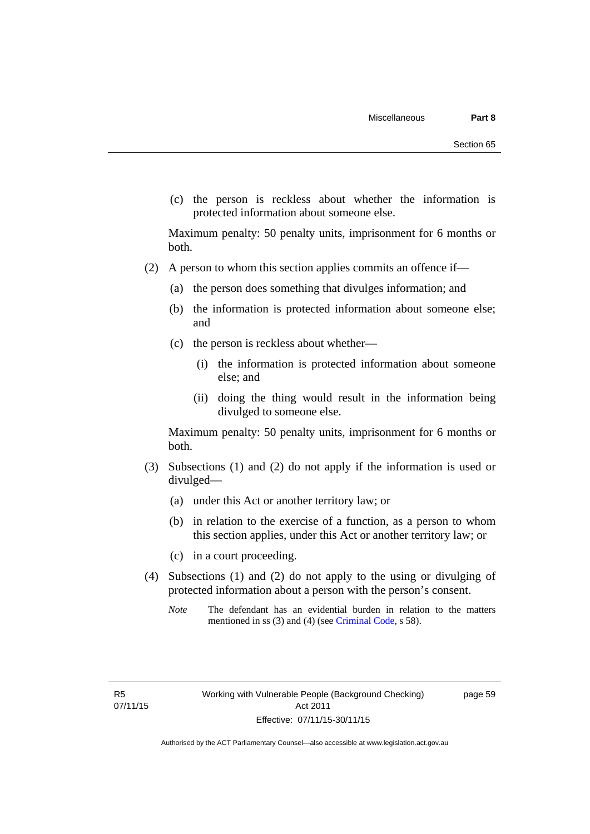(c) the person is reckless about whether the information is protected information about someone else.

Maximum penalty: 50 penalty units, imprisonment for 6 months or both.

- (2) A person to whom this section applies commits an offence if—
	- (a) the person does something that divulges information; and
	- (b) the information is protected information about someone else; and
	- (c) the person is reckless about whether—
		- (i) the information is protected information about someone else; and
		- (ii) doing the thing would result in the information being divulged to someone else.

Maximum penalty: 50 penalty units, imprisonment for 6 months or both.

- (3) Subsections (1) and (2) do not apply if the information is used or divulged—
	- (a) under this Act or another territory law; or
	- (b) in relation to the exercise of a function, as a person to whom this section applies, under this Act or another territory law; or
	- (c) in a court proceeding.
- (4) Subsections (1) and (2) do not apply to the using or divulging of protected information about a person with the person's consent.
	- *Note* The defendant has an evidential burden in relation to the matters mentioned in ss (3) and (4) (see [Criminal Code](http://www.legislation.act.gov.au/a/2002-51/default.asp), s 58).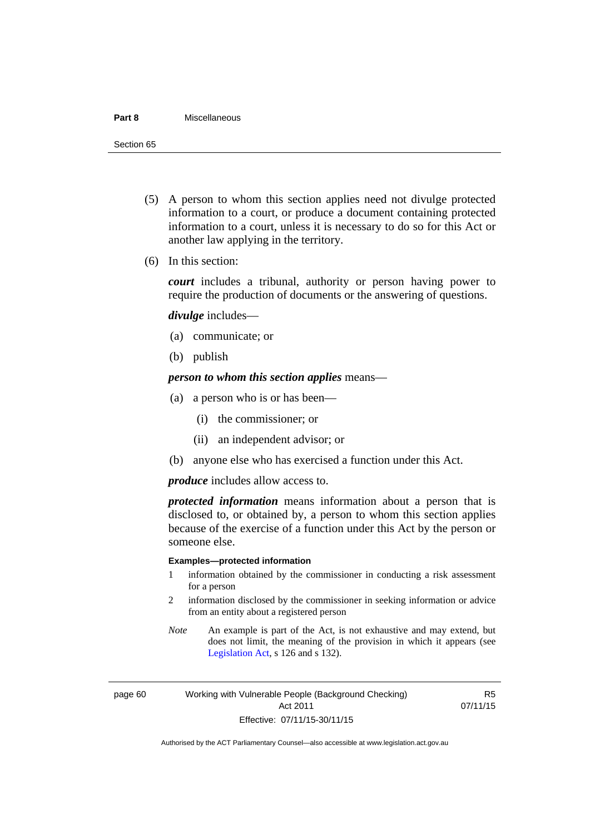#### **Part 8** Miscellaneous

Section 65

- (5) A person to whom this section applies need not divulge protected information to a court, or produce a document containing protected information to a court, unless it is necessary to do so for this Act or another law applying in the territory.
- (6) In this section:

*court* includes a tribunal, authority or person having power to require the production of documents or the answering of questions.

*divulge* includes—

- (a) communicate; or
- (b) publish

*person to whom this section applies* means—

- (a) a person who is or has been—
	- (i) the commissioner; or
	- (ii) an independent advisor; or
- (b) anyone else who has exercised a function under this Act.

*produce* includes allow access to.

*protected information* means information about a person that is disclosed to, or obtained by, a person to whom this section applies because of the exercise of a function under this Act by the person or someone else.

#### **Examples—protected information**

- 1 information obtained by the commissioner in conducting a risk assessment for a person
- 2 information disclosed by the commissioner in seeking information or advice from an entity about a registered person
- *Note* An example is part of the Act, is not exhaustive and may extend, but does not limit, the meaning of the provision in which it appears (see [Legislation Act,](http://www.legislation.act.gov.au/a/2001-14) s 126 and s 132).

page 60 Working with Vulnerable People (Background Checking) Act 2011 Effective: 07/11/15-30/11/15

R5 07/11/15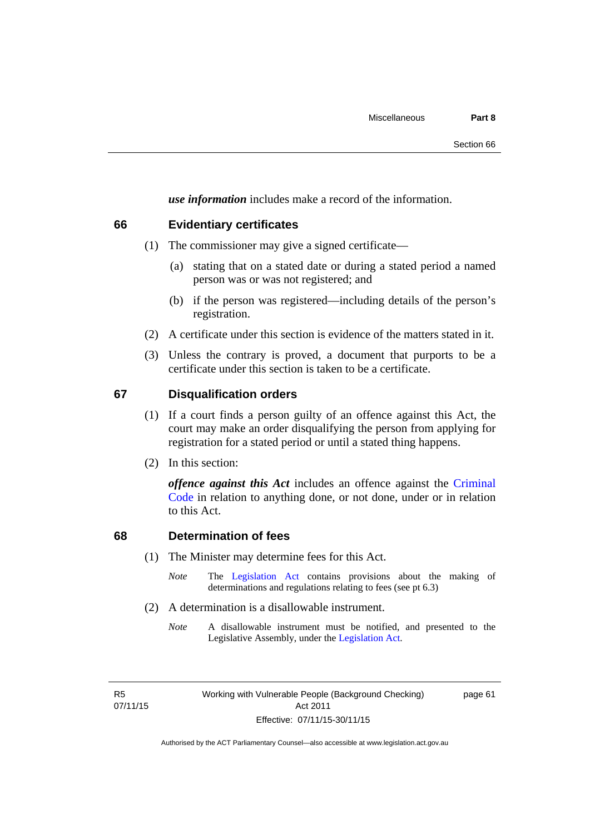*use information* includes make a record of the information.

#### **66 Evidentiary certificates**

- (1) The commissioner may give a signed certificate—
	- (a) stating that on a stated date or during a stated period a named person was or was not registered; and
	- (b) if the person was registered—including details of the person's registration.
- (2) A certificate under this section is evidence of the matters stated in it.
- (3) Unless the contrary is proved, a document that purports to be a certificate under this section is taken to be a certificate.

#### **67 Disqualification orders**

- (1) If a court finds a person guilty of an offence against this Act, the court may make an order disqualifying the person from applying for registration for a stated period or until a stated thing happens.
- (2) In this section:

*offence against this Act* includes an offence against the [Criminal](http://www.legislation.act.gov.au/a/2002-51)  [Code](http://www.legislation.act.gov.au/a/2002-51) in relation to anything done, or not done, under or in relation to this Act.

## **68 Determination of fees**

- (1) The Minister may determine fees for this Act.
	- *Note* The [Legislation Act](http://www.legislation.act.gov.au/a/2001-14) contains provisions about the making of determinations and regulations relating to fees (see pt 6.3)
- (2) A determination is a disallowable instrument.
	- *Note* A disallowable instrument must be notified, and presented to the Legislative Assembly, under the [Legislation Act.](http://www.legislation.act.gov.au/a/2001-14)

R5 07/11/15 page 61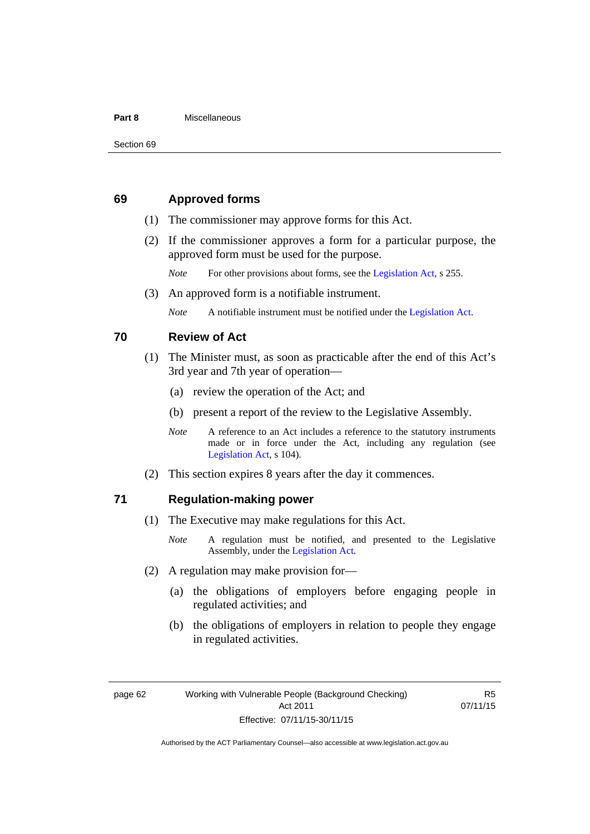#### **Part 8** Miscellaneous

## **69 Approved forms**

- (1) The commissioner may approve forms for this Act.
- (2) If the commissioner approves a form for a particular purpose, the approved form must be used for the purpose.

*Note* For other provisions about forms, see the [Legislation Act,](http://www.legislation.act.gov.au/a/2001-14) s 255.

(3) An approved form is a notifiable instrument.

*Note* A notifiable instrument must be notified under the [Legislation Act](http://www.legislation.act.gov.au/a/2001-14).

#### **70 Review of Act**

- (1) The Minister must, as soon as practicable after the end of this Act's 3rd year and 7th year of operation—
	- (a) review the operation of the Act; and
	- (b) present a report of the review to the Legislative Assembly.
	- *Note* A reference to an Act includes a reference to the statutory instruments made or in force under the Act, including any regulation (see [Legislation Act,](http://www.legislation.act.gov.au/a/2001-14) s 104).
- (2) This section expires 8 years after the day it commences.

#### **71 Regulation-making power**

- (1) The Executive may make regulations for this Act.
	- *Note* A regulation must be notified, and presented to the Legislative Assembly, under the [Legislation Act](http://www.legislation.act.gov.au/a/2001-14).
- (2) A regulation may make provision for—
	- (a) the obligations of employers before engaging people in regulated activities; and
	- (b) the obligations of employers in relation to people they engage in regulated activities.

page 62 Working with Vulnerable People (Background Checking) Act 2011 Effective: 07/11/15-30/11/15

R5 07/11/15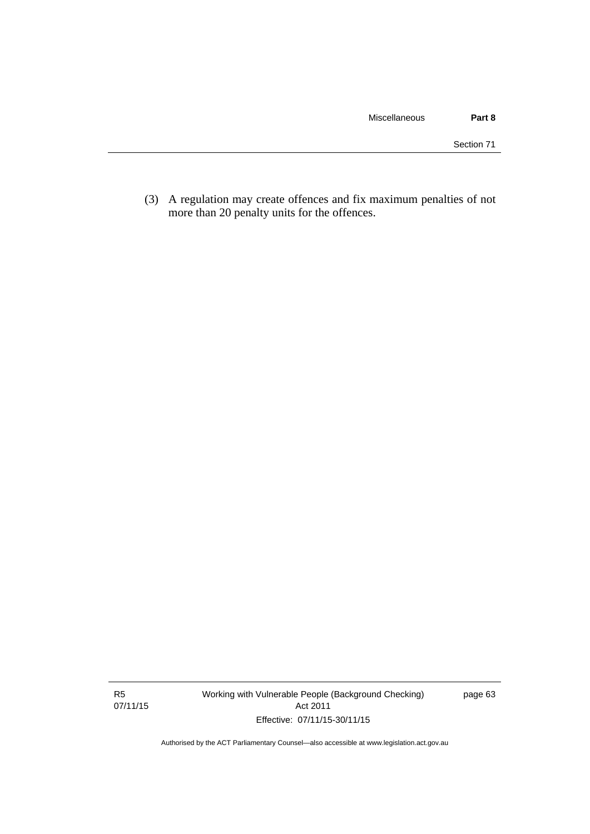(3) A regulation may create offences and fix maximum penalties of not more than 20 penalty units for the offences.

R5 07/11/15 Working with Vulnerable People (Background Checking) Act 2011 Effective: 07/11/15-30/11/15

page 63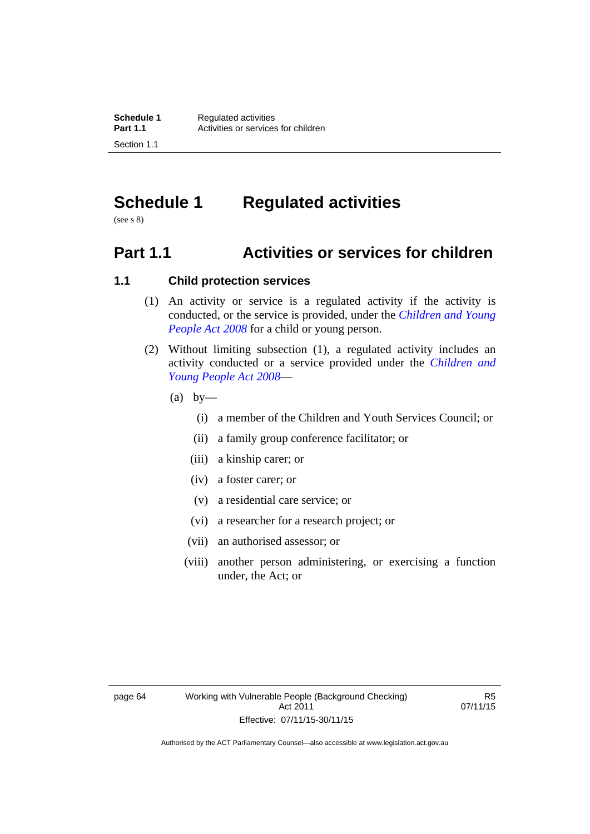# **Schedule 1 Regulated activities**

(see s 8)

# **Part 1.1 Activities or services for children**

## **1.1 Child protection services**

- (1) An activity or service is a regulated activity if the activity is conducted, or the service is provided, under the *[Children and Young](http://www.legislation.act.gov.au/a/2008-19)  [People Act 2008](http://www.legislation.act.gov.au/a/2008-19)* for a child or young person.
- (2) Without limiting subsection (1), a regulated activity includes an activity conducted or a service provided under the *[Children and](http://www.legislation.act.gov.au/a/2008-19)  [Young People Act 2008](http://www.legislation.act.gov.au/a/2008-19)*—
	- $(a)$  by—
		- (i) a member of the Children and Youth Services Council; or
		- (ii) a family group conference facilitator; or
		- (iii) a kinship carer; or
		- (iv) a foster carer; or
		- (v) a residential care service; or
		- (vi) a researcher for a research project; or
		- (vii) an authorised assessor; or
		- (viii) another person administering, or exercising a function under, the Act; or

R5 07/11/15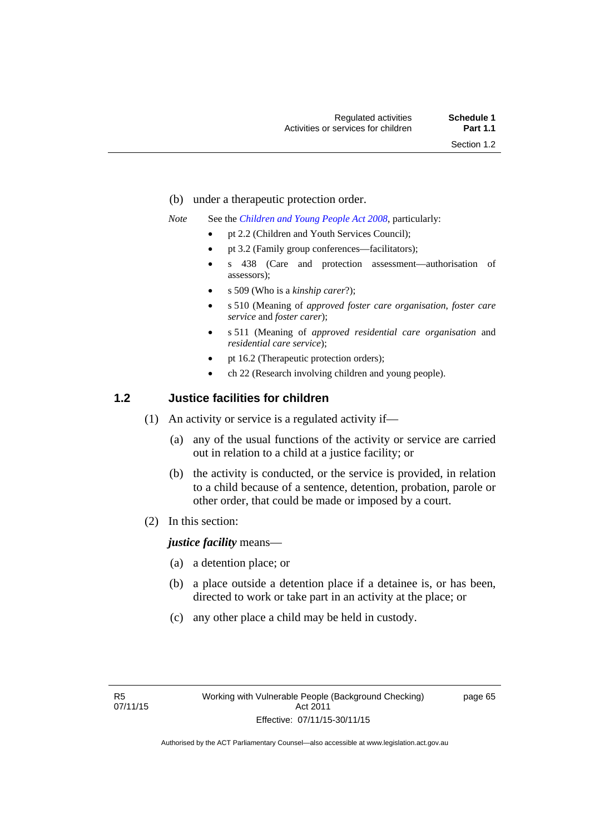- (b) under a therapeutic protection order.
- *Note* See the *[Children and Young People Act 2008](http://www.legislation.act.gov.au/a/2008-19)*, particularly:
	- pt 2.2 (Children and Youth Services Council);
	- pt 3.2 (Family group conferences—facilitators);
	- s 438 (Care and protection assessment—authorisation of assessors);
	- s 509 (Who is a *kinship carer*?);
	- s 510 (Meaning of *approved foster care organisation*, *foster care service* and *foster carer*);
	- s 511 (Meaning of *approved residential care organisation* and *residential care service*);
	- pt 16.2 (Therapeutic protection orders);
	- ch 22 (Research involving children and young people).

## **1.2 Justice facilities for children**

- (1) An activity or service is a regulated activity if—
	- (a) any of the usual functions of the activity or service are carried out in relation to a child at a justice facility; or
	- (b) the activity is conducted, or the service is provided, in relation to a child because of a sentence, detention, probation, parole or other order, that could be made or imposed by a court.
- (2) In this section:

*justice facility* means—

- (a) a detention place; or
- (b) a place outside a detention place if a detainee is, or has been, directed to work or take part in an activity at the place; or
- (c) any other place a child may be held in custody.

page 65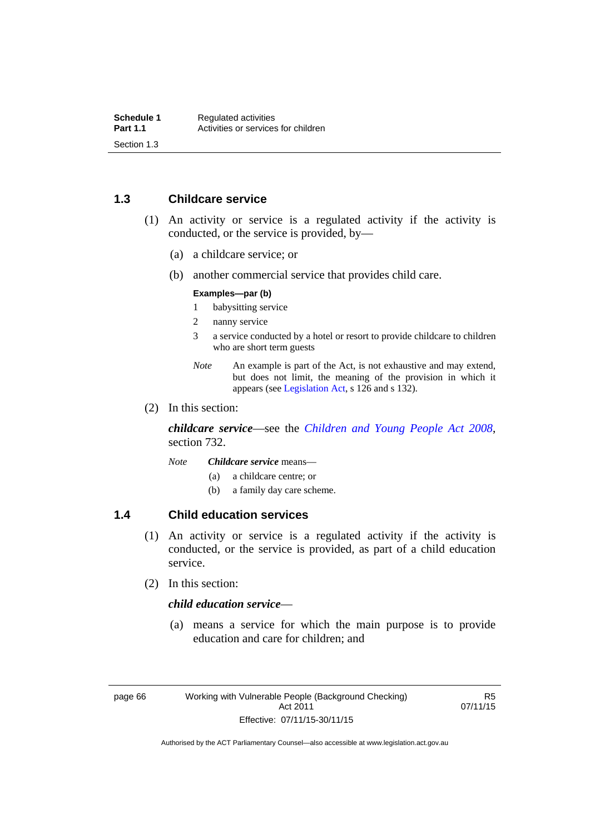## **1.3 Childcare service**

- (1) An activity or service is a regulated activity if the activity is conducted, or the service is provided, by—
	- (a) a childcare service; or
	- (b) another commercial service that provides child care.

#### **Examples—par (b)**

- 1 babysitting service
- 2 nanny service
- 3 a service conducted by a hotel or resort to provide childcare to children who are short term guests
- *Note* An example is part of the Act, is not exhaustive and may extend, but does not limit, the meaning of the provision in which it appears (see [Legislation Act,](http://www.legislation.act.gov.au/a/2001-14) s 126 and s 132).
- (2) In this section:

*childcare service*—see the *[Children and Young People Act 2008](http://www.legislation.act.gov.au/a/2008-19)*, section 732.

- *Note Childcare service* means—
	- (a) a childcare centre; or
	- (b) a family day care scheme.

## **1.4 Child education services**

- (1) An activity or service is a regulated activity if the activity is conducted, or the service is provided, as part of a child education service.
- (2) In this section:

## *child education service*—

 (a) means a service for which the main purpose is to provide education and care for children; and

R5 07/11/15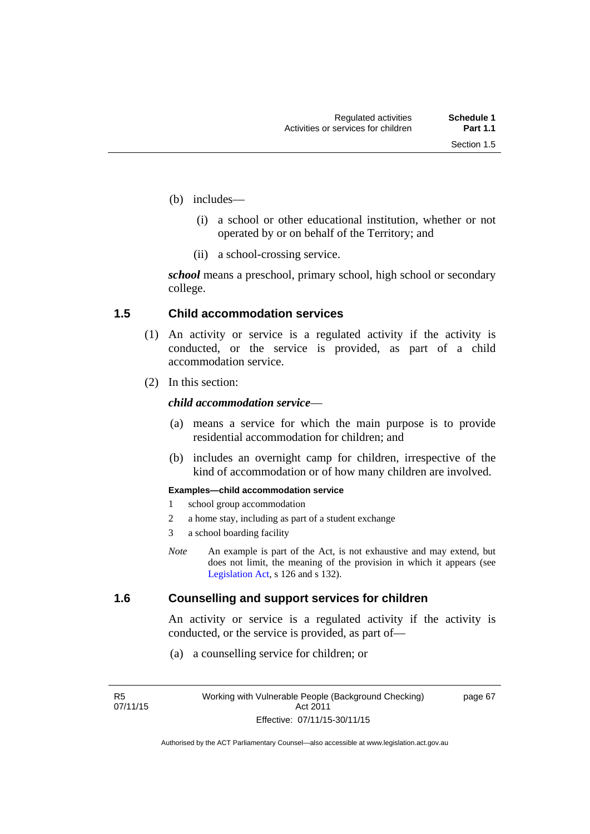page 67

- (b) includes—
	- (i) a school or other educational institution, whether or not operated by or on behalf of the Territory; and
	- (ii) a school-crossing service.

*school* means a preschool, primary school, high school or secondary college.

## **1.5 Child accommodation services**

- (1) An activity or service is a regulated activity if the activity is conducted, or the service is provided, as part of a child accommodation service.
- (2) In this section:

## *child accommodation service*—

- (a) means a service for which the main purpose is to provide residential accommodation for children; and
- (b) includes an overnight camp for children, irrespective of the kind of accommodation or of how many children are involved.

#### **Examples—child accommodation service**

- 1 school group accommodation
- 2 a home stay, including as part of a student exchange
- 3 a school boarding facility
- *Note* An example is part of the Act, is not exhaustive and may extend, but does not limit, the meaning of the provision in which it appears (see [Legislation Act,](http://www.legislation.act.gov.au/a/2001-14) s 126 and s 132).

## **1.6 Counselling and support services for children**

An activity or service is a regulated activity if the activity is conducted, or the service is provided, as part of—

(a) a counselling service for children; or

R5 07/11/15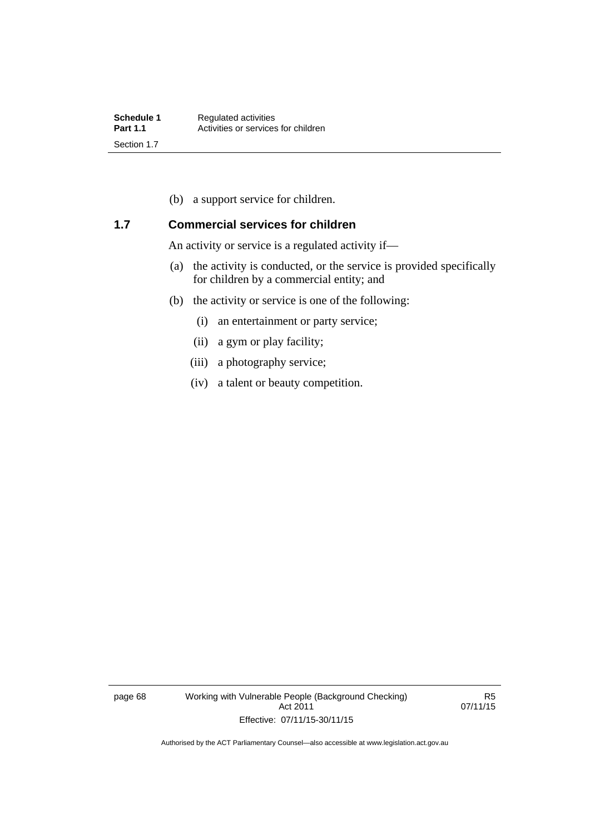(b) a support service for children.

## **1.7 Commercial services for children**

An activity or service is a regulated activity if—

- (a) the activity is conducted, or the service is provided specifically for children by a commercial entity; and
- (b) the activity or service is one of the following:
	- (i) an entertainment or party service;
	- (ii) a gym or play facility;
	- (iii) a photography service;
	- (iv) a talent or beauty competition.

page 68 Working with Vulnerable People (Background Checking) Act 2011 Effective: 07/11/15-30/11/15

R5 07/11/15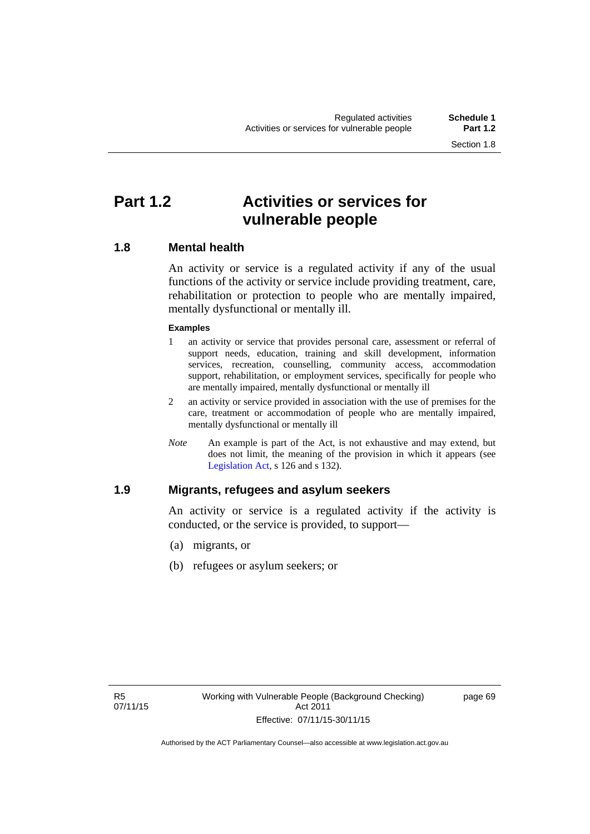# **Part 1.2 Activities or services for vulnerable people**

## **1.8 Mental health**

An activity or service is a regulated activity if any of the usual functions of the activity or service include providing treatment, care, rehabilitation or protection to people who are mentally impaired, mentally dysfunctional or mentally ill.

### **Examples**

- 1 an activity or service that provides personal care, assessment or referral of support needs, education, training and skill development, information services, recreation, counselling, community access, accommodation support, rehabilitation, or employment services, specifically for people who are mentally impaired, mentally dysfunctional or mentally ill
- 2 an activity or service provided in association with the use of premises for the care, treatment or accommodation of people who are mentally impaired, mentally dysfunctional or mentally ill
- *Note* An example is part of the Act, is not exhaustive and may extend, but does not limit, the meaning of the provision in which it appears (see [Legislation Act,](http://www.legislation.act.gov.au/a/2001-14) s 126 and s 132).

## **1.9 Migrants, refugees and asylum seekers**

An activity or service is a regulated activity if the activity is conducted, or the service is provided, to support—

- (a) migrants, or
- (b) refugees or asylum seekers; or

page 69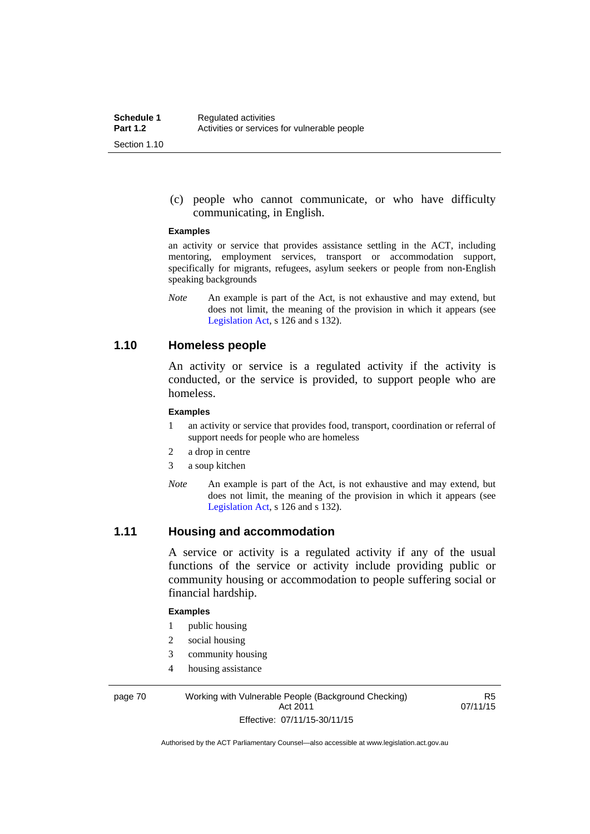(c) people who cannot communicate, or who have difficulty communicating, in English.

#### **Examples**

an activity or service that provides assistance settling in the ACT, including mentoring, employment services, transport or accommodation support, specifically for migrants, refugees, asylum seekers or people from non-English speaking backgrounds

*Note* An example is part of the Act, is not exhaustive and may extend, but does not limit, the meaning of the provision in which it appears (see [Legislation Act,](http://www.legislation.act.gov.au/a/2001-14) s 126 and s 132).

## **1.10 Homeless people**

An activity or service is a regulated activity if the activity is conducted, or the service is provided, to support people who are homeless.

#### **Examples**

- 1 an activity or service that provides food, transport, coordination or referral of support needs for people who are homeless
- 2 a drop in centre
- 3 a soup kitchen
- *Note* An example is part of the Act, is not exhaustive and may extend, but does not limit, the meaning of the provision in which it appears (see [Legislation Act,](http://www.legislation.act.gov.au/a/2001-14) s 126 and s 132).

## **1.11 Housing and accommodation**

A service or activity is a regulated activity if any of the usual functions of the service or activity include providing public or community housing or accommodation to people suffering social or financial hardship.

#### **Examples**

- 1 public housing
- 2 social housing
- 3 community housing
- 4 housing assistance

page 70 Working with Vulnerable People (Background Checking) Act 2011 Effective: 07/11/15-30/11/15

R5 07/11/15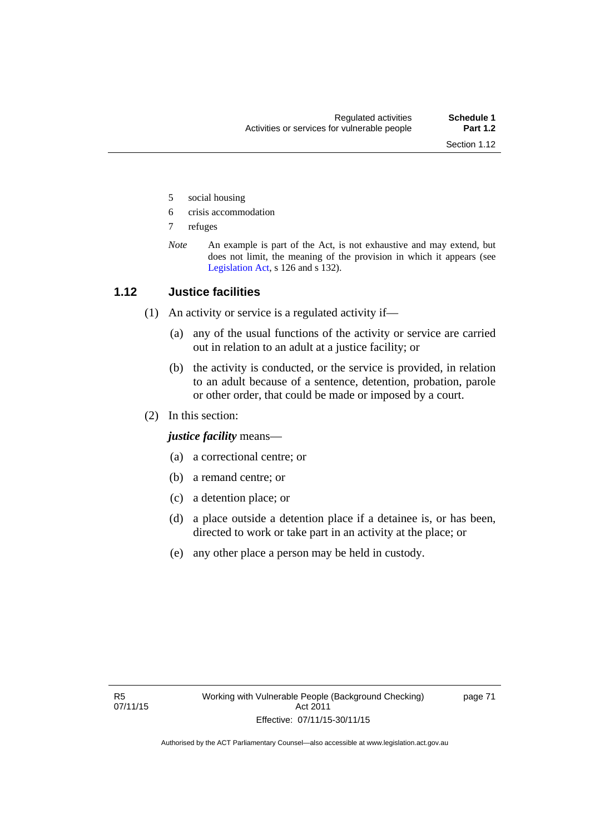- 5 social housing
- 6 crisis accommodation
- 7 refuges
- *Note* An example is part of the Act, is not exhaustive and may extend, but does not limit, the meaning of the provision in which it appears (see [Legislation Act,](http://www.legislation.act.gov.au/a/2001-14) s 126 and s 132).

## **1.12 Justice facilities**

- (1) An activity or service is a regulated activity if—
	- (a) any of the usual functions of the activity or service are carried out in relation to an adult at a justice facility; or
	- (b) the activity is conducted, or the service is provided, in relation to an adult because of a sentence, detention, probation, parole or other order, that could be made or imposed by a court.
- (2) In this section:

*justice facility* means—

- (a) a correctional centre; or
- (b) a remand centre; or
- (c) a detention place; or
- (d) a place outside a detention place if a detainee is, or has been, directed to work or take part in an activity at the place; or
- (e) any other place a person may be held in custody.

page 71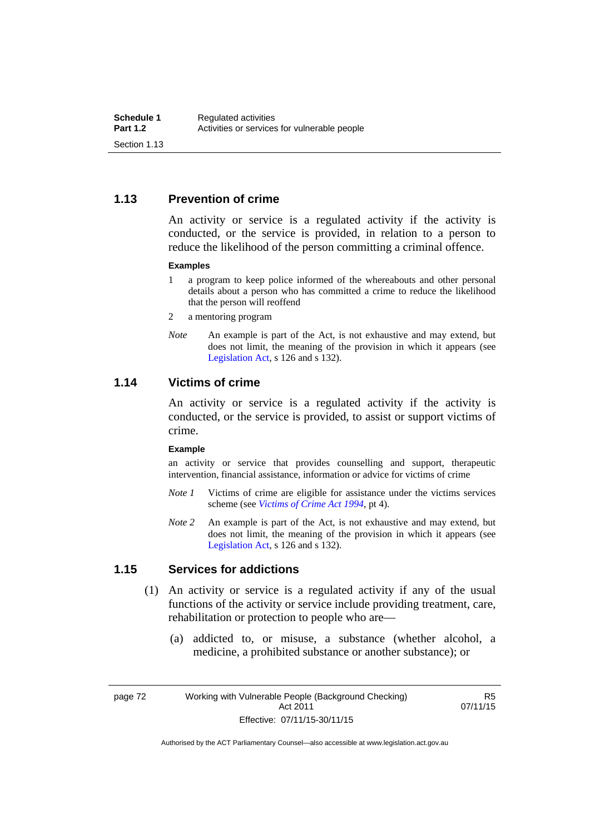## **1.13 Prevention of crime**

An activity or service is a regulated activity if the activity is conducted, or the service is provided, in relation to a person to reduce the likelihood of the person committing a criminal offence.

#### **Examples**

- 1 a program to keep police informed of the whereabouts and other personal details about a person who has committed a crime to reduce the likelihood that the person will reoffend
- 2 a mentoring program
- *Note* An example is part of the Act, is not exhaustive and may extend, but does not limit, the meaning of the provision in which it appears (see [Legislation Act,](http://www.legislation.act.gov.au/a/2001-14) s 126 and s 132).

## **1.14 Victims of crime**

An activity or service is a regulated activity if the activity is conducted, or the service is provided, to assist or support victims of crime.

#### **Example**

an activity or service that provides counselling and support, therapeutic intervention, financial assistance, information or advice for victims of crime

- *Note 1* Victims of crime are eligible for assistance under the victims services scheme (see *[Victims of Crime Act 1994](http://www.legislation.act.gov.au/a/1994-83)*, pt 4).
- *Note 2* An example is part of the Act, is not exhaustive and may extend, but does not limit, the meaning of the provision in which it appears (see [Legislation Act,](http://www.legislation.act.gov.au/a/2001-14) s 126 and s 132).

## **1.15 Services for addictions**

- (1) An activity or service is a regulated activity if any of the usual functions of the activity or service include providing treatment, care, rehabilitation or protection to people who are—
	- (a) addicted to, or misuse, a substance (whether alcohol, a medicine, a prohibited substance or another substance); or

page 72 Working with Vulnerable People (Background Checking) Act 2011 Effective: 07/11/15-30/11/15

R5 07/11/15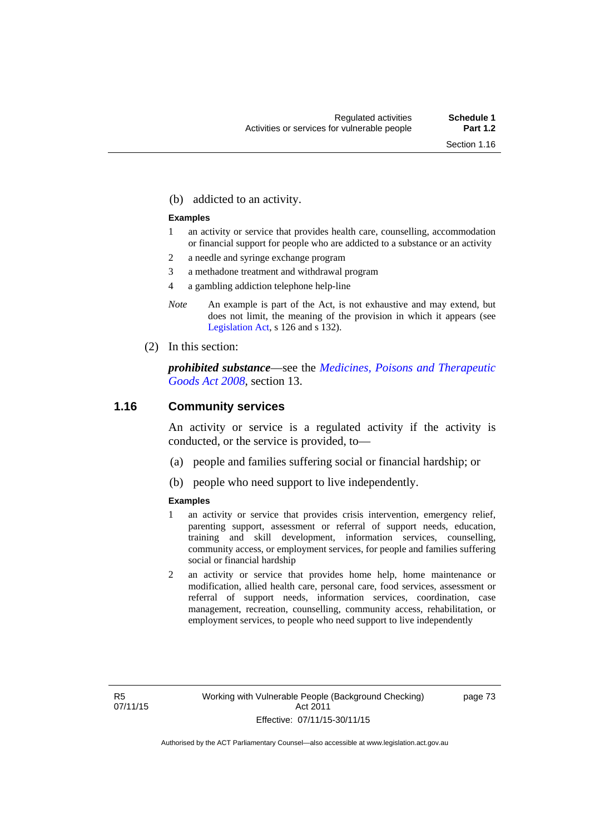(b) addicted to an activity.

#### **Examples**

- 1 an activity or service that provides health care, counselling, accommodation or financial support for people who are addicted to a substance or an activity
- 2 a needle and syringe exchange program
- 3 a methadone treatment and withdrawal program
- 4 a gambling addiction telephone help-line
- *Note* An example is part of the Act, is not exhaustive and may extend, but does not limit, the meaning of the provision in which it appears (see [Legislation Act,](http://www.legislation.act.gov.au/a/2001-14) s 126 and s 132).
- (2) In this section:

*prohibited substance*—see the *[Medicines, Poisons and Therapeutic](http://www.legislation.act.gov.au/a/2008-26)  [Goods Act 2008](http://www.legislation.act.gov.au/a/2008-26)*, section 13.

## **1.16 Community services**

An activity or service is a regulated activity if the activity is conducted, or the service is provided, to—

- (a) people and families suffering social or financial hardship; or
- (b) people who need support to live independently.

#### **Examples**

- 1 an activity or service that provides crisis intervention, emergency relief, parenting support, assessment or referral of support needs, education, training and skill development, information services, counselling, community access, or employment services, for people and families suffering social or financial hardship
- 2 an activity or service that provides home help, home maintenance or modification, allied health care, personal care, food services, assessment or referral of support needs, information services, coordination, case management, recreation, counselling, community access, rehabilitation, or employment services, to people who need support to live independently

page 73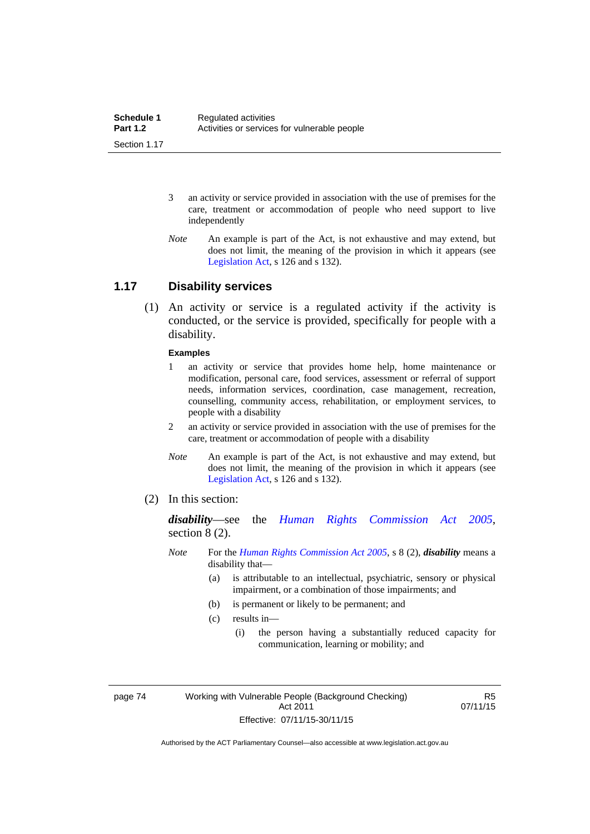- 3 an activity or service provided in association with the use of premises for the care, treatment or accommodation of people who need support to live independently
- *Note* An example is part of the Act, is not exhaustive and may extend, but does not limit, the meaning of the provision in which it appears (see [Legislation Act,](http://www.legislation.act.gov.au/a/2001-14) s 126 and s 132).

## **1.17 Disability services**

 (1) An activity or service is a regulated activity if the activity is conducted, or the service is provided, specifically for people with a disability.

#### **Examples**

- 1 an activity or service that provides home help, home maintenance or modification, personal care, food services, assessment or referral of support needs, information services, coordination, case management, recreation, counselling, community access, rehabilitation, or employment services, to people with a disability
- 2 an activity or service provided in association with the use of premises for the care, treatment or accommodation of people with a disability
- *Note* An example is part of the Act, is not exhaustive and may extend, but does not limit, the meaning of the provision in which it appears (see [Legislation Act,](http://www.legislation.act.gov.au/a/2001-14) s 126 and s 132).
- (2) In this section:

*disability*—see the *[Human Rights Commission Act 2005](http://www.legislation.act.gov.au/a/2005-40)*, section 8 (2).

- *Note* For the *[Human Rights Commission Act 2005](http://www.legislation.act.gov.au/a/2005-40)*, s 8 (2), *disability* means a disability that—
	- (a) is attributable to an intellectual, psychiatric, sensory or physical impairment, or a combination of those impairments; and
	- (b) is permanent or likely to be permanent; and
	- (c) results in—
		- (i) the person having a substantially reduced capacity for communication, learning or mobility; and

page 74 Working with Vulnerable People (Background Checking) Act 2011 Effective: 07/11/15-30/11/15

R5 07/11/15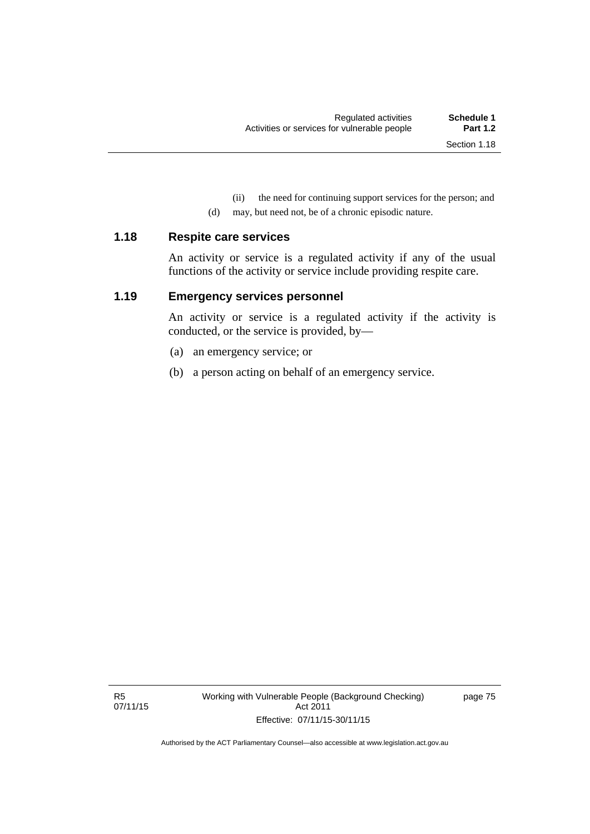(ii) the need for continuing support services for the person; and

(d) may, but need not, be of a chronic episodic nature.

### **1.18 Respite care services**

An activity or service is a regulated activity if any of the usual functions of the activity or service include providing respite care.

## **1.19 Emergency services personnel**

An activity or service is a regulated activity if the activity is conducted, or the service is provided, by—

- (a) an emergency service; or
- (b) a person acting on behalf of an emergency service.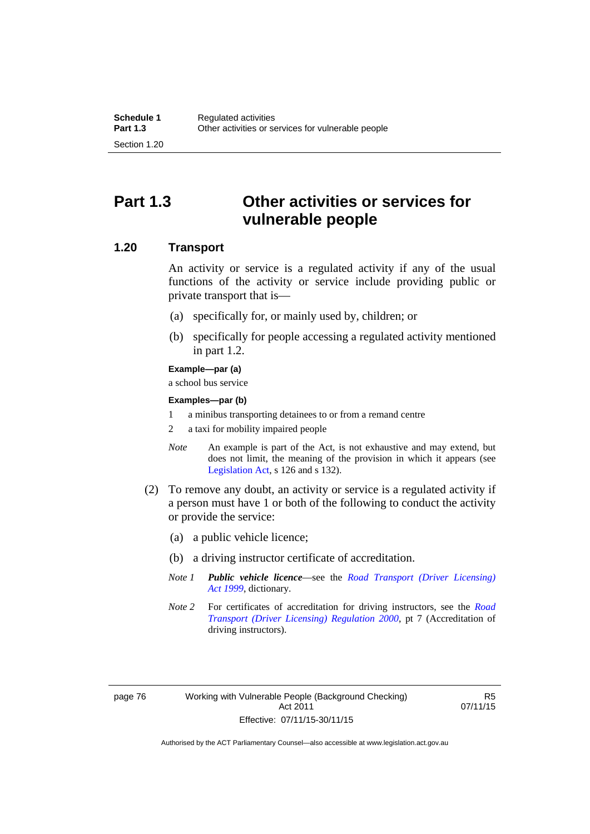# **Part 1.3 Other activities or services for vulnerable people**

## **1.20 Transport**

An activity or service is a regulated activity if any of the usual functions of the activity or service include providing public or private transport that is—

- (a) specifically for, or mainly used by, children; or
- (b) specifically for people accessing a regulated activity mentioned in part 1.2.

#### **Example—par (a)**

a school bus service

#### **Examples—par (b)**

- 1 a minibus transporting detainees to or from a remand centre
- 2 a taxi for mobility impaired people
- *Note* An example is part of the Act, is not exhaustive and may extend, but does not limit, the meaning of the provision in which it appears (see [Legislation Act,](http://www.legislation.act.gov.au/a/2001-14) s 126 and s 132).
- (2) To remove any doubt, an activity or service is a regulated activity if a person must have 1 or both of the following to conduct the activity or provide the service:
	- (a) a public vehicle licence;
	- (b) a driving instructor certificate of accreditation.
	- *Note 1 Public vehicle licence*—see the *[Road Transport \(Driver Licensing\)](http://www.legislation.act.gov.au/a/1999-78)  [Act 1999](http://www.legislation.act.gov.au/a/1999-78)*, dictionary.
	- *Note 2* For certificates of accreditation for driving instructors, see the *[Road](http://www.legislation.act.gov.au/sl/2000-14)  [Transport \(Driver Licensing\) Regulation 2000](http://www.legislation.act.gov.au/sl/2000-14)*, pt 7 (Accreditation of driving instructors).

R5 07/11/15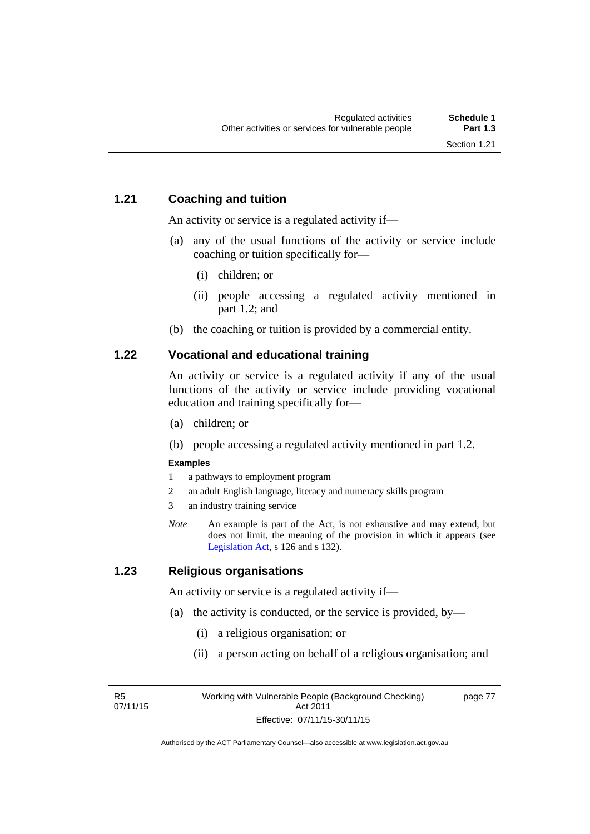## **1.21 Coaching and tuition**

An activity or service is a regulated activity if—

- (a) any of the usual functions of the activity or service include coaching or tuition specifically for—
	- (i) children; or
	- (ii) people accessing a regulated activity mentioned in part 1.2; and
- (b) the coaching or tuition is provided by a commercial entity.

## **1.22 Vocational and educational training**

An activity or service is a regulated activity if any of the usual functions of the activity or service include providing vocational education and training specifically for—

- (a) children; or
- (b) people accessing a regulated activity mentioned in part 1.2.

### **Examples**

- 1 a pathways to employment program
- 2 an adult English language, literacy and numeracy skills program
- 3 an industry training service
- *Note* An example is part of the Act, is not exhaustive and may extend, but does not limit, the meaning of the provision in which it appears (see [Legislation Act,](http://www.legislation.act.gov.au/a/2001-14) s 126 and s 132).

## **1.23 Religious organisations**

An activity or service is a regulated activity if—

- (a) the activity is conducted, or the service is provided, by—
	- (i) a religious organisation; or
	- (ii) a person acting on behalf of a religious organisation; and

R5 07/11/15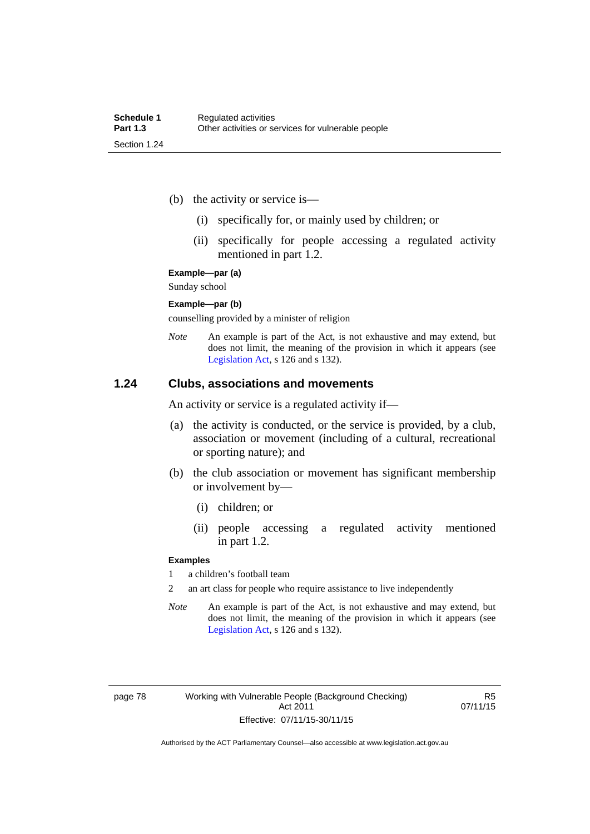- (b) the activity or service is—
	- (i) specifically for, or mainly used by children; or
	- (ii) specifically for people accessing a regulated activity mentioned in part 1.2.

#### **Example—par (a)**

Sunday school

#### **Example—par (b)**

counselling provided by a minister of religion

*Note* An example is part of the Act, is not exhaustive and may extend, but does not limit, the meaning of the provision in which it appears (see [Legislation Act,](http://www.legislation.act.gov.au/a/2001-14) s 126 and s 132).

## **1.24 Clubs, associations and movements**

An activity or service is a regulated activity if—

- (a) the activity is conducted, or the service is provided, by a club, association or movement (including of a cultural, recreational or sporting nature); and
- (b) the club association or movement has significant membership or involvement by—
	- (i) children; or
	- (ii) people accessing a regulated activity mentioned in part 1.2.

#### **Examples**

1 a children's football team

2 an art class for people who require assistance to live independently

*Note* An example is part of the Act, is not exhaustive and may extend, but does not limit, the meaning of the provision in which it appears (see [Legislation Act,](http://www.legislation.act.gov.au/a/2001-14) s 126 and s 132).

R5 07/11/15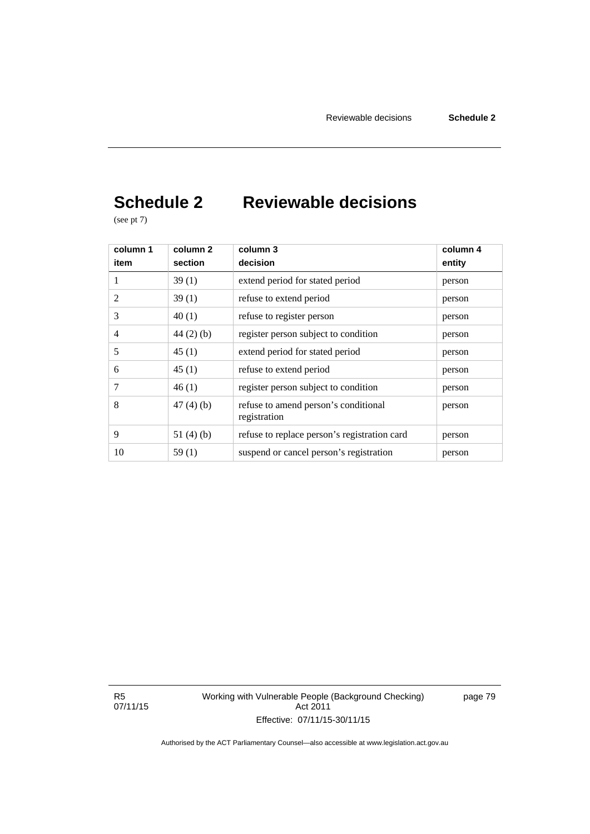# **Schedule 2 Reviewable decisions**

(see pt 7)

| column 1<br>item | column 2<br>section | column 3<br>decision                                 | column 4<br>entity |
|------------------|---------------------|------------------------------------------------------|--------------------|
| 1                | 39(1)               | extend period for stated period                      | person             |
| 2                | 39(1)               | refuse to extend period                              | person             |
| 3                | 40(1)               | refuse to register person                            | person             |
| 4                | $44(2)$ (b)         | register person subject to condition                 | person             |
| 5                | 45(1)               | extend period for stated period                      | person             |
| 6                | 45(1)               | refuse to extend period                              | person             |
| 7                | 46(1)               | register person subject to condition                 | person             |
| 8                | 47(4)(b)            | refuse to amend person's conditional<br>registration | person             |
| 9                | 51 $(4)(b)$         | refuse to replace person's registration card         | person             |
| 10               | 59(1)               | suspend or cancel person's registration              | person             |

R5 07/11/15 Working with Vulnerable People (Background Checking) Act 2011 Effective: 07/11/15-30/11/15

page 79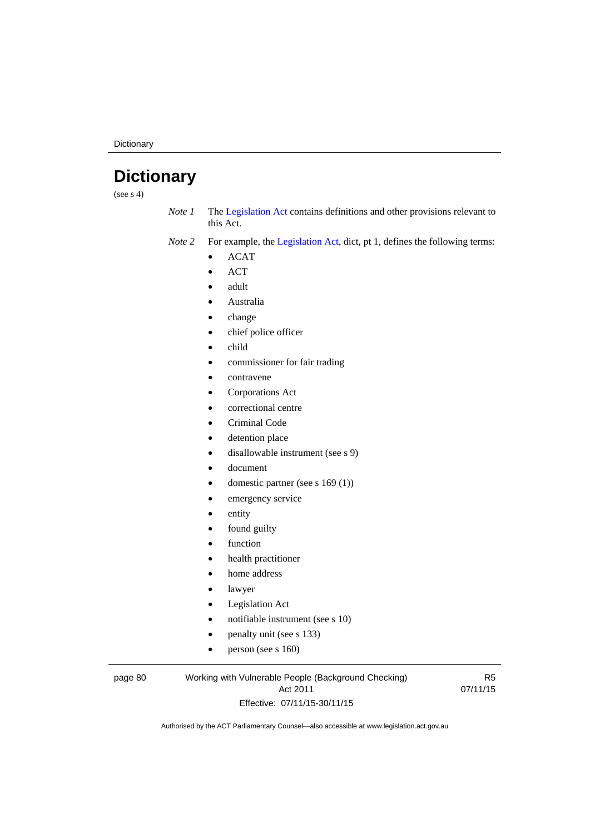**Dictionary** 

# **Dictionary**

(see  $s$  4)

*Note 1* The [Legislation Act](http://www.legislation.act.gov.au/a/2001-14) contains definitions and other provisions relevant to this Act.

*Note 2* For example, the [Legislation Act,](http://www.legislation.act.gov.au/a/2001-14) dict, pt 1, defines the following terms:

- $\bullet$  ACAT
- ACT
- adult
- Australia
- change
- chief police officer
- child
- commissioner for fair trading
- contravene
- Corporations Act
- correctional centre
- Criminal Code
- detention place
- disallowable instrument (see s 9)
- document
- domestic partner (see s 169 (1))
- emergency service
- entity
- found guilty
- function
- health practitioner
- home address
- lawyer
- Legislation Act
- notifiable instrument (see s 10)
- penalty unit (see s 133)
- $\bullet$  person (see s 160)

#### page 80 Working with Vulnerable People (Background Checking) Act 2011 Effective: 07/11/15-30/11/15

R5 07/11/15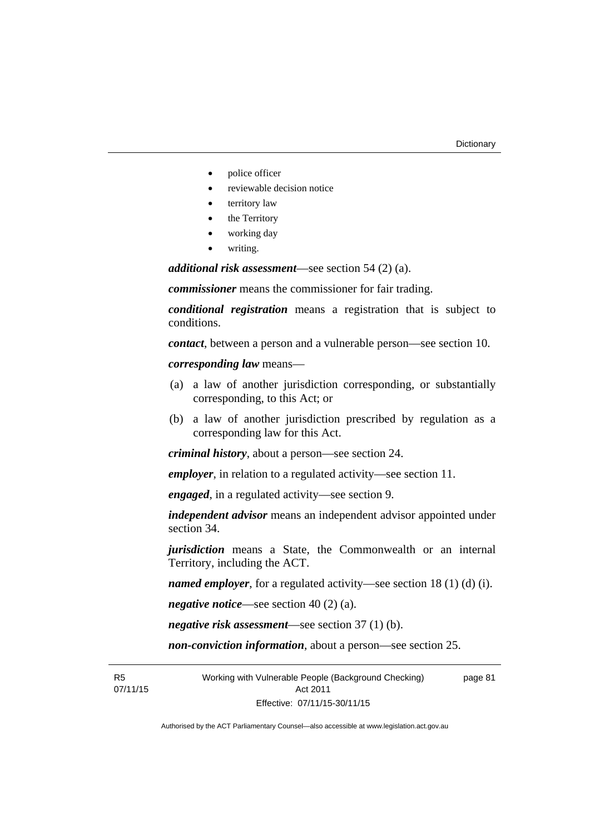- police officer
- reviewable decision notice
- territory law
- the Territory
- working day
- writing.

*additional risk assessment*—see section 54 (2) (a).

*commissioner* means the commissioner for fair trading.

*conditional registration* means a registration that is subject to conditions.

*contact*, between a person and a vulnerable person—see section 10.

*corresponding law* means—

- (a) a law of another jurisdiction corresponding, or substantially corresponding, to this Act; or
- (b) a law of another jurisdiction prescribed by regulation as a corresponding law for this Act.

*criminal history*, about a person—see section 24.

*employer*, in relation to a regulated activity—see section 11.

*engaged*, in a regulated activity—see section 9.

*independent advisor* means an independent advisor appointed under section 34.

*jurisdiction* means a State, the Commonwealth or an internal Territory, including the ACT.

*named employer*, for a regulated activity—see section 18 (1) (d) (i).

*negative notice*—see section 40 (2) (a).

*negative risk assessment*—see section 37 (1) (b).

*non-conviction information*, about a person—see section 25.

R5 07/11/15 Working with Vulnerable People (Background Checking) Act 2011 Effective: 07/11/15-30/11/15

page 81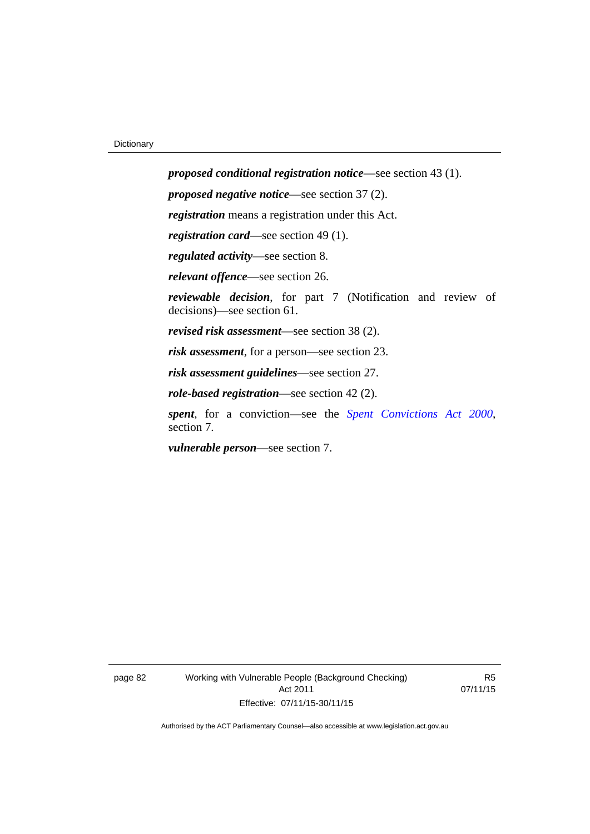*proposed conditional registration notice*—see section 43 (1). *proposed negative notice*—see section 37 (2). *registration* means a registration under this Act. *registration card*—see section 49 (1). *regulated activity*—see section 8. *relevant offence*—see section 26. *reviewable decision*, for part 7 (Notification and review of decisions)—see section 61. *revised risk assessment*—see section 38 (2). *risk assessment*, for a person—see section 23. *risk assessment guidelines*—see section 27. *role-based registration*—see section 42 (2). *spent*, for a conviction—see the *[Spent Convictions Act 2000](http://www.legislation.act.gov.au/a/2000-48)*, section 7.

*vulnerable person*—see section 7.

page 82 Working with Vulnerable People (Background Checking) Act 2011 Effective: 07/11/15-30/11/15

R5 07/11/15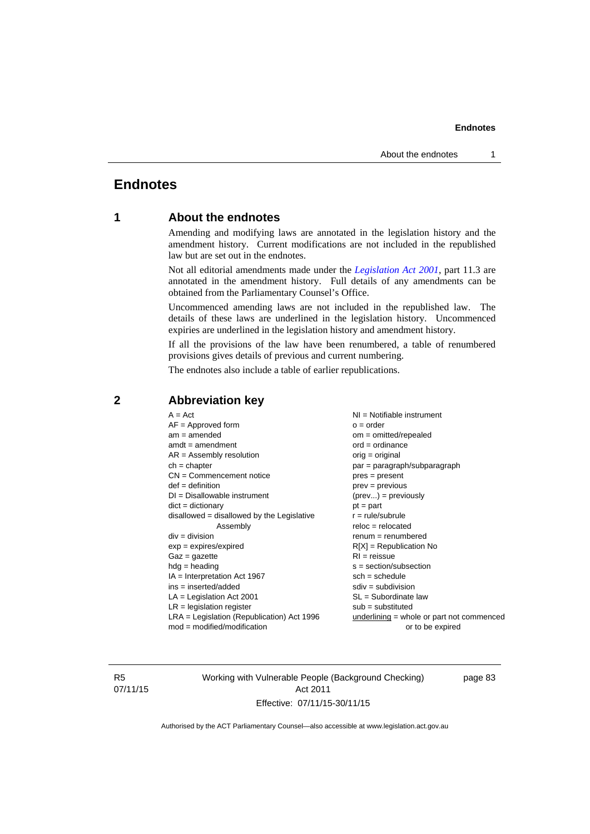## **Endnotes**

## **1 About the endnotes**

Amending and modifying laws are annotated in the legislation history and the amendment history. Current modifications are not included in the republished law but are set out in the endnotes.

Not all editorial amendments made under the *[Legislation Act 2001](http://www.legislation.act.gov.au/a/2001-14)*, part 11.3 are annotated in the amendment history. Full details of any amendments can be obtained from the Parliamentary Counsel's Office.

Uncommenced amending laws are not included in the republished law. The details of these laws are underlined in the legislation history. Uncommenced expiries are underlined in the legislation history and amendment history.

If all the provisions of the law have been renumbered, a table of renumbered provisions gives details of previous and current numbering.

The endnotes also include a table of earlier republications.

| $A = Act$<br>$AF =$ Approved form<br>$am = amended$<br>$amdt = amendment$<br>$AR = Assembly resolution$<br>$ch = chapter$<br>$CN =$ Commencement notice<br>$def = definition$<br>$DI = Disallowable instrument$<br>$dict = dictionary$<br>disallowed = disallowed by the Legislative<br>Assembly<br>$div = division$<br>$exp = expires/expired$<br>$Gaz = gazette$<br>$hdg = heading$<br>$IA = Interpretation Act 1967$<br>$ins = inserted/added$<br>$LA =$ Legislation Act 2001<br>$LR =$ legislation register | NI = Notifiable instrument<br>$o = order$<br>$om = omitted/repealed$<br>$ord = ordinance$<br>$orig = original$<br>par = paragraph/subparagraph<br>$pres = present$<br>$prev = previous$<br>$(\text{prev}) = \text{previously}$<br>$pt = part$<br>$r = rule/subrule$<br>$reloc = relocated$<br>$remum = renumbered$<br>$R[X]$ = Republication No<br>$RI = reissue$<br>$s = section/subsection$<br>$sch = schedule$<br>$sdiv = subdivision$<br>$SL = Subordinate$ law<br>$sub =$ substituted |
|-----------------------------------------------------------------------------------------------------------------------------------------------------------------------------------------------------------------------------------------------------------------------------------------------------------------------------------------------------------------------------------------------------------------------------------------------------------------------------------------------------------------|--------------------------------------------------------------------------------------------------------------------------------------------------------------------------------------------------------------------------------------------------------------------------------------------------------------------------------------------------------------------------------------------------------------------------------------------------------------------------------------------|
|                                                                                                                                                                                                                                                                                                                                                                                                                                                                                                                 |                                                                                                                                                                                                                                                                                                                                                                                                                                                                                            |
| $LRA =$ Legislation (Republication) Act 1996<br>$mod = modified/modification$                                                                                                                                                                                                                                                                                                                                                                                                                                   | $underlining = whole or part not commenced$<br>or to be expired                                                                                                                                                                                                                                                                                                                                                                                                                            |
|                                                                                                                                                                                                                                                                                                                                                                                                                                                                                                                 |                                                                                                                                                                                                                                                                                                                                                                                                                                                                                            |

## **2 Abbreviation key**

R5 07/11/15 Working with Vulnerable People (Background Checking) Act 2011 Effective: 07/11/15-30/11/15

page 83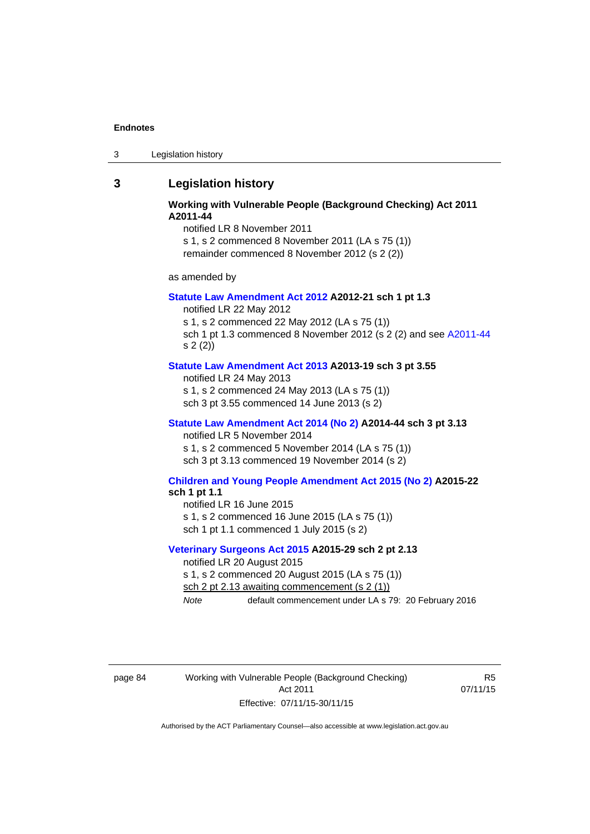3 Legislation history

## **3 Legislation history**

#### **Working with Vulnerable People (Background Checking) Act 2011 A2011-44**

notified LR 8 November 2011

s 1, s 2 commenced 8 November 2011 (LA s 75 (1)) remainder commenced 8 November 2012 (s 2 (2))

as amended by

#### **[Statute Law Amendment Act 2012](http://www.legislation.act.gov.au/a/2012-21) A2012-21 sch 1 pt 1.3**

notified LR 22 May 2012

s 1, s 2 commenced 22 May 2012 (LA s 75 (1)) sch 1 pt 1.3 commenced 8 November 2012 (s 2 (2) and see [A2011-44](http://www.legislation.act.gov.au/a/2011-44)

s 2 (2))

## **[Statute Law Amendment Act 2013](http://www.legislation.act.gov.au/a/2013-19) A2013-19 sch 3 pt 3.55**

notified LR 24 May 2013 s 1, s 2 commenced 24 May 2013 (LA s 75 (1)) sch 3 pt 3.55 commenced 14 June 2013 (s 2)

#### **[Statute Law Amendment Act 2014 \(No 2\)](http://www.legislation.act.gov.au/a/2014-44) A2014-44 sch 3 pt 3.13**

notified LR 5 November 2014

s 1, s 2 commenced 5 November 2014 (LA s 75 (1)) sch 3 pt 3.13 commenced 19 November 2014 (s 2)

#### **[Children and Young People Amendment Act 2015 \(No 2\)](http://www.legislation.act.gov.au/a/2015-22/default.asp) A2015-22 sch 1 pt 1.1**

notified LR 16 June 2015

s 1, s 2 commenced 16 June 2015 (LA s 75 (1))

sch 1 pt 1.1 commenced 1 July 2015 (s 2)

#### **[Veterinary Surgeons Act 2015](http://www.legislation.act.gov.au/a/2015-29/default.asp) A2015-29 sch 2 pt 2.13**

notified LR 20 August 2015

s 1, s 2 commenced 20 August 2015 (LA s 75 (1))

sch 2 pt 2.13 awaiting commencement (s 2 (1))

*Note* default commencement under LA s 79: 20 February 2016

page 84 Working with Vulnerable People (Background Checking) Act 2011 Effective: 07/11/15-30/11/15

R5 07/11/15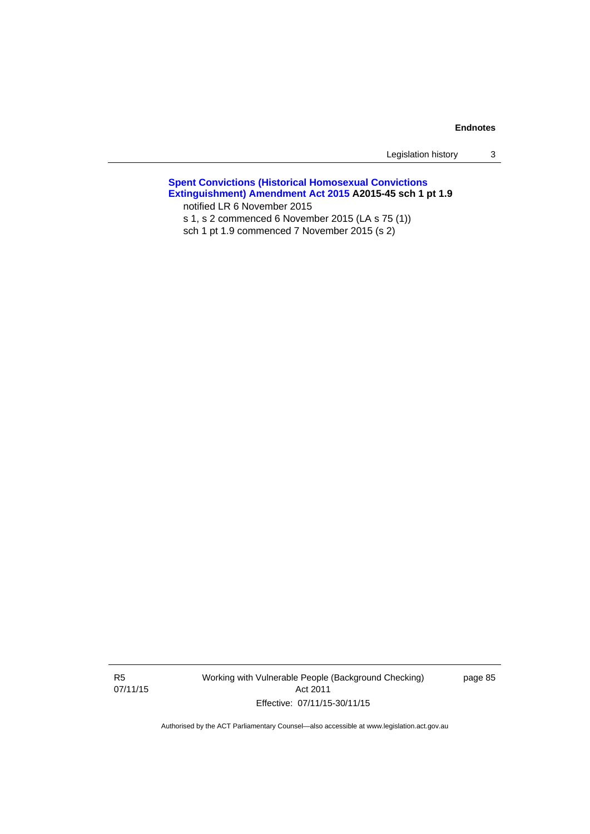| Legislation history |  |  |
|---------------------|--|--|
|---------------------|--|--|

#### **[Spent Convictions \(Historical Homosexual Convictions](http://www.legislation.act.gov.au/a/2015-45)  [Extinguishment\) Amendment Act 2015](http://www.legislation.act.gov.au/a/2015-45) A2015-45 sch 1 pt 1.9**  notified LR 6 November 2015

s 1, s 2 commenced 6 November 2015 (LA s 75 (1))

sch 1 pt 1.9 commenced 7 November 2015 (s 2)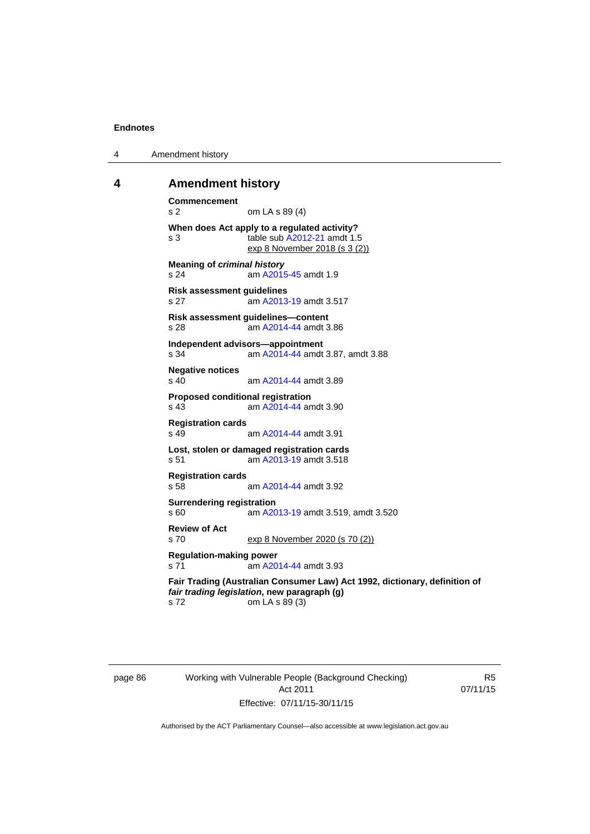4 Amendment history

#### **4 Amendment history**

```
Commencement 
s 2 om LA s 89 (4) 
When does Act apply to a regulated activity? 
s 3 table sub A2012-21 amdt 1.5 
               exp 8 November 2018 (s 3 (2))
Meaning of criminal history
s 24 am A2015-45 amdt 1.9
Risk assessment guidelines 
s 27 am A2013-19 amdt 3.517
Risk assessment guidelines—content 
s 28  A2014-44 amdt 3.86
Independent advisors—appointment 
s 34 am A2014-44 amdt 3.87, amdt 3.88 
Negative notices 
s 40 am A2014-44 amdt 3.89
Proposed conditional registration 
s 43 am A2014-44 amdt 3.90
Registration cards 
s 49 am A2014-44 amdt 3.91
Lost, stolen or damaged registration cards 
 A2013-19 amdt 3.518
Registration cards 
                A2014-44 amdt 3.92
Surrendering registration 
s 60 am A2013-19 amdt 3.519, amdt 3.520 
Review of Act 
s 70 exp 8 November 2020 (s 70 (2))
Regulation-making power 
s 71 am A2014-44 amdt 3.93
Fair Trading (Australian Consumer Law) Act 1992, dictionary, definition of 
fair trading legislation, new paragraph (g) 
s 72 om LA s 89 (3)
```
page 86 Working with Vulnerable People (Background Checking) Act 2011 Effective: 07/11/15-30/11/15

R5 07/11/15